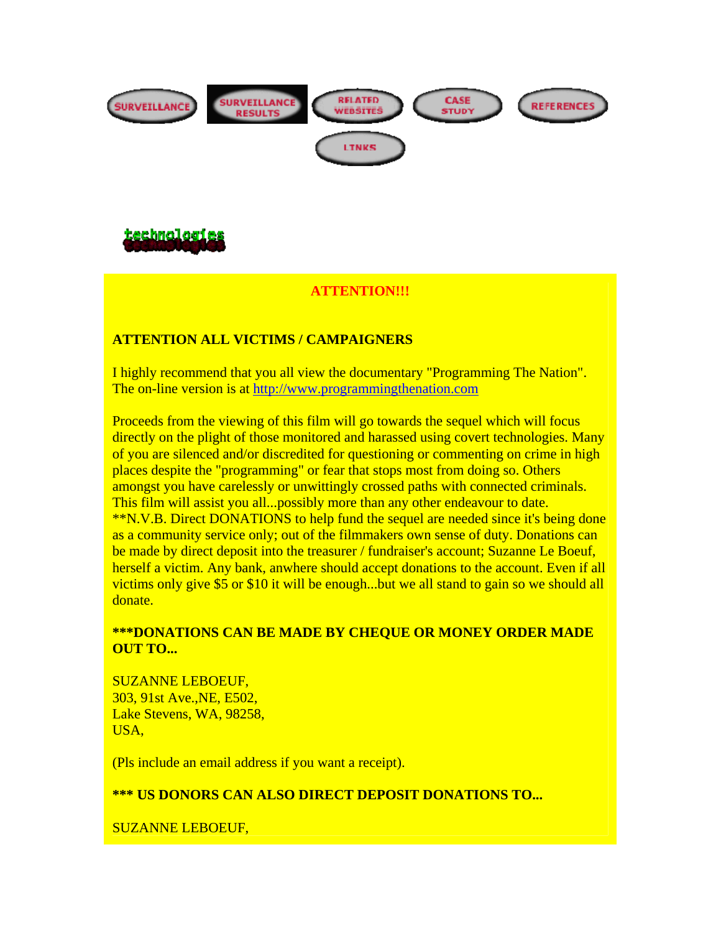



### **ATTENTION!!!**

### **ATTENTION ALL VICTIMS / CAMPAIGNERS**

I highly recommend that you all view the documentary "Programming The Nation". The on-line version is at http://www.programmingthenation.com

Proceeds from the viewing of this film will go towards the sequel which will focus directly on the plight of those monitored and harassed using covert technologies. Many of you are silenced and/or discredited for questioning or commenting on crime in high places despite the "programming" or fear that stops most from doing so. Others amongst you have carelessly or unwittingly crossed paths with connected criminals. This film will assist you all...possibly more than any other endeavour to date. \*\*N.V.B. Direct DONATIONS to help fund the sequel are needed since it's being done as a community service only; out of the filmmakers own sense of duty. Donations can be made by direct deposit into the treasurer / fundraiser's account; Suzanne Le Boeuf, herself a victim. Any bank, anwhere should accept donations to the account. Even if all victims only give \$5 or \$10 it will be enough...but we all stand to gain so we should all donate.

#### **\*\*\*DONATIONS CAN BE MADE BY CHEQUE OR MONEY ORDER MADE OUT TO...**

SUZANNE LEBOEUF, 303, 91st Ave.,NE, E502, Lake Stevens, WA, 98258, USA,

(Pls include an email address if you want a receipt).

#### **\*\*\* US DONORS CAN ALSO DIRECT DEPOSIT DONATIONS TO...**

SUZANNE LEBOEUF,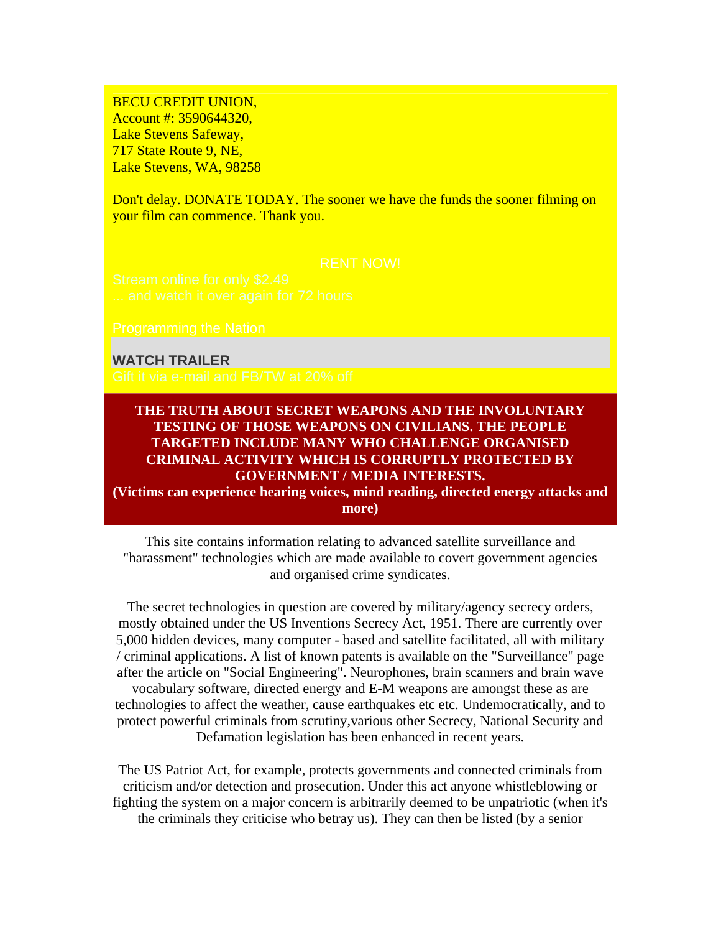BECU CREDIT UNION, Account #: 3590644320, Lake Stevens Safeway, 717 State Route 9, NE, Lake Stevens, WA, 98258

Don't delay. DONATE TODAY. The sooner we have the funds the sooner filming on your film can commence. Thank you.

#### **WATCH TRAILER**

#### **THE TRUTH ABOUT SECRET WEAPONS AND THE INVOLUNTARY TESTING OF THOSE WEAPONS ON CIVILIANS. THE PEOPLE TARGETED INCLUDE MANY WHO CHALLENGE ORGANISED CRIMINAL ACTIVITY WHICH IS CORRUPTLY PROTECTED BY GOVERNMENT / MEDIA INTERESTS.**

**(Victims can experience hearing voices, mind reading, directed energy attacks and more)** 

This site contains information relating to advanced satellite surveillance and "harassment" technologies which are made available to covert government agencies and organised crime syndicates.

The secret technologies in question are covered by military/agency secrecy orders, mostly obtained under the US Inventions Secrecy Act, 1951. There are currently over 5,000 hidden devices, many computer - based and satellite facilitated, all with military / criminal applications. A list of known patents is available on the "Surveillance" page after the article on "Social Engineering". Neurophones, brain scanners and brain wave vocabulary software, directed energy and E-M weapons are amongst these as are technologies to affect the weather, cause earthquakes etc etc. Undemocratically, and to protect powerful criminals from scrutiny,various other Secrecy, National Security and Defamation legislation has been enhanced in recent years.

The US Patriot Act, for example, protects governments and connected criminals from criticism and/or detection and prosecution. Under this act anyone whistleblowing or fighting the system on a major concern is arbitrarily deemed to be unpatriotic (when it's the criminals they criticise who betray us). They can then be listed (by a senior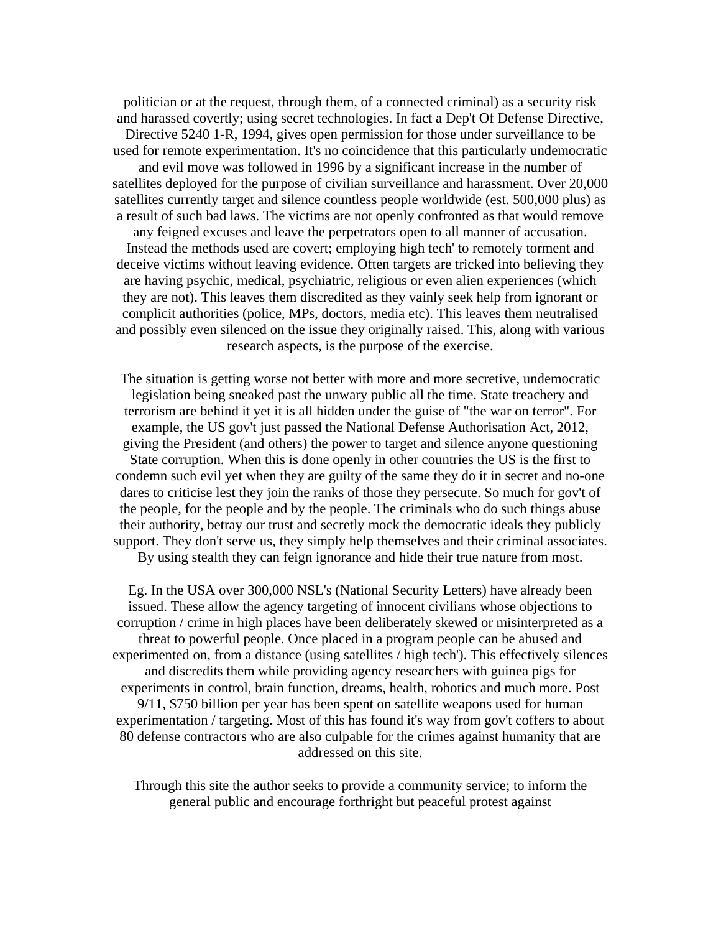politician or at the request, through them, of a connected criminal) as a security risk and harassed covertly; using secret technologies. In fact a Dep't Of Defense Directive, Directive 5240 1-R, 1994, gives open permission for those under surveillance to be used for remote experimentation. It's no coincidence that this particularly undemocratic and evil move was followed in 1996 by a significant increase in the number of satellites deployed for the purpose of civilian surveillance and harassment. Over 20,000 satellites currently target and silence countless people worldwide (est. 500,000 plus) as a result of such bad laws. The victims are not openly confronted as that would remove any feigned excuses and leave the perpetrators open to all manner of accusation. Instead the methods used are covert; employing high tech' to remotely torment and deceive victims without leaving evidence. Often targets are tricked into believing they are having psychic, medical, psychiatric, religious or even alien experiences (which they are not). This leaves them discredited as they vainly seek help from ignorant or complicit authorities (police, MPs, doctors, media etc). This leaves them neutralised and possibly even silenced on the issue they originally raised. This, along with various research aspects, is the purpose of the exercise.

The situation is getting worse not better with more and more secretive, undemocratic legislation being sneaked past the unwary public all the time. State treachery and terrorism are behind it yet it is all hidden under the guise of "the war on terror". For example, the US gov't just passed the National Defense Authorisation Act, 2012, giving the President (and others) the power to target and silence anyone questioning State corruption. When this is done openly in other countries the US is the first to condemn such evil yet when they are guilty of the same they do it in secret and no-one dares to criticise lest they join the ranks of those they persecute. So much for gov't of the people, for the people and by the people. The criminals who do such things abuse their authority, betray our trust and secretly mock the democratic ideals they publicly support. They don't serve us, they simply help themselves and their criminal associates. By using stealth they can feign ignorance and hide their true nature from most.

Eg. In the USA over 300,000 NSL's (National Security Letters) have already been issued. These allow the agency targeting of innocent civilians whose objections to corruption / crime in high places have been deliberately skewed or misinterpreted as a threat to powerful people. Once placed in a program people can be abused and experimented on, from a distance (using satellites / high tech'). This effectively silences and discredits them while providing agency researchers with guinea pigs for experiments in control, brain function, dreams, health, robotics and much more. Post 9/11, \$750 billion per year has been spent on satellite weapons used for human experimentation / targeting. Most of this has found it's way from gov't coffers to about 80 defense contractors who are also culpable for the crimes against humanity that are addressed on this site.

Through this site the author seeks to provide a community service; to inform the general public and encourage forthright but peaceful protest against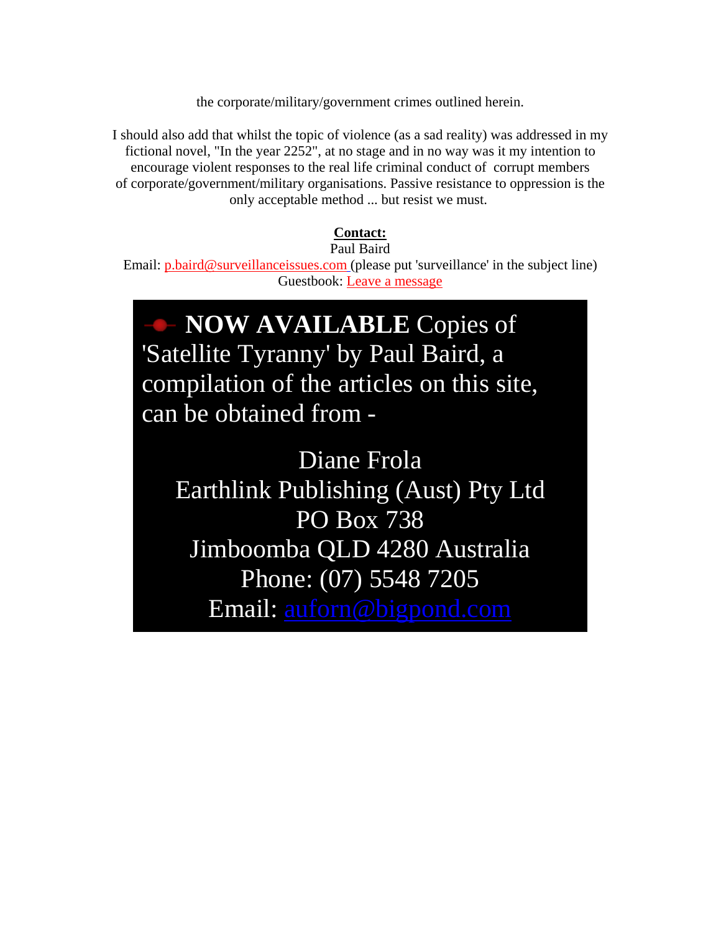the corporate/military/government crimes outlined herein.

I should also add that whilst the topic of violence (as a sad reality) was addressed in my fictional novel, "In the year 2252", at no stage and in no way was it my intention to encourage violent responses to the real life criminal conduct of corrupt members of corporate/government/military organisations. Passive resistance to oppression is the only acceptable method ... but resist we must.

### **Contact:**

Paul Baird Email: p.baird@surveillanceissues.com (please put 'surveillance' in the subject line) Guestbook: Leave a message

# **NOW AVAILABLE** Copies of 'Satellite Tyranny' by Paul Baird, a compilation of the articles on this site, can be obtained from -

Diane Frola Earthlink Publishing (Aust) Pty Ltd PO Box 738 Jimboomba QLD 4280 Australia Phone: (07) 5548 7205 Email: auforn@bigpond.com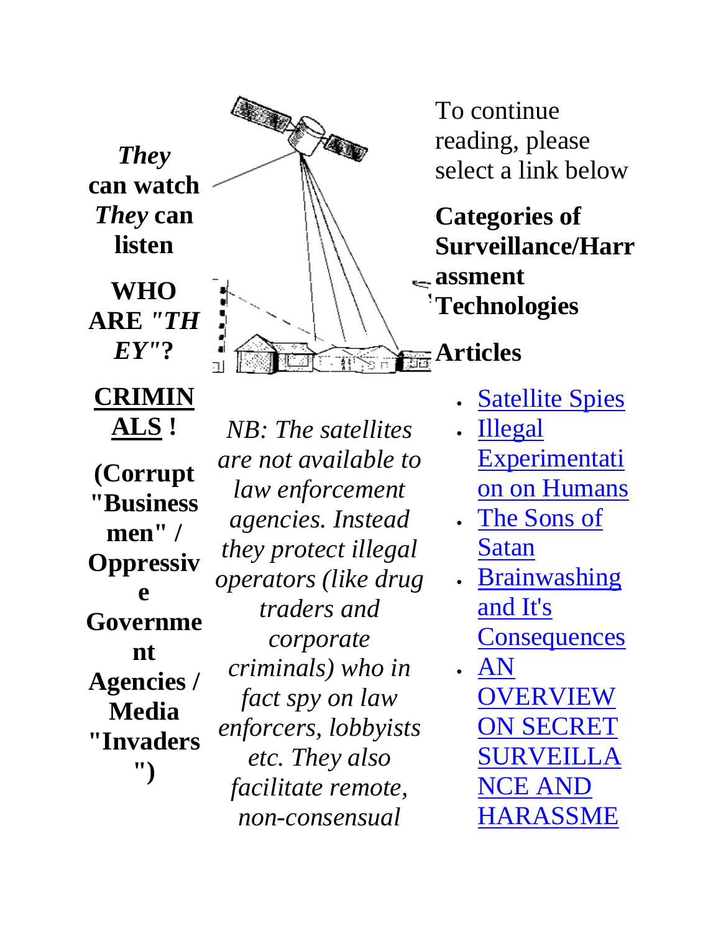*They*  **can watch**  *They* **can listen** 

**WHO ARE** *"TH EY"***?** 

**CRIMIN**

**ALS ! (Corrupt "Business men" / Oppressiv e Governme nt Agencies / Media "Invaders ")** 



*NB: The satellites are not available to law enforcement agencies. Instead they protect illegal operators (like drug traders and corporate criminals) who in fact spy on law enforcers, lobbyists etc. They also facilitate remote, non-consensual* 

reading, please select a link below

**Categories of Surveillance/Harr assment Technologies**

- **Satellite Spies**
- Illegal **Experimentati** on on Humans
- The Sons of Satan
- **Brainwashing** and It's **Consequences**
- AN OVERVIEW ON SECRET SURVEILLA NCE AND HARASSME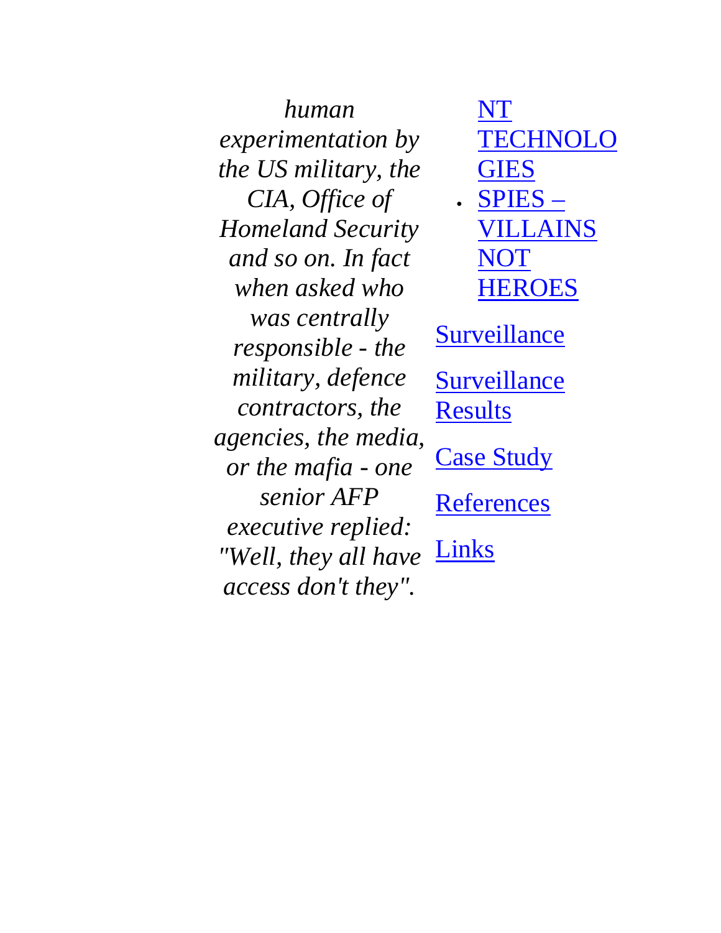*human experimentation by the US military, the CIA, Office of Homeland Security and so on. In fact when asked who was centrally responsible - the military, defence contractors, the agencies, the media, or the mafia - one senior AFP executive replied: "Well, they all have access don't they".*

NT **TECHNOLO** GIES

• SPIES – VILLAINS NOT HEROES

**Surveillance** 

**Surveillance** Results

**Case Study** 

**References** 

Links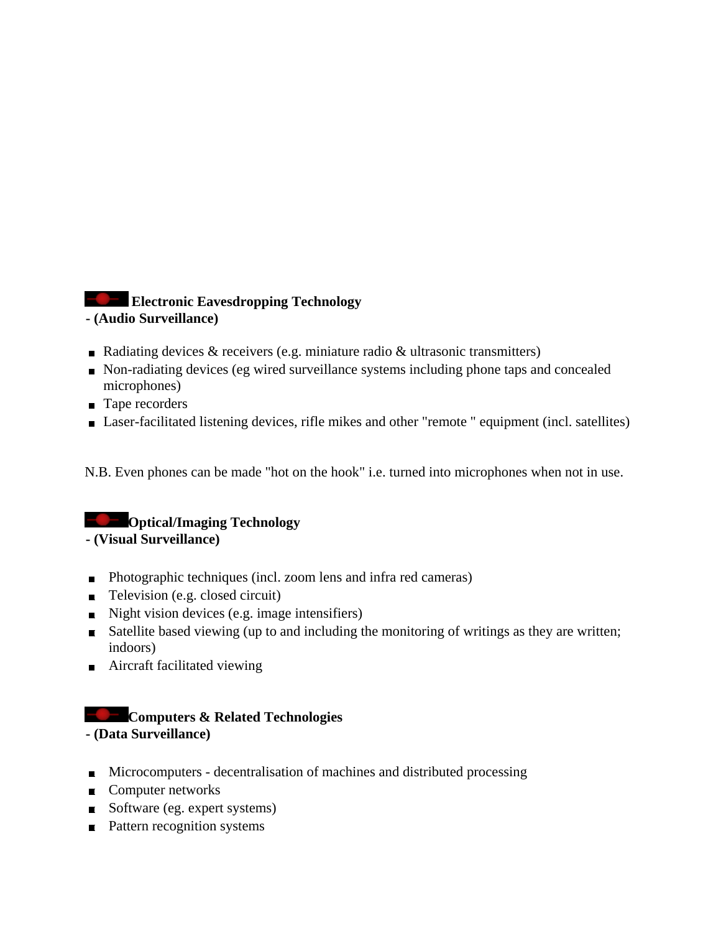## **Electronic Eavesdropping Technology**

**- (Audio Surveillance)** 

- Radiating devices  $\&$  receivers (e.g. miniature radio  $\&$  ultrasonic transmitters)
- Non-radiating devices (eg wired surveillance systems including phone taps and concealed microphones)
- Tape recorders
- Laser-facilitated listening devices, rifle mikes and other "remote " equipment (incl. satellites)

N.B. Even phones can be made "hot on the hook" i.e. turned into microphones when not in use.

### **Conducter Contract Ave** Optical/Imaging Technology

**- (Visual Surveillance)** 

- Photographic techniques (incl. zoom lens and infra red cameras)
- $\blacksquare$  Television (e.g. closed circuit)
- $\blacksquare$  Night vision devices (e.g. image intensifiers)
- Satellite based viewing (up to and including the monitoring of writings as they are written; indoors)
- $\blacksquare$  Aircraft facilitated viewing

### **Computers & Related Technologies**

### **- (Data Surveillance)**

- **Microcomputers decentralisation of machines and distributed processing**
- Computer networks
- Software (eg. expert systems)
- Pattern recognition systems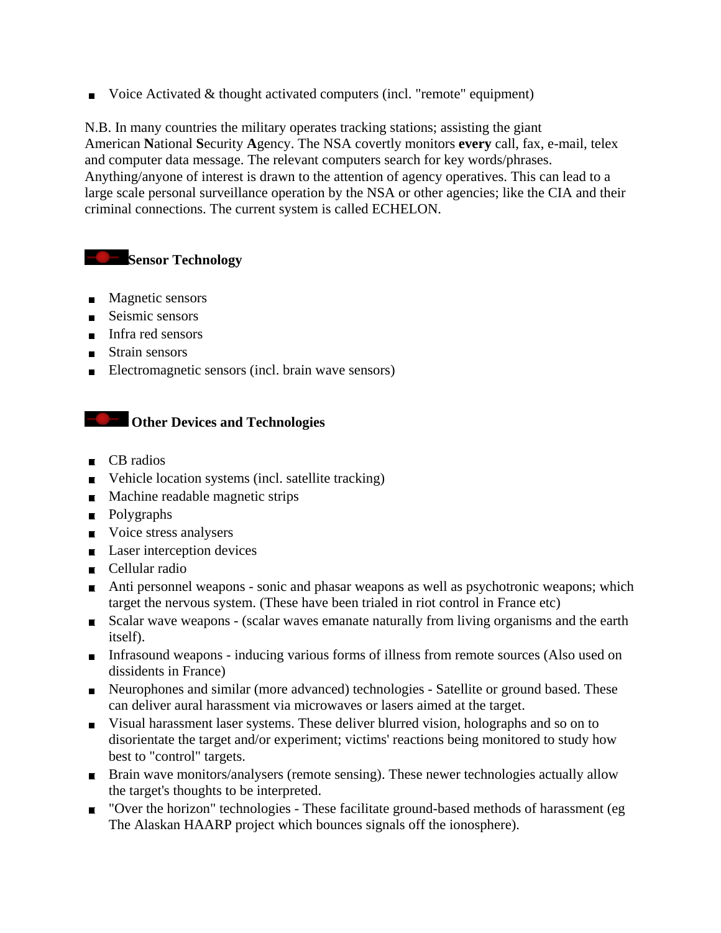Voice Activated  $&$  thought activated computers (incl. "remote" equipment)

N.B. In many countries the military operates tracking stations; assisting the giant American **N**ational **S**ecurity **A**gency. The NSA covertly monitors **every** call, fax, e-mail, telex and computer data message. The relevant computers search for key words/phrases. Anything/anyone of interest is drawn to the attention of agency operatives. This can lead to a large scale personal surveillance operation by the NSA or other agencies; like the CIA and their criminal connections. The current system is called ECHELON.

### **Sensor Technology**

- $\blacksquare$  Magnetic sensors
- Seismic sensors
- Infra red sensors
- **Strain sensors**
- Electromagnetic sensors (incl. brain wave sensors)

### **Constitution Other Devices and Technologies**

- $\blacksquare$  CB radios
- Vehicle location systems (incl. satellite tracking)
- **Machine readable magnetic strips**
- **Polygraphs**
- Voice stress analysers
- $\blacksquare$  Laser interception devices
- Cellular radio
- Anti personnel weapons sonic and phasar weapons as well as psychotronic weapons; which target the nervous system. (These have been trialed in riot control in France etc)
- Scalar wave weapons (scalar waves emanate naturally from living organisms and the earth itself).
- Infrasound weapons inducing various forms of illness from remote sources (Also used on dissidents in France)
- Neurophones and similar (more advanced) technologies Satellite or ground based. These can deliver aural harassment via microwaves or lasers aimed at the target.
- Visual harassment laser systems. These deliver blurred vision, holographs and so on to disorientate the target and/or experiment; victims' reactions being monitored to study how best to "control" targets.
- **Brain wave monitors/analysers (remote sensing). These newer technologies actually allow** the target's thoughts to be interpreted.
- "Over the horizon" technologies These facilitate ground-based methods of harassment (eg The Alaskan HAARP project which bounces signals off the ionosphere).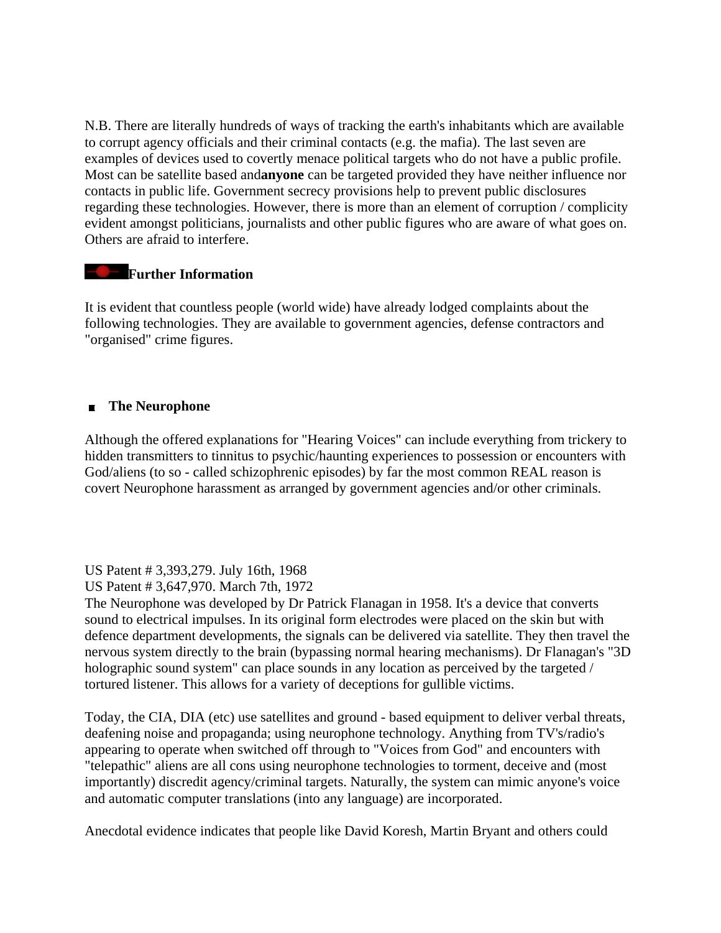N.B. There are literally hundreds of ways of tracking the earth's inhabitants which are available to corrupt agency officials and their criminal contacts (e.g. the mafia). The last seven are examples of devices used to covertly menace political targets who do not have a public profile. Most can be satellite based and**anyone** can be targeted provided they have neither influence nor contacts in public life. Government secrecy provisions help to prevent public disclosures regarding these technologies. However, there is more than an element of corruption / complicity evident amongst politicians, journalists and other public figures who are aware of what goes on. Others are afraid to interfere.

#### **Further Information**

It is evident that countless people (world wide) have already lodged complaints about the following technologies. They are available to government agencies, defense contractors and "organised" crime figures.

#### **The Neurophone**

Although the offered explanations for "Hearing Voices" can include everything from trickery to hidden transmitters to tinnitus to psychic/haunting experiences to possession or encounters with God/aliens (to so - called schizophrenic episodes) by far the most common REAL reason is covert Neurophone harassment as arranged by government agencies and/or other criminals.

US Patent # 3,393,279. July 16th, 1968

US Patent # 3,647,970. March 7th, 1972

The Neurophone was developed by Dr Patrick Flanagan in 1958. It's a device that converts sound to electrical impulses. In its original form electrodes were placed on the skin but with defence department developments, the signals can be delivered via satellite. They then travel the nervous system directly to the brain (bypassing normal hearing mechanisms). Dr Flanagan's "3D holographic sound system" can place sounds in any location as perceived by the targeted / tortured listener. This allows for a variety of deceptions for gullible victims.

Today, the CIA, DIA (etc) use satellites and ground - based equipment to deliver verbal threats, deafening noise and propaganda; using neurophone technology. Anything from TV's/radio's appearing to operate when switched off through to "Voices from God" and encounters with "telepathic" aliens are all cons using neurophone technologies to torment, deceive and (most importantly) discredit agency/criminal targets. Naturally, the system can mimic anyone's voice and automatic computer translations (into any language) are incorporated.

Anecdotal evidence indicates that people like David Koresh, Martin Bryant and others could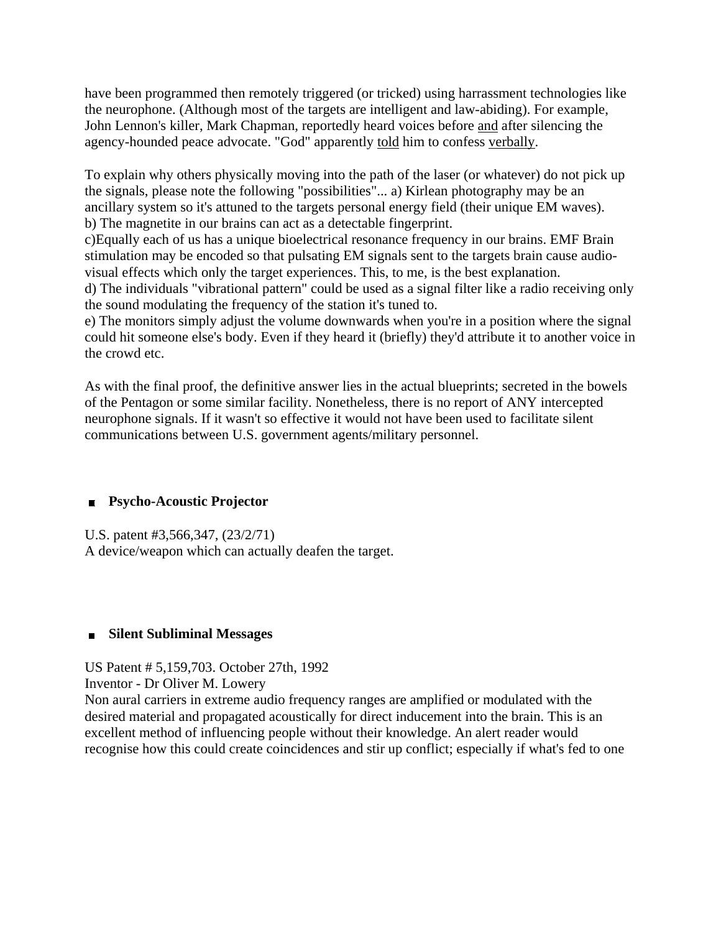have been programmed then remotely triggered (or tricked) using harrassment technologies like the neurophone. (Although most of the targets are intelligent and law-abiding). For example, John Lennon's killer, Mark Chapman, reportedly heard voices before and after silencing the agency-hounded peace advocate. "God" apparently told him to confess verbally.

To explain why others physically moving into the path of the laser (or whatever) do not pick up the signals, please note the following "possibilities"... a) Kirlean photography may be an ancillary system so it's attuned to the targets personal energy field (their unique EM waves). b) The magnetite in our brains can act as a detectable fingerprint.

c)Equally each of us has a unique bioelectrical resonance frequency in our brains. EMF Brain stimulation may be encoded so that pulsating EM signals sent to the targets brain cause audiovisual effects which only the target experiences. This, to me, is the best explanation.

d) The individuals "vibrational pattern" could be used as a signal filter like a radio receiving only the sound modulating the frequency of the station it's tuned to.

e) The monitors simply adjust the volume downwards when you're in a position where the signal could hit someone else's body. Even if they heard it (briefly) they'd attribute it to another voice in the crowd etc.

As with the final proof, the definitive answer lies in the actual blueprints; secreted in the bowels of the Pentagon or some similar facility. Nonetheless, there is no report of ANY intercepted neurophone signals. If it wasn't so effective it would not have been used to facilitate silent communications between U.S. government agents/military personnel.

### **Psycho-Acoustic Projector**

U.S. patent #3,566,347, (23/2/71) A device/weapon which can actually deafen the target.

### **Silent Subliminal Messages**

US Patent # 5,159,703. October 27th, 1992

Inventor - Dr Oliver M. Lowery

Non aural carriers in extreme audio frequency ranges are amplified or modulated with the desired material and propagated acoustically for direct inducement into the brain. This is an excellent method of influencing people without their knowledge. An alert reader would recognise how this could create coincidences and stir up conflict; especially if what's fed to one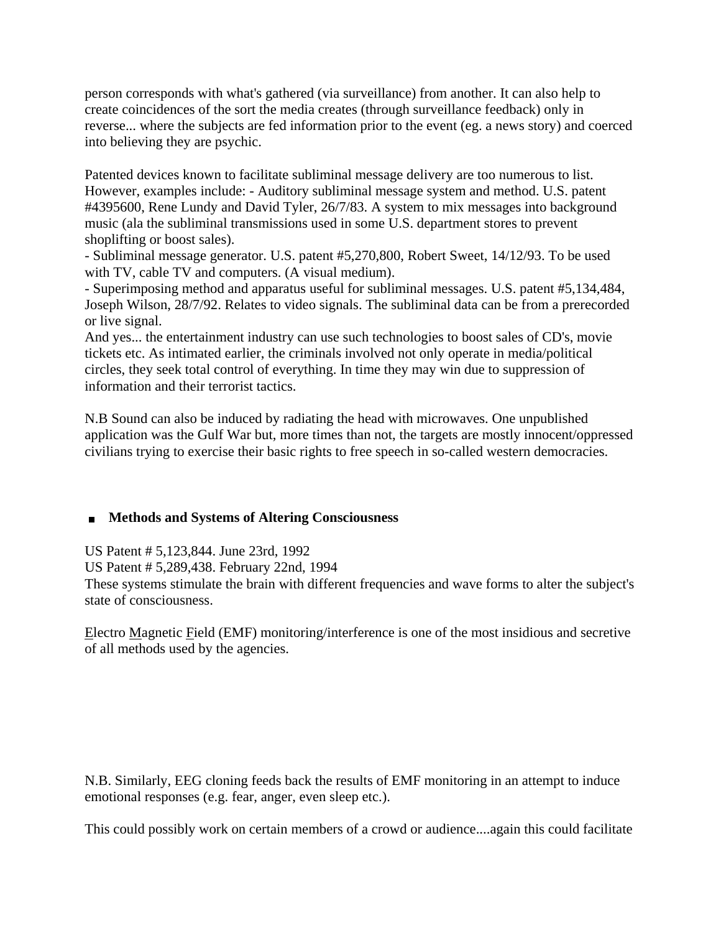person corresponds with what's gathered (via surveillance) from another. It can also help to create coincidences of the sort the media creates (through surveillance feedback) only in reverse... where the subjects are fed information prior to the event (eg. a news story) and coerced into believing they are psychic.

Patented devices known to facilitate subliminal message delivery are too numerous to list. However, examples include: - Auditory subliminal message system and method. U.S. patent #4395600, Rene Lundy and David Tyler, 26/7/83. A system to mix messages into background music (ala the subliminal transmissions used in some U.S. department stores to prevent shoplifting or boost sales).

- Subliminal message generator. U.S. patent #5,270,800, Robert Sweet, 14/12/93. To be used with TV, cable TV and computers. (A visual medium).

- Superimposing method and apparatus useful for subliminal messages. U.S. patent #5,134,484, Joseph Wilson, 28/7/92. Relates to video signals. The subliminal data can be from a prerecorded or live signal.

And yes... the entertainment industry can use such technologies to boost sales of CD's, movie tickets etc. As intimated earlier, the criminals involved not only operate in media/political circles, they seek total control of everything. In time they may win due to suppression of information and their terrorist tactics.

N.B Sound can also be induced by radiating the head with microwaves. One unpublished application was the Gulf War but, more times than not, the targets are mostly innocent/oppressed civilians trying to exercise their basic rights to free speech in so-called western democracies.

### **Methods and Systems of Altering Consciousness**

US Patent # 5,123,844. June 23rd, 1992 US Patent # 5,289,438. February 22nd, 1994 These systems stimulate the brain with different frequencies and wave forms to alter the subject's state of consciousness.

Electro Magnetic Field (EMF) monitoring/interference is one of the most insidious and secretive of all methods used by the agencies.

N.B. Similarly, EEG cloning feeds back the results of EMF monitoring in an attempt to induce emotional responses (e.g. fear, anger, even sleep etc.).

This could possibly work on certain members of a crowd or audience....again this could facilitate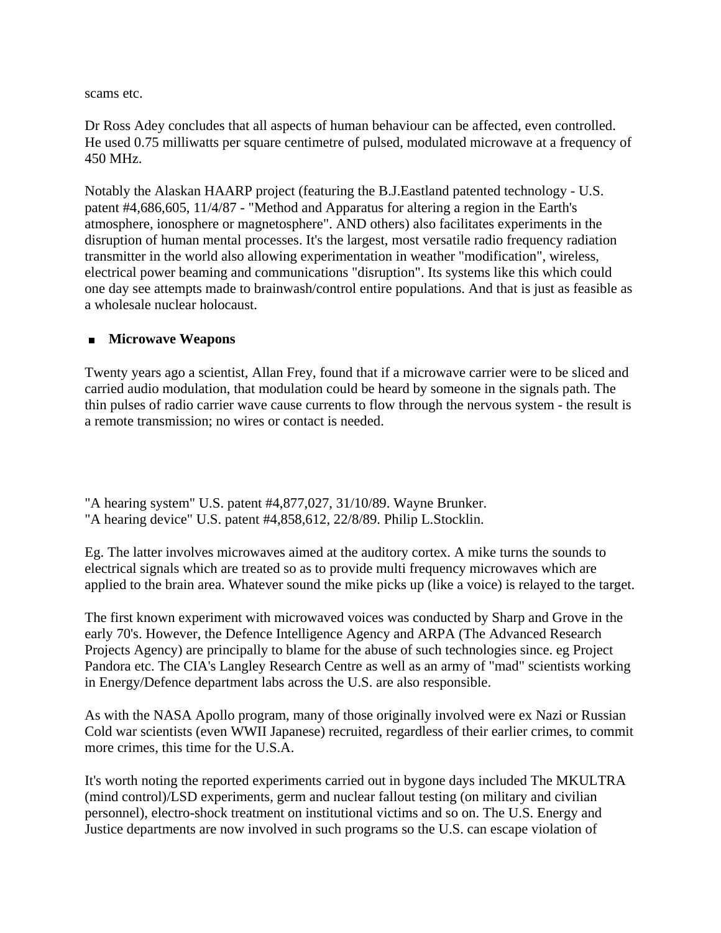scams etc.

Dr Ross Adey concludes that all aspects of human behaviour can be affected, even controlled. He used 0.75 milliwatts per square centimetre of pulsed, modulated microwave at a frequency of 450 MHz.

Notably the Alaskan HAARP project (featuring the B.J.Eastland patented technology - U.S. patent #4,686,605, 11/4/87 - "Method and Apparatus for altering a region in the Earth's atmosphere, ionosphere or magnetosphere". AND others) also facilitates experiments in the disruption of human mental processes. It's the largest, most versatile radio frequency radiation transmitter in the world also allowing experimentation in weather "modification", wireless, electrical power beaming and communications "disruption". Its systems like this which could one day see attempts made to brainwash/control entire populations. And that is just as feasible as a wholesale nuclear holocaust.

#### **Microwave Weapons**

Twenty years ago a scientist, Allan Frey, found that if a microwave carrier were to be sliced and carried audio modulation, that modulation could be heard by someone in the signals path. The thin pulses of radio carrier wave cause currents to flow through the nervous system - the result is a remote transmission; no wires or contact is needed.

"A hearing system" U.S. patent #4,877,027, 31/10/89. Wayne Brunker. "A hearing device" U.S. patent #4,858,612, 22/8/89. Philip L.Stocklin.

Eg. The latter involves microwaves aimed at the auditory cortex. A mike turns the sounds to electrical signals which are treated so as to provide multi frequency microwaves which are applied to the brain area. Whatever sound the mike picks up (like a voice) is relayed to the target.

The first known experiment with microwaved voices was conducted by Sharp and Grove in the early 70's. However, the Defence Intelligence Agency and ARPA (The Advanced Research Projects Agency) are principally to blame for the abuse of such technologies since. eg Project Pandora etc. The CIA's Langley Research Centre as well as an army of "mad" scientists working in Energy/Defence department labs across the U.S. are also responsible.

As with the NASA Apollo program, many of those originally involved were ex Nazi or Russian Cold war scientists (even WWII Japanese) recruited, regardless of their earlier crimes, to commit more crimes, this time for the U.S.A.

It's worth noting the reported experiments carried out in bygone days included The MKULTRA (mind control)/LSD experiments, germ and nuclear fallout testing (on military and civilian personnel), electro-shock treatment on institutional victims and so on. The U.S. Energy and Justice departments are now involved in such programs so the U.S. can escape violation of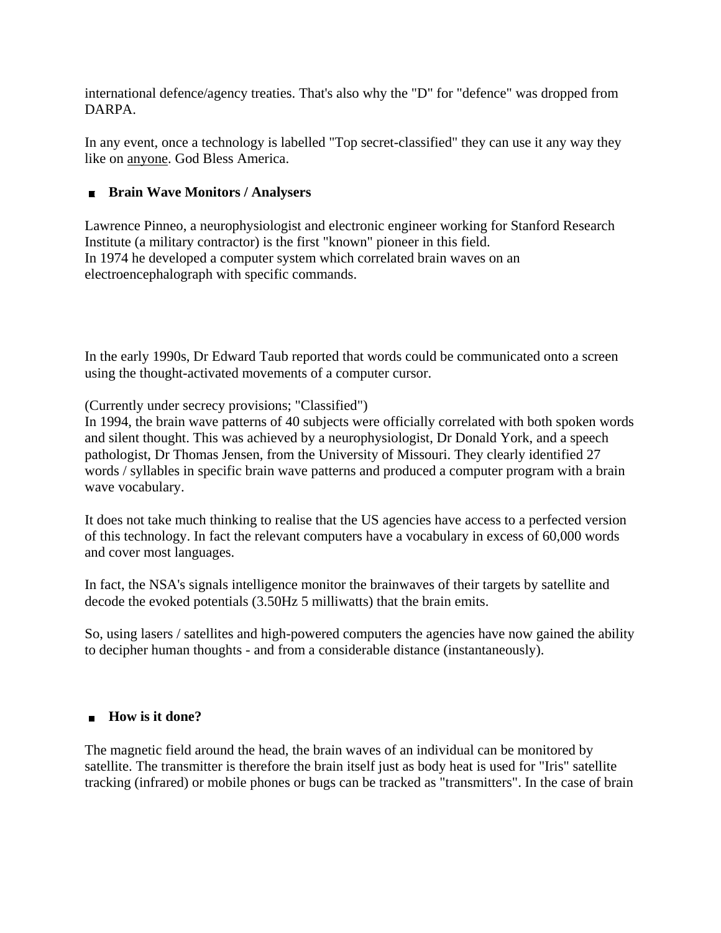international defence/agency treaties. That's also why the "D" for "defence" was dropped from DARPA.

In any event, once a technology is labelled "Top secret-classified" they can use it any way they like on anyone. God Bless America.

### **Brain Wave Monitors / Analysers**

Lawrence Pinneo, a neurophysiologist and electronic engineer working for Stanford Research Institute (a military contractor) is the first "known" pioneer in this field. In 1974 he developed a computer system which correlated brain waves on an electroencephalograph with specific commands.

In the early 1990s, Dr Edward Taub reported that words could be communicated onto a screen using the thought-activated movements of a computer cursor.

(Currently under secrecy provisions; "Classified")

In 1994, the brain wave patterns of 40 subjects were officially correlated with both spoken words and silent thought. This was achieved by a neurophysiologist, Dr Donald York, and a speech pathologist, Dr Thomas Jensen, from the University of Missouri. They clearly identified 27 words / syllables in specific brain wave patterns and produced a computer program with a brain wave vocabulary.

It does not take much thinking to realise that the US agencies have access to a perfected version of this technology. In fact the relevant computers have a vocabulary in excess of 60,000 words and cover most languages.

In fact, the NSA's signals intelligence monitor the brainwaves of their targets by satellite and decode the evoked potentials (3.50Hz 5 milliwatts) that the brain emits.

So, using lasers / satellites and high-powered computers the agencies have now gained the ability to decipher human thoughts - and from a considerable distance (instantaneously).

### **How is it done?**

The magnetic field around the head, the brain waves of an individual can be monitored by satellite. The transmitter is therefore the brain itself just as body heat is used for "Iris" satellite tracking (infrared) or mobile phones or bugs can be tracked as "transmitters". In the case of brain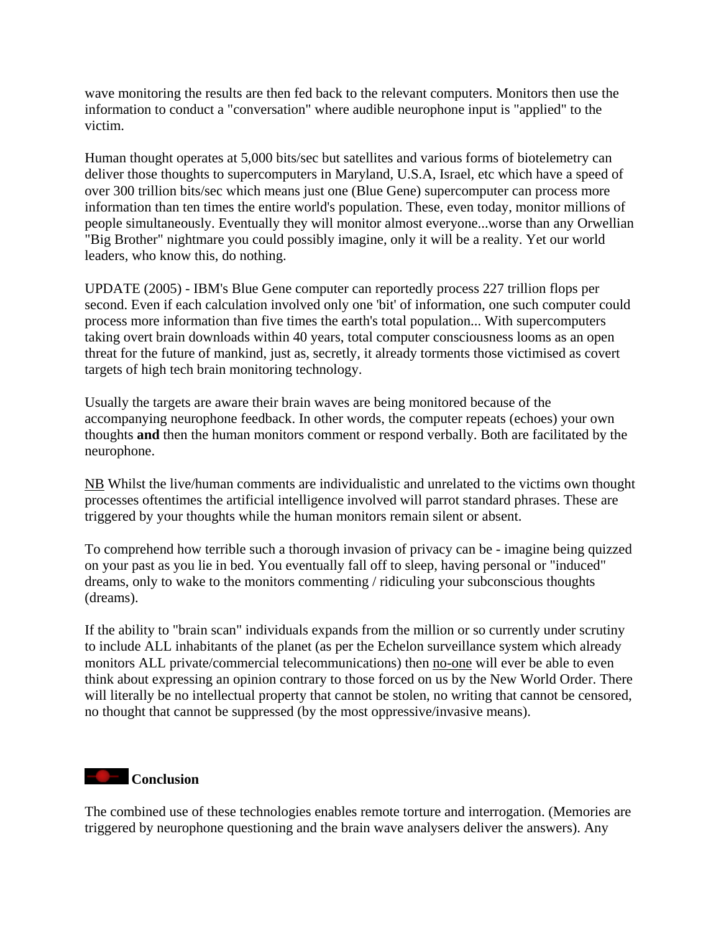wave monitoring the results are then fed back to the relevant computers. Monitors then use the information to conduct a "conversation" where audible neurophone input is "applied" to the victim.

Human thought operates at 5,000 bits/sec but satellites and various forms of biotelemetry can deliver those thoughts to supercomputers in Maryland, U.S.A, Israel, etc which have a speed of over 300 trillion bits/sec which means just one (Blue Gene) supercomputer can process more information than ten times the entire world's population. These, even today, monitor millions of people simultaneously. Eventually they will monitor almost everyone...worse than any Orwellian "Big Brother" nightmare you could possibly imagine, only it will be a reality. Yet our world leaders, who know this, do nothing.

UPDATE (2005) - IBM's Blue Gene computer can reportedly process 227 trillion flops per second. Even if each calculation involved only one 'bit' of information, one such computer could process more information than five times the earth's total population... With supercomputers taking overt brain downloads within 40 years, total computer consciousness looms as an open threat for the future of mankind, just as, secretly, it already torments those victimised as covert targets of high tech brain monitoring technology.

Usually the targets are aware their brain waves are being monitored because of the accompanying neurophone feedback. In other words, the computer repeats (echoes) your own thoughts **and** then the human monitors comment or respond verbally. Both are facilitated by the neurophone.

NB Whilst the live/human comments are individualistic and unrelated to the victims own thought processes oftentimes the artificial intelligence involved will parrot standard phrases. These are triggered by your thoughts while the human monitors remain silent or absent.

To comprehend how terrible such a thorough invasion of privacy can be - imagine being quizzed on your past as you lie in bed. You eventually fall off to sleep, having personal or "induced" dreams, only to wake to the monitors commenting / ridiculing your subconscious thoughts (dreams).

If the ability to "brain scan" individuals expands from the million or so currently under scrutiny to include ALL inhabitants of the planet (as per the Echelon surveillance system which already monitors ALL private/commercial telecommunications) then no-one will ever be able to even think about expressing an opinion contrary to those forced on us by the New World Order. There will literally be no intellectual property that cannot be stolen, no writing that cannot be censored, no thought that cannot be suppressed (by the most oppressive/invasive means).

### **Conclusion**

The combined use of these technologies enables remote torture and interrogation. (Memories are triggered by neurophone questioning and the brain wave analysers deliver the answers). Any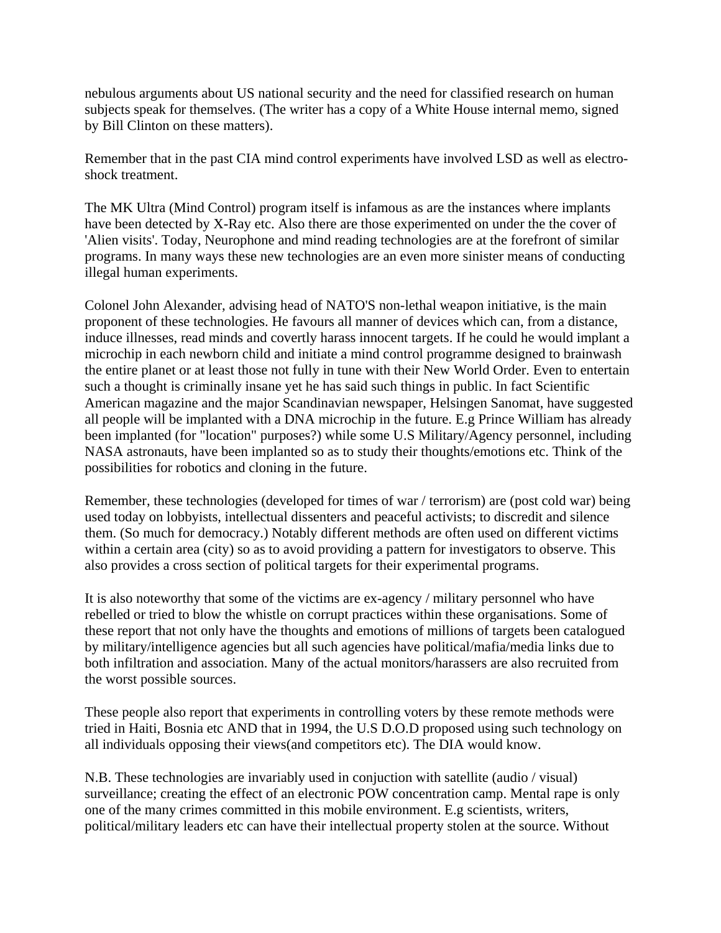nebulous arguments about US national security and the need for classified research on human subjects speak for themselves. (The writer has a copy of a White House internal memo, signed by Bill Clinton on these matters).

Remember that in the past CIA mind control experiments have involved LSD as well as electroshock treatment.

The MK Ultra (Mind Control) program itself is infamous as are the instances where implants have been detected by X-Ray etc. Also there are those experimented on under the the cover of 'Alien visits'. Today, Neurophone and mind reading technologies are at the forefront of similar programs. In many ways these new technologies are an even more sinister means of conducting illegal human experiments.

Colonel John Alexander, advising head of NATO'S non-lethal weapon initiative, is the main proponent of these technologies. He favours all manner of devices which can, from a distance, induce illnesses, read minds and covertly harass innocent targets. If he could he would implant a microchip in each newborn child and initiate a mind control programme designed to brainwash the entire planet or at least those not fully in tune with their New World Order. Even to entertain such a thought is criminally insane yet he has said such things in public. In fact Scientific American magazine and the major Scandinavian newspaper, Helsingen Sanomat, have suggested all people will be implanted with a DNA microchip in the future. E.g Prince William has already been implanted (for "location" purposes?) while some U.S Military/Agency personnel, including NASA astronauts, have been implanted so as to study their thoughts/emotions etc. Think of the possibilities for robotics and cloning in the future.

Remember, these technologies (developed for times of war / terrorism) are (post cold war) being used today on lobbyists, intellectual dissenters and peaceful activists; to discredit and silence them. (So much for democracy.) Notably different methods are often used on different victims within a certain area (city) so as to avoid providing a pattern for investigators to observe. This also provides a cross section of political targets for their experimental programs.

It is also noteworthy that some of the victims are ex-agency / military personnel who have rebelled or tried to blow the whistle on corrupt practices within these organisations. Some of these report that not only have the thoughts and emotions of millions of targets been catalogued by military/intelligence agencies but all such agencies have political/mafia/media links due to both infiltration and association. Many of the actual monitors/harassers are also recruited from the worst possible sources.

These people also report that experiments in controlling voters by these remote methods were tried in Haiti, Bosnia etc AND that in 1994, the U.S D.O.D proposed using such technology on all individuals opposing their views(and competitors etc). The DIA would know.

N.B. These technologies are invariably used in conjuction with satellite (audio / visual) surveillance; creating the effect of an electronic POW concentration camp. Mental rape is only one of the many crimes committed in this mobile environment. E.g scientists, writers, political/military leaders etc can have their intellectual property stolen at the source. Without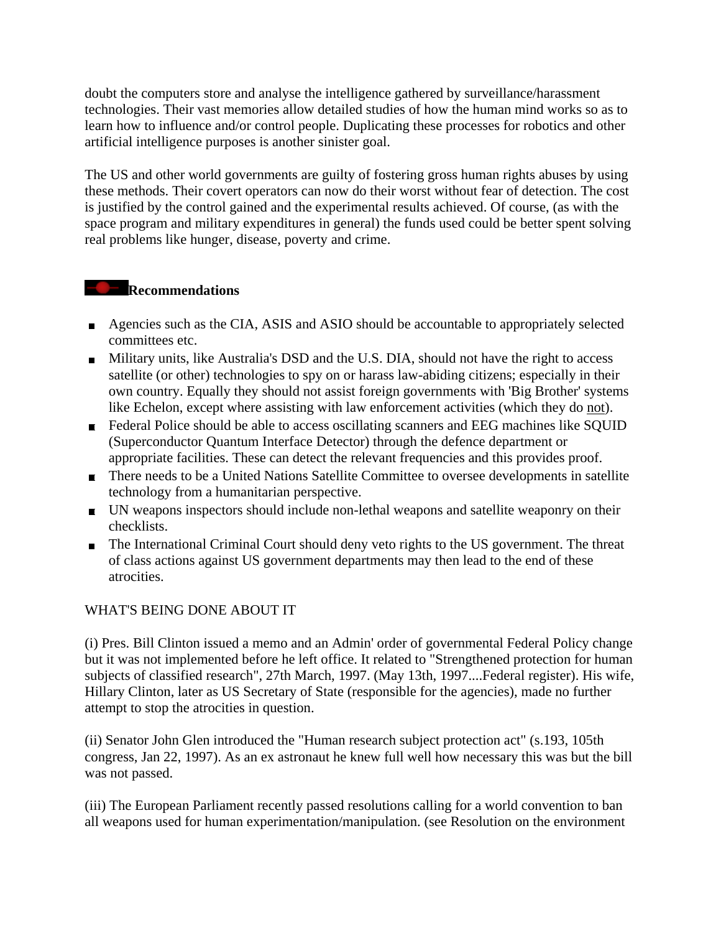doubt the computers store and analyse the intelligence gathered by surveillance/harassment technologies. Their vast memories allow detailed studies of how the human mind works so as to learn how to influence and/or control people. Duplicating these processes for robotics and other artificial intelligence purposes is another sinister goal.

The US and other world governments are guilty of fostering gross human rights abuses by using these methods. Their covert operators can now do their worst without fear of detection. The cost is justified by the control gained and the experimental results achieved. Of course, (as with the space program and military expenditures in general) the funds used could be better spent solving real problems like hunger, disease, poverty and crime.

### **Recommendations**

- Agencies such as the CIA, ASIS and ASIO should be accountable to appropriately selected committees etc.
- Military units, like Australia's DSD and the U.S. DIA, should not have the right to access satellite (or other) technologies to spy on or harass law-abiding citizens; especially in their own country. Equally they should not assist foreign governments with 'Big Brother' systems like Echelon, except where assisting with law enforcement activities (which they do not).
- Federal Police should be able to access oscillating scanners and EEG machines like SQUID (Superconductor Quantum Interface Detector) through the defence department or appropriate facilities. These can detect the relevant frequencies and this provides proof.
- There needs to be a United Nations Satellite Committee to oversee developments in satellite technology from a humanitarian perspective.
- UN weapons inspectors should include non-lethal weapons and satellite weaponry on their checklists.
- The International Criminal Court should deny veto rights to the US government. The threat of class actions against US government departments may then lead to the end of these atrocities.

### WHAT'S BEING DONE ABOUT IT

(i) Pres. Bill Clinton issued a memo and an Admin' order of governmental Federal Policy change but it was not implemented before he left office. It related to "Strengthened protection for human subjects of classified research", 27th March, 1997. (May 13th, 1997....Federal register). His wife, Hillary Clinton, later as US Secretary of State (responsible for the agencies), made no further attempt to stop the atrocities in question.

(ii) Senator John Glen introduced the "Human research subject protection act" (s.193, 105th congress, Jan 22, 1997). As an ex astronaut he knew full well how necessary this was but the bill was not passed.

(iii) The European Parliament recently passed resolutions calling for a world convention to ban all weapons used for human experimentation/manipulation. (see Resolution on the environment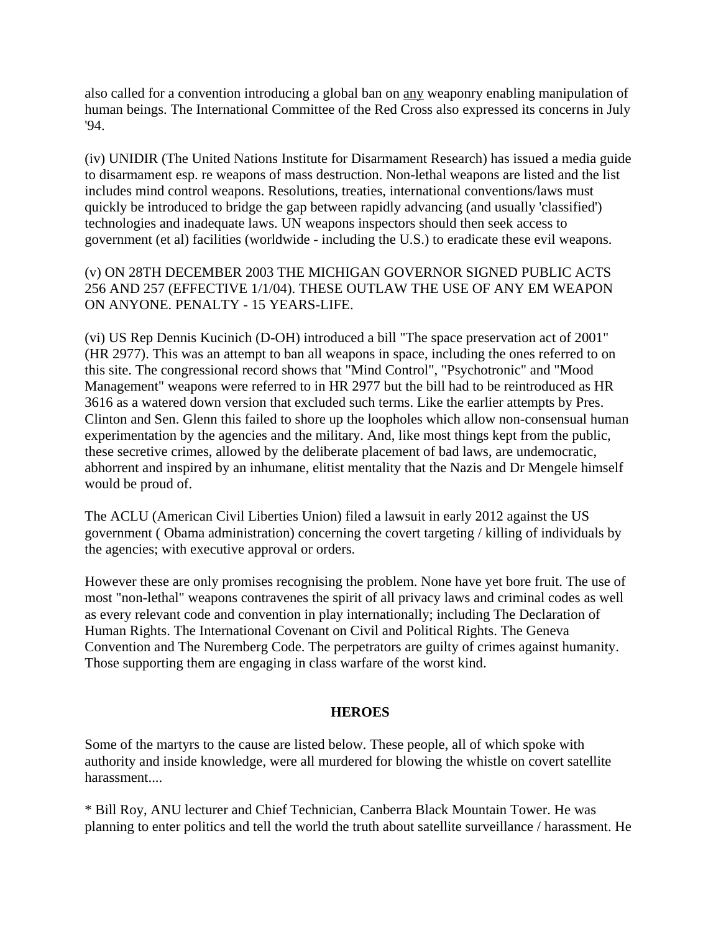also called for a convention introducing a global ban on any weaponry enabling manipulation of human beings. The International Committee of the Red Cross also expressed its concerns in July '94.

(iv) UNIDIR (The United Nations Institute for Disarmament Research) has issued a media guide to disarmament esp. re weapons of mass destruction. Non-lethal weapons are listed and the list includes mind control weapons. Resolutions, treaties, international conventions/laws must quickly be introduced to bridge the gap between rapidly advancing (and usually 'classified') technologies and inadequate laws. UN weapons inspectors should then seek access to government (et al) facilities (worldwide - including the U.S.) to eradicate these evil weapons.

(v) ON 28TH DECEMBER 2003 THE MICHIGAN GOVERNOR SIGNED PUBLIC ACTS 256 AND 257 (EFFECTIVE 1/1/04). THESE OUTLAW THE USE OF ANY EM WEAPON ON ANYONE. PENALTY - 15 YEARS-LIFE.

(vi) US Rep Dennis Kucinich (D-OH) introduced a bill "The space preservation act of 2001" (HR 2977). This was an attempt to ban all weapons in space, including the ones referred to on this site. The congressional record shows that "Mind Control", "Psychotronic" and "Mood Management" weapons were referred to in HR 2977 but the bill had to be reintroduced as HR 3616 as a watered down version that excluded such terms. Like the earlier attempts by Pres. Clinton and Sen. Glenn this failed to shore up the loopholes which allow non-consensual human experimentation by the agencies and the military. And, like most things kept from the public, these secretive crimes, allowed by the deliberate placement of bad laws, are undemocratic, abhorrent and inspired by an inhumane, elitist mentality that the Nazis and Dr Mengele himself would be proud of.

The ACLU (American Civil Liberties Union) filed a lawsuit in early 2012 against the US government ( Obama administration) concerning the covert targeting / killing of individuals by the agencies; with executive approval or orders.

However these are only promises recognising the problem. None have yet bore fruit. The use of most "non-lethal" weapons contravenes the spirit of all privacy laws and criminal codes as well as every relevant code and convention in play internationally; including The Declaration of Human Rights. The International Covenant on Civil and Political Rights. The Geneva Convention and The Nuremberg Code. The perpetrators are guilty of crimes against humanity. Those supporting them are engaging in class warfare of the worst kind.

#### **HEROES**

Some of the martyrs to the cause are listed below. These people, all of which spoke with authority and inside knowledge, were all murdered for blowing the whistle on covert satellite harassment....

\* Bill Roy, ANU lecturer and Chief Technician, Canberra Black Mountain Tower. He was planning to enter politics and tell the world the truth about satellite surveillance / harassment. He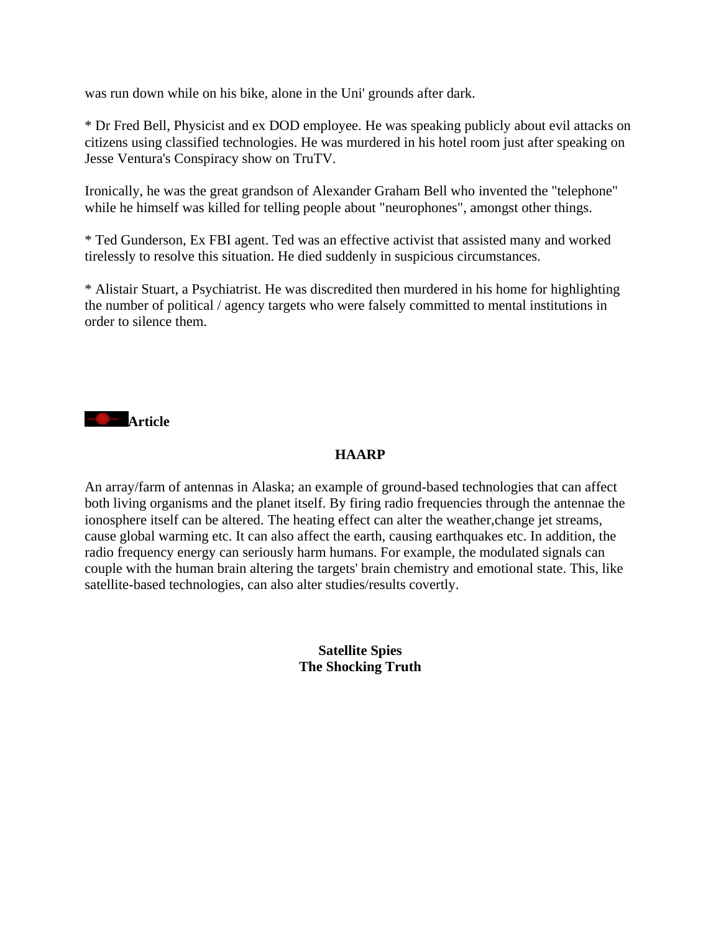was run down while on his bike, alone in the Uni' grounds after dark.

\* Dr Fred Bell, Physicist and ex DOD employee. He was speaking publicly about evil attacks on citizens using classified technologies. He was murdered in his hotel room just after speaking on Jesse Ventura's Conspiracy show on TruTV.

Ironically, he was the great grandson of Alexander Graham Bell who invented the "telephone" while he himself was killed for telling people about "neurophones", amongst other things.

\* Ted Gunderson, Ex FBI agent. Ted was an effective activist that assisted many and worked tirelessly to resolve this situation. He died suddenly in suspicious circumstances.

\* Alistair Stuart, a Psychiatrist. He was discredited then murdered in his home for highlighting the number of political / agency targets who were falsely committed to mental institutions in order to silence them.



### **HAARP**

An array/farm of antennas in Alaska; an example of ground-based technologies that can affect both living organisms and the planet itself. By firing radio frequencies through the antennae the ionosphere itself can be altered. The heating effect can alter the weather,change jet streams, cause global warming etc. It can also affect the earth, causing earthquakes etc. In addition, the radio frequency energy can seriously harm humans. For example, the modulated signals can couple with the human brain altering the targets' brain chemistry and emotional state. This, like satellite-based technologies, can also alter studies/results covertly.

> **Satellite Spies The Shocking Truth**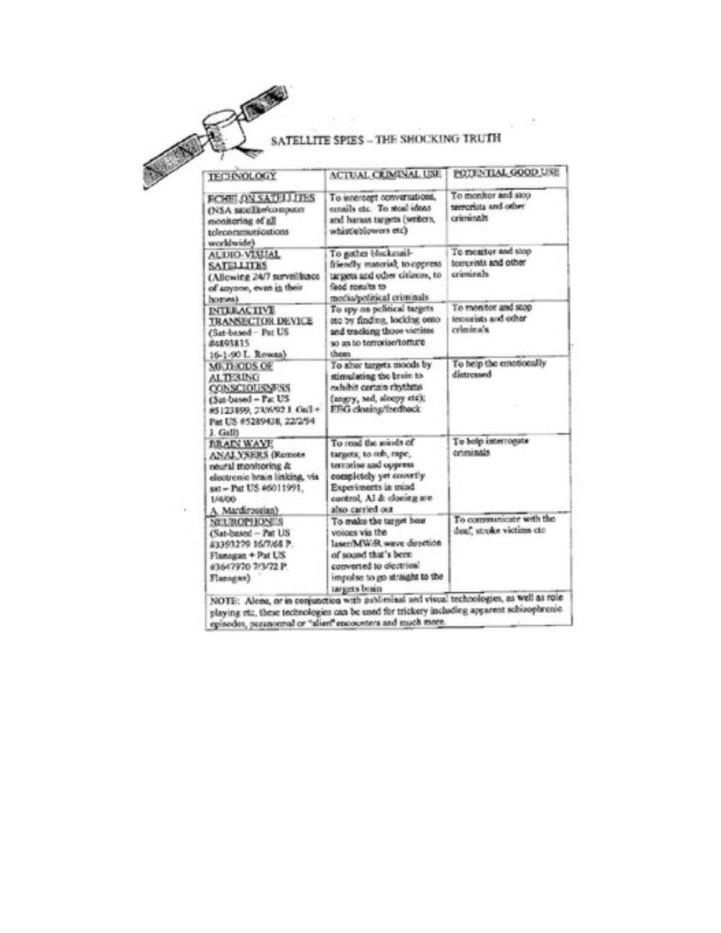

#### SATELLITE SPIES - THE SHOCKING TRUTH

POTENTIAL GOOD USE **TECHNOLOGY ACTUAL CRIMINAL USE FCHBLON SADULTES** To intercept conversations, To monitor and stop terrorists and other (NSA satellite/computer cmails etc. To stoal ideas criminals and harass targets (writers, monitoring of all whistleblowers etc) telecommunications worldwide) AUDIO-VISUAL To gather blackmail-To escatter and stop temerists and other **SATELLITES** friendly material; to oppress criminals (Allowing 24/7 surveillance targets and other citizens, to of anyone, even in their or splusos bosti media/political criminals homes) To spy on political targets To monitor and stop **INTERACTIVE** temorists and other **JRANSECTOR DEVICE** eto by finding, locking onto and tracking those victims criminals. (Sat-based - Pat US so as to terroriso tomare 84893815 16-1-90 L. Rowan) them. To abor targets moods by To help the emotionally METHODS OF ALTERING distroused or ninte and gettelands. exhibit certain rhythms **CONSCIOUSNESS** (angry, sad, sleepy etc); (Sat-based - Pat US #5123899, 23/6/92 J. Gall + EEG cloning/fredback Pat US #5289438, 22/2/94 J. Gall) To help interrogate To read the minds of **BRAIN WAYE** criminals **ANALYSERS** (Remote targets; to rob, rape, terrorise and oppress. neural monitoring & electronic brain linking, via completely yet covertly. Experiments in mind sat - Pat US #6011991. control. AI & cloning are 1/4/00 A. Mardirossian) also carried out To communicate with the To make the target hear **NULROPHONES** deaf, stroke victims etc. (Sat-based - Pat US voices via the laser/MW/R wave direction #3393279 16/7/68 P. Flanagan + Pat US of sexand that's been converted to electrical #3647970 7/3/72 P. impulse to go straight to the Flanagan) negets brain NOTE: Alene, or in conjunction with pablimisal and visual technologies, as well as role playing etc, these technologies can be used for trickery including apparent schizophrenic episodos, paranomal or "alien" encounters and much more.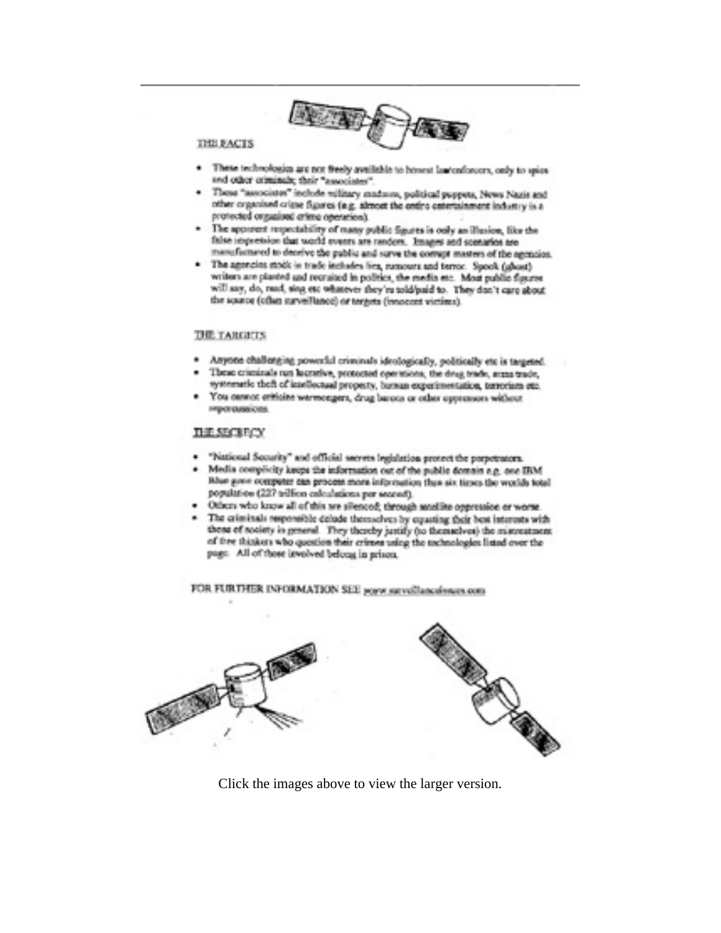

#### **THE EACTS**

- . These technologies are not freely available to bosest insteadorcers, only to spice and other criminals; their "associates".
- These "associates" include military madasca, publical puppers, News Nazis and other organised crime figures (e.g. almost the order catertainment industry is a protected organized crime operation).
- · The apparent respectability of many public figures is only an illusion, like the false impression that world events are random. Images and scenarios are menufactured to deceive the public and sorre the compt masters of the agencies.
- · The agencies stock in trude includes lies, numours and turnor. Speek (ghost) writers are planted and recruited in politics, the media etc. Most public figures will say, do, read, sing etc whatever they're told/paid to. They don't care about the source (often surveillance) or torgets (innocent victims).

#### **THE TARGETS**

- \* Anyone challenging powerful criminals ideologically, politically etc is targeted.
- · These criminals run lucrative, protocted operations, the drug trade, arms trade, systematic theft of intellectual property, burnan experimentation, terrorism etc.
- · You cannot criticine wermongers, drug barons or other oppressors without нератодного в

#### THE SECRECY

- · "National Security" and official secrets legislation protect the perpetrators.
- · Media complicity keeps the information out of the public domain e.g. one IRM How gove occupater can process more information than six times the worlds total population (227 trillion calculations per second).
- · Others who know all of this are silenced; through anodline oppression or worse.
- · The criminals responsible delude themselves by equating their best interests with those of society in general. They thereby justify (to themselves) the mistreatment of thre thinkers who question their crimes using the technologies listed over the page. All of those is volved belong in prison.

FOR FURTHER INFORMATION SEE you're nevellancelines com-



Click the images above to view the larger version.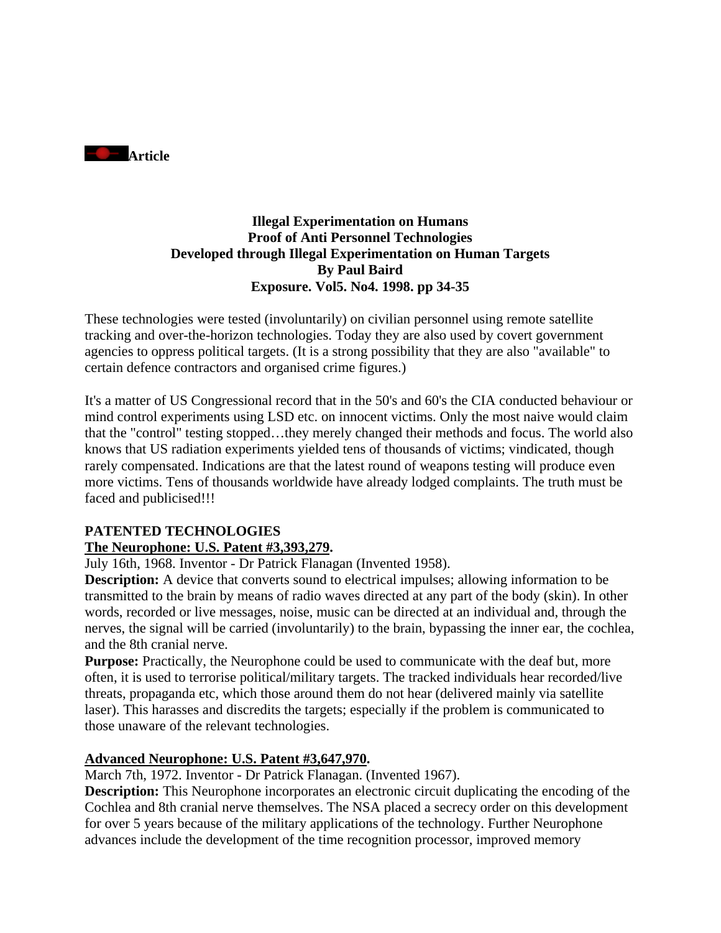

### **Illegal Experimentation on Humans Proof of Anti Personnel Technologies Developed through Illegal Experimentation on Human Targets By Paul Baird Exposure. Vol5. No4. 1998. pp 34-35**

These technologies were tested (involuntarily) on civilian personnel using remote satellite tracking and over-the-horizon technologies. Today they are also used by covert government agencies to oppress political targets. (It is a strong possibility that they are also "available" to certain defence contractors and organised crime figures.)

It's a matter of US Congressional record that in the 50's and 60's the CIA conducted behaviour or mind control experiments using LSD etc. on innocent victims. Only the most naive would claim that the "control" testing stopped…they merely changed their methods and focus. The world also knows that US radiation experiments yielded tens of thousands of victims; vindicated, though rarely compensated. Indications are that the latest round of weapons testing will produce even more victims. Tens of thousands worldwide have already lodged complaints. The truth must be faced and publicised!!!

### **PATENTED TECHNOLOGIES**

### **The Neurophone: U.S. Patent #3,393,279.**

July 16th, 1968. Inventor - Dr Patrick Flanagan (Invented 1958).

**Description:** A device that converts sound to electrical impulses; allowing information to be transmitted to the brain by means of radio waves directed at any part of the body (skin). In other words, recorded or live messages, noise, music can be directed at an individual and, through the nerves, the signal will be carried (involuntarily) to the brain, bypassing the inner ear, the cochlea, and the 8th cranial nerve.

**Purpose:** Practically, the Neurophone could be used to communicate with the deaf but, more often, it is used to terrorise political/military targets. The tracked individuals hear recorded/live threats, propaganda etc, which those around them do not hear (delivered mainly via satellite laser). This harasses and discredits the targets; especially if the problem is communicated to those unaware of the relevant technologies.

### **Advanced Neurophone: U.S. Patent #3,647,970.**

March 7th, 1972. Inventor - Dr Patrick Flanagan. (Invented 1967).

**Description:** This Neurophone incorporates an electronic circuit duplicating the encoding of the Cochlea and 8th cranial nerve themselves. The NSA placed a secrecy order on this development for over 5 years because of the military applications of the technology. Further Neurophone advances include the development of the time recognition processor, improved memory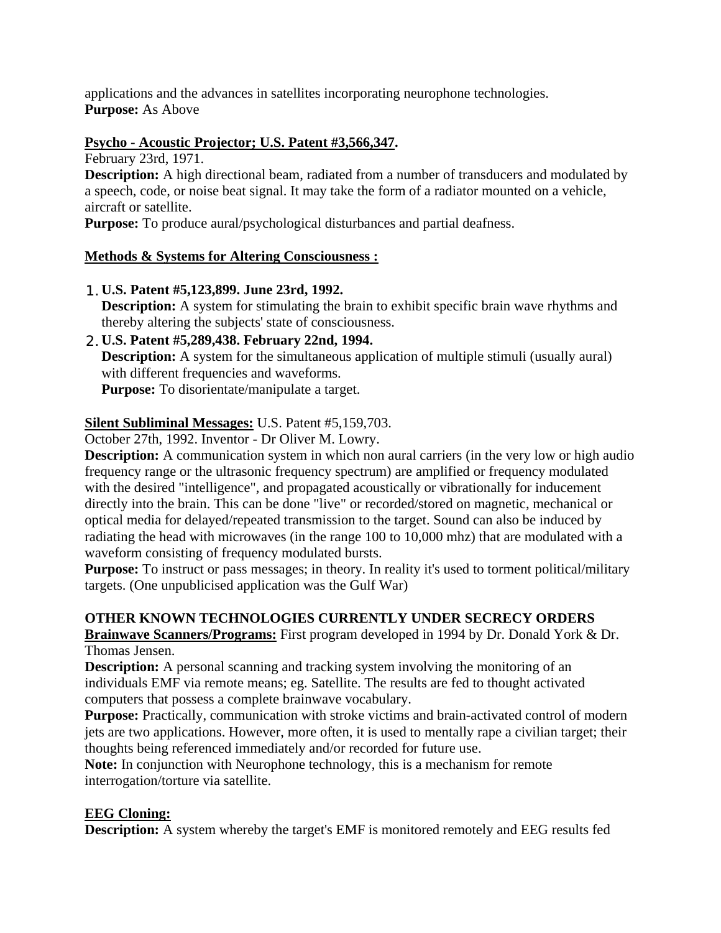applications and the advances in satellites incorporating neurophone technologies. **Purpose:** As Above

### **Psycho - Acoustic Projector; U.S. Patent #3,566,347.**

February 23rd, 1971.

**Description:** A high directional beam, radiated from a number of transducers and modulated by a speech, code, or noise beat signal. It may take the form of a radiator mounted on a vehicle, aircraft or satellite.

**Purpose:** To produce aural/psychological disturbances and partial deafness.

### **Methods & Systems for Altering Consciousness :**

- 1.**U.S. Patent #5,123,899. June 23rd, 1992. Description:** A system for stimulating the brain to exhibit specific brain wave rhythms and thereby altering the subjects' state of consciousness.
- 2.**U.S. Patent #5,289,438. February 22nd, 1994. Description:** A system for the simultaneous application of multiple stimuli (usually aural) with different frequencies and waveforms.

**Purpose:** To disorientate/manipulate a target.

### **Silent Subliminal Messages:** U.S. Patent #5,159,703.

October 27th, 1992. Inventor - Dr Oliver M. Lowry.

**Description:** A communication system in which non aural carriers (in the very low or high audio frequency range or the ultrasonic frequency spectrum) are amplified or frequency modulated with the desired "intelligence", and propagated acoustically or vibrationally for inducement directly into the brain. This can be done "live" or recorded/stored on magnetic, mechanical or optical media for delayed/repeated transmission to the target. Sound can also be induced by radiating the head with microwaves (in the range 100 to 10,000 mhz) that are modulated with a waveform consisting of frequency modulated bursts.

**Purpose:** To instruct or pass messages; in theory. In reality it's used to torment political/military targets. (One unpublicised application was the Gulf War)

### **OTHER KNOWN TECHNOLOGIES CURRENTLY UNDER SECRECY ORDERS**

**Brainwave Scanners/Programs:** First program developed in 1994 by Dr. Donald York & Dr. Thomas Jensen.

**Description:** A personal scanning and tracking system involving the monitoring of an individuals EMF via remote means; eg. Satellite. The results are fed to thought activated computers that possess a complete brainwave vocabulary.

**Purpose:** Practically, communication with stroke victims and brain-activated control of modern jets are two applications. However, more often, it is used to mentally rape a civilian target; their thoughts being referenced immediately and/or recorded for future use.

**Note:** In conjunction with Neurophone technology, this is a mechanism for remote interrogation/torture via satellite.

### **EEG Cloning:**

**Description:** A system whereby the target's EMF is monitored remotely and EEG results fed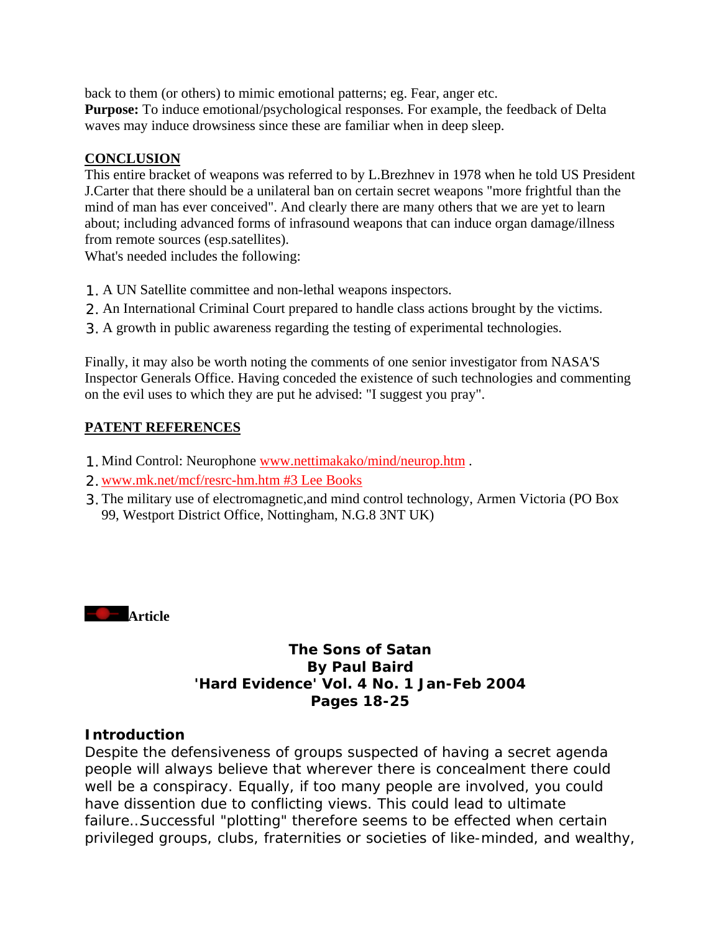back to them (or others) to mimic emotional patterns; eg. Fear, anger etc. **Purpose:** To induce emotional/psychological responses. For example, the feedback of Delta waves may induce drowsiness since these are familiar when in deep sleep.

### **CONCLUSION**

This entire bracket of weapons was referred to by L.Brezhnev in 1978 when he told US President J.Carter that there should be a unilateral ban on certain secret weapons "more frightful than the mind of man has ever conceived". And clearly there are many others that we are yet to learn about; including advanced forms of infrasound weapons that can induce organ damage/illness from remote sources (esp.satellites).

What's needed includes the following:

- 1. A UN Satellite committee and non-lethal weapons inspectors.
- 2. An International Criminal Court prepared to handle class actions brought by the victims.
- 3. A growth in public awareness regarding the testing of experimental technologies.

Finally, it may also be worth noting the comments of one senior investigator from NASA'S Inspector Generals Office. Having conceded the existence of such technologies and commenting on the evil uses to which they are put he advised: "I suggest you pray".

### **PATENT REFERENCES**

- 1.Mind Control: Neurophone www.nettimakako/mind/neurop.htm .
- 2.www.mk.net/mcf/resrc-hm.htm #3 Lee Books
- 3.The military use of electromagnetic,and mind control technology, Armen Victoria (PO Box 99, Westport District Office, Nottingham, N.G.8 3NT UK)



### **The Sons of Satan By Paul Baird 'Hard Evidence' Vol. 4 No. 1 Jan-Feb 2004 Pages 18-25**

### **Introduction**

Despite the defensiveness of groups suspected of having a secret agenda people will always believe that wherever there is concealment there could well be a conspiracy. Equally, if too many people are involved, you could have dissention due to conflicting views. This could lead to ultimate failure…Successful "plotting" therefore seems to be effected when certain privileged groups, clubs, fraternities or societies of like-minded, and wealthy,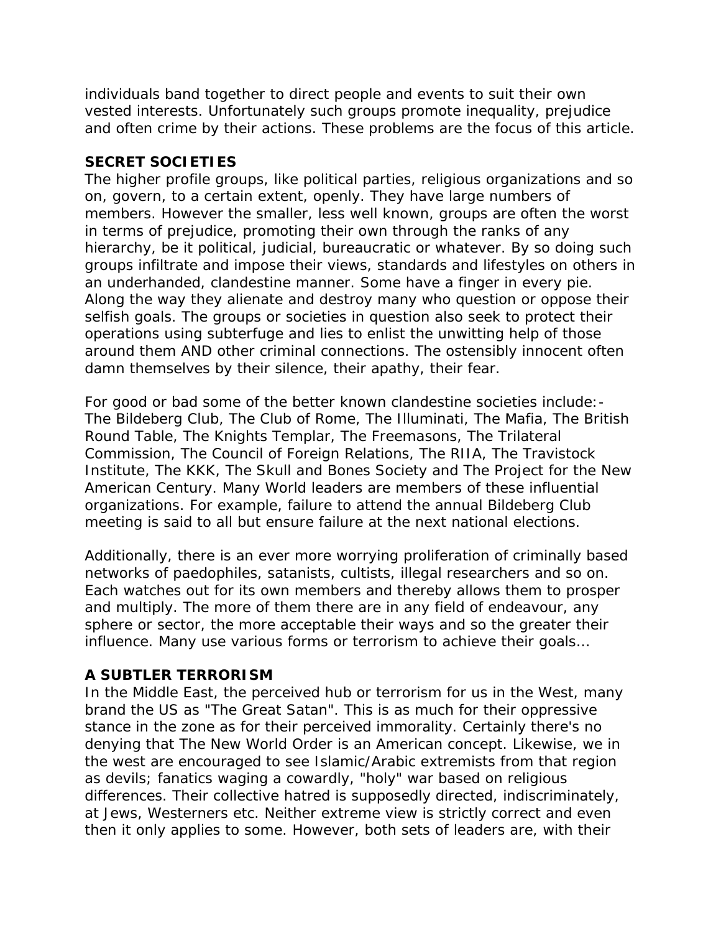individuals band together to direct people and events to suit their own vested interests. Unfortunately such groups promote inequality, prejudice and often crime by their actions. These problems are the focus of this article.

### **SECRET SOCIETIES**

The higher profile groups, like political parties, religious organizations and so on, govern, to a certain extent, openly. They have large numbers of members. However the smaller, less well known, groups are often the worst in terms of prejudice, promoting their own through the ranks of any hierarchy, be it political, judicial, bureaucratic or whatever. By so doing such groups infiltrate and impose their views, standards and lifestyles on others in an underhanded, clandestine manner. Some have a finger in every pie. Along the way they alienate and destroy many who question or oppose their selfish goals. The groups or societies in question also seek to protect their operations using subterfuge and lies to enlist the unwitting help of those around them AND other criminal connections. The ostensibly innocent often damn themselves by their silence, their apathy, their fear.

For good or bad some of the better known clandestine societies include:- The Bildeberg Club, The Club of Rome, The Illuminati, The Mafia, The British Round Table, The Knights Templar, The Freemasons, The Trilateral Commission, The Council of Foreign Relations, The RIIA, The Travistock Institute, The KKK, The Skull and Bones Society and The Project for the New American Century. Many World leaders are members of these influential organizations. For example, failure to attend the annual Bildeberg Club meeting is said to all but ensure failure at the next national elections.

Additionally, there is an ever more worrying proliferation of criminally based networks of paedophiles, satanists, cultists, illegal researchers and so on. Each watches out for its own members and thereby allows them to prosper and multiply. The more of them there are in any field of endeavour, any sphere or sector, the more acceptable their ways and so the greater their influence. Many use various forms or terrorism to achieve their goals…

### **A SUBTLER TERRORISM**

In the Middle East, the perceived hub or terrorism for us in the West, many brand the US as "The Great Satan". This is as much for their oppressive stance in the zone as for their perceived immorality. Certainly there's no denying that The New World Order is an American concept. Likewise, we in the west are encouraged to see Islamic/Arabic extremists from that region as devils; fanatics waging a cowardly, "holy" war based on religious differences. Their collective hatred is supposedly directed, indiscriminately, at Jews, Westerners etc. Neither extreme view is strictly correct and even then it only applies to some. However, both sets of leaders are, with their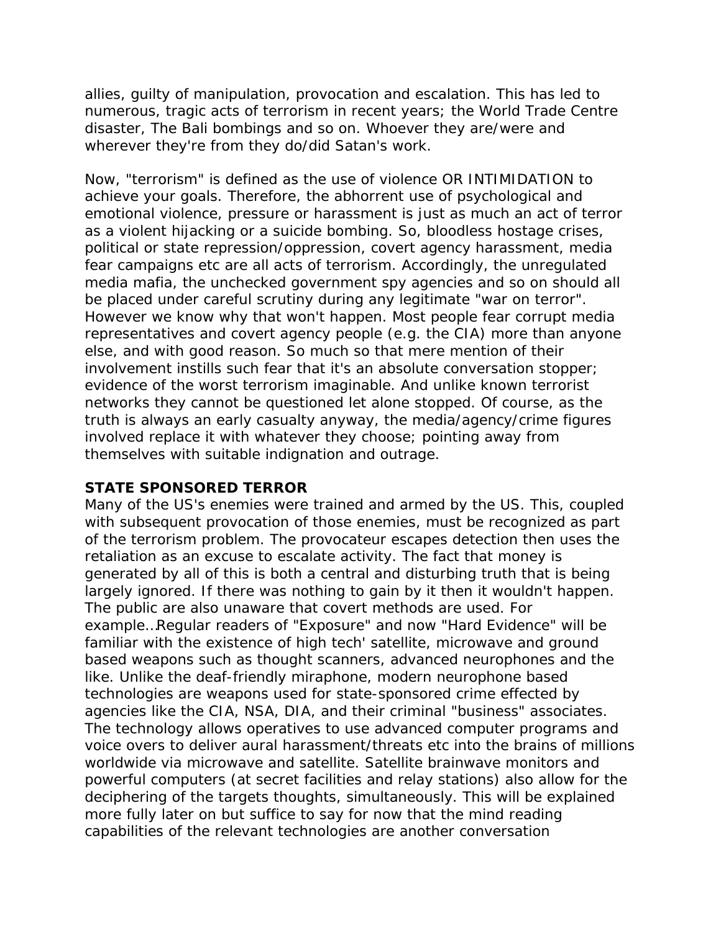allies, guilty of manipulation, provocation and escalation. This has led to numerous, tragic acts of terrorism in recent years; the World Trade Centre disaster, The Bali bombings and so on. Whoever they are/were and wherever they're from they do/did Satan's work.

Now, "terrorism" is defined as the use of violence OR INTIMIDATION to achieve your goals. Therefore, the abhorrent use of psychological and emotional violence, pressure or harassment is just as much an act of terror as a violent hijacking or a suicide bombing. So, bloodless hostage crises, political or state repression/oppression, covert agency harassment, media fear campaigns etc are all acts of terrorism. Accordingly, the unregulated media mafia, the unchecked government spy agencies and so on should all be placed under careful scrutiny during any legitimate "war on terror". However we know why that won't happen. Most people fear corrupt media representatives and covert agency people (e.g. the CIA) more than anyone else, and with good reason. So much so that mere mention of their involvement instills such fear that it's an absolute conversation stopper; evidence of the worst terrorism imaginable. And unlike known terrorist networks they cannot be questioned let alone stopped. Of course, as the truth is always an early casualty anyway, the media/agency/crime figures involved replace it with whatever they choose; pointing away from themselves with suitable indignation and outrage.

### **STATE SPONSORED TERROR**

Many of the US's enemies were trained and armed by the US. This, coupled with subsequent provocation of those enemies, must be recognized as part of the terrorism problem. The provocateur escapes detection then uses the retaliation as an excuse to escalate activity. The fact that money is generated by all of this is both a central and disturbing truth that is being largely ignored. If there was nothing to gain by it then it wouldn't happen. The public are also unaware that covert methods are used. For example…Regular readers of "Exposure" and now "Hard Evidence" will be familiar with the existence of high tech' satellite, microwave and ground based weapons such as thought scanners, advanced neurophones and the like. Unlike the deaf-friendly miraphone, modern neurophone based technologies are weapons used for state-sponsored crime effected by agencies like the CIA, NSA, DIA, and their criminal "business" associates. The technology allows operatives to use advanced computer programs and voice overs to deliver aural harassment/threats etc into the brains of millions worldwide via microwave and satellite. Satellite brainwave monitors and powerful computers (at secret facilities and relay stations) also allow for the deciphering of the targets thoughts, simultaneously. This will be explained more fully later on but suffice to say for now that the mind reading capabilities of the relevant technologies are another conversation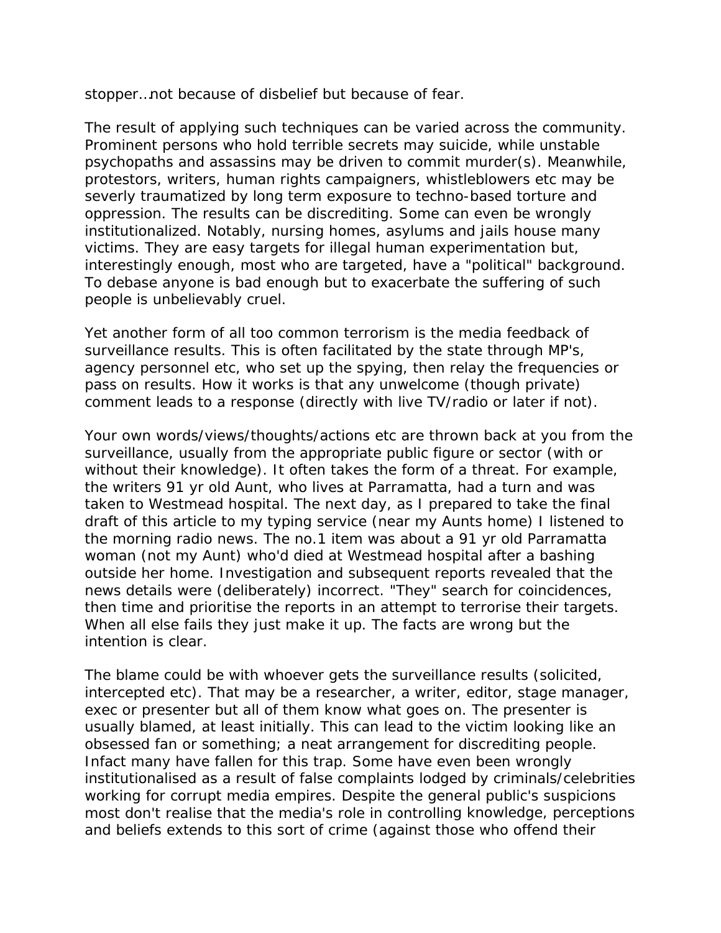stopper…not because of disbelief but because of fear.

The result of applying such techniques can be varied across the community. Prominent persons who hold terrible secrets may suicide, while unstable psychopaths and assassins may be driven to commit murder(s). Meanwhile, protestors, writers, human rights campaigners, whistleblowers etc may be severly traumatized by long term exposure to techno-based torture and oppression. The results can be discrediting. Some can even be wrongly institutionalized. Notably, nursing homes, asylums and jails house many victims. They are easy targets for illegal human experimentation but, interestingly enough, most who are targeted, have a "political" background. To debase anyone is bad enough but to exacerbate the suffering of such people is unbelievably cruel.

Yet another form of all too common terrorism is the media feedback of surveillance results. This is often facilitated by the state through MP's, agency personnel etc, who set up the spying, then relay the frequencies or pass on results. How it works is that any unwelcome (though private) comment leads to a response (directly with live TV/radio or later if not).

Your own words/views/thoughts/actions etc are thrown back at you from the surveillance, usually from the appropriate public figure or sector (with or without their knowledge). It often takes the form of a threat. For example, the writers 91 yr old Aunt, who lives at Parramatta, had a turn and was taken to Westmead hospital. The next day, as I prepared to take the final draft of this article to my typing service (near my Aunts home) I listened to the morning radio news. The no.1 item was about a 91 yr old Parramatta woman (not my Aunt) who'd died at Westmead hospital after a bashing outside her home. Investigation and subsequent reports revealed that the news details were (deliberately) incorrect. "They" search for coincidences, then time and prioritise the reports in an attempt to terrorise their targets. When all else fails they just make it up. The facts are wrong but the intention is clear.

The blame could be with whoever gets the surveillance results (solicited, intercepted etc). That may be a researcher, a writer, editor, stage manager, exec or presenter but all of them know what goes on. The presenter is usually blamed, at least initially. This can lead to the victim looking like an obsessed fan or something; a neat arrangement for discrediting people. Infact many have fallen for this trap. Some have even been wrongly institutionalised as a result of false complaints lodged by criminals/celebrities working for corrupt media empires. Despite the general public's suspicions most don't realise that the media's role in controlling knowledge, perceptions and beliefs extends to this sort of crime (against those who offend their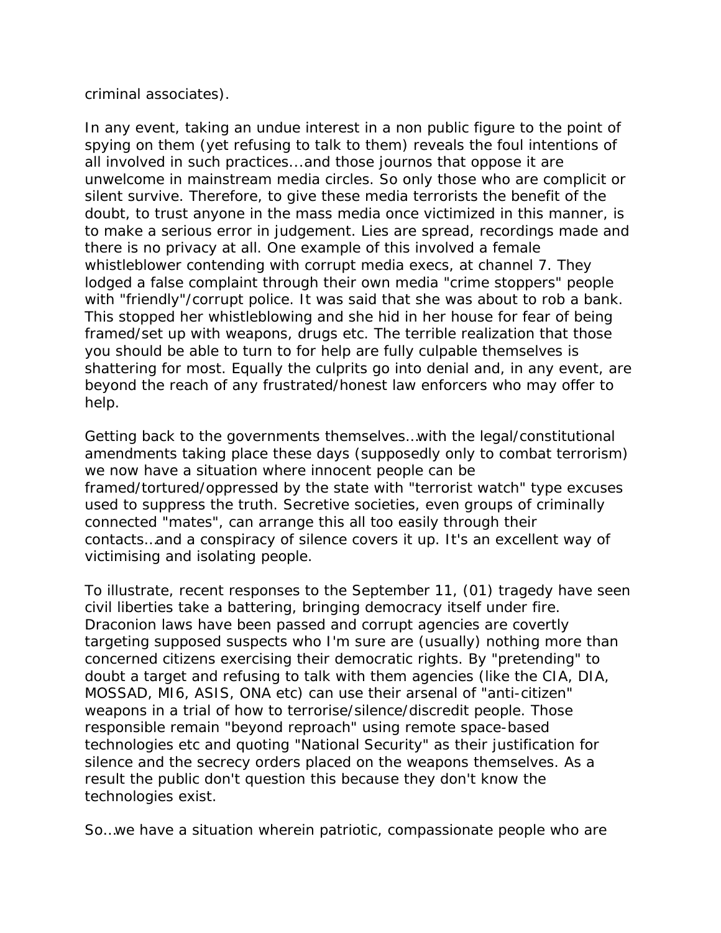criminal associates).

In any event, taking an undue interest in a non public figure to the point of spying on them (yet refusing to talk to them) reveals the foul intentions of all involved in such practices...and those journos that oppose it are unwelcome in mainstream media circles. So only those who are complicit or silent survive. Therefore, to give these media terrorists the benefit of the doubt, to trust anyone in the mass media once victimized in this manner, is to make a serious error in judgement. Lies are spread, recordings made and there is no privacy at all. One example of this involved a female whistleblower contending with corrupt media execs, at channel 7. They lodged a false complaint through their own media "crime stoppers" people with "friendly"/corrupt police. It was said that she was about to rob a bank. This stopped her whistleblowing and she hid in her house for fear of being framed/set up with weapons, drugs etc. The terrible realization that those you should be able to turn to for help are fully culpable themselves is shattering for most. Equally the culprits go into denial and, in any event, are beyond the reach of any frustrated/honest law enforcers who may offer to help.

Getting back to the governments themselves…with the legal/constitutional amendments taking place these days (supposedly only to combat terrorism) we now have a situation where innocent people can be framed/tortured/oppressed by the state with "terrorist watch" type excuses used to suppress the truth. Secretive societies, even groups of criminally connected "mates", can arrange this all too easily through their contacts…and a conspiracy of silence covers it up. It's an excellent way of victimising and isolating people.

To illustrate, recent responses to the September 11, (01) tragedy have seen civil liberties take a battering, bringing democracy itself under fire. Draconion laws have been passed and corrupt agencies are covertly targeting supposed suspects who I'm sure are (usually) nothing more than concerned citizens exercising their democratic rights. By "pretending" to doubt a target and refusing to talk with them agencies (like the CIA, DIA, MOSSAD, MI6, ASIS, ONA etc) can use their arsenal of "anti-citizen" weapons in a trial of how to terrorise/silence/discredit people. Those responsible remain "beyond reproach" using remote space-based technologies etc and quoting "National Security" as their justification for silence and the secrecy orders placed on the weapons themselves. As a result the public don't question this because they don't know the technologies exist.

So…we have a situation wherein patriotic, compassionate people who are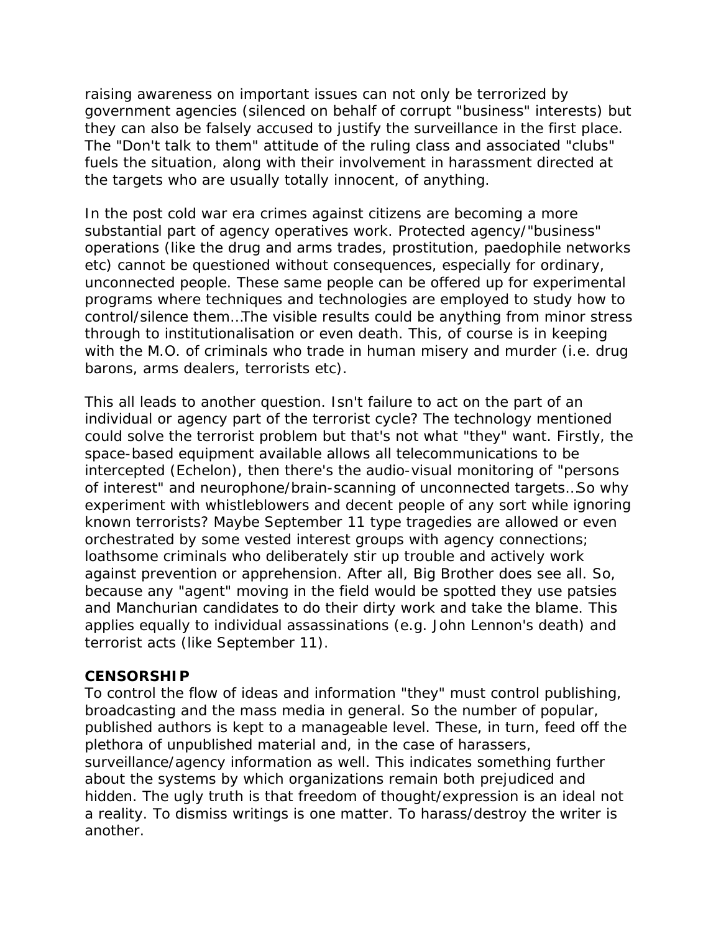raising awareness on important issues can not only be terrorized by government agencies (silenced on behalf of corrupt "business" interests) but they can also be falsely accused to justify the surveillance in the first place. The "Don't talk to them" attitude of the ruling class and associated "clubs" fuels the situation, along with their involvement in harassment directed at the targets who are usually totally innocent, of anything.

In the post cold war era crimes against citizens are becoming a more substantial part of agency operatives work. Protected agency/"business" operations (like the drug and arms trades, prostitution, paedophile networks etc) cannot be questioned without consequences, especially for ordinary, unconnected people. These same people can be offered up for experimental programs where techniques and technologies are employed to study how to control/silence them…The visible results could be anything from minor stress through to institutionalisation or even death. This, of course is in keeping with the M.O. of criminals who trade in human misery and murder (i.e. drug barons, arms dealers, terrorists etc).

This all leads to another question. Isn't failure to act on the part of an individual or agency part of the terrorist cycle? The technology mentioned could solve the terrorist problem but that's not what "they" want. Firstly, the space-based equipment available allows all telecommunications to be intercepted (Echelon), then there's the audio-visual monitoring of "persons of interest" and neurophone/brain-scanning of unconnected targets…So why experiment with whistleblowers and decent people of any sort while ignoring known terrorists? Maybe September 11 type tragedies are allowed or even orchestrated by some vested interest groups with agency connections; loathsome criminals who deliberately stir up trouble and actively work against prevention or apprehension. After all, Big Brother does see all. So, because any "agent" moving in the field would be spotted they use patsies and Manchurian candidates to do their dirty work and take the blame. This applies equally to individual assassinations (e.g. John Lennon's death) and terrorist acts (like September 11).

#### **CENSORSHIP**

To control the flow of ideas and information "they" must control publishing, broadcasting and the mass media in general. So the number of popular, published authors is kept to a manageable level. These, in turn, feed off the plethora of unpublished material and, in the case of harassers, surveillance/agency information as well. This indicates something further about the systems by which organizations remain both prejudiced and hidden. The ugly truth is that freedom of thought/expression is an ideal not a reality. To dismiss writings is one matter. To harass/destroy the writer is another.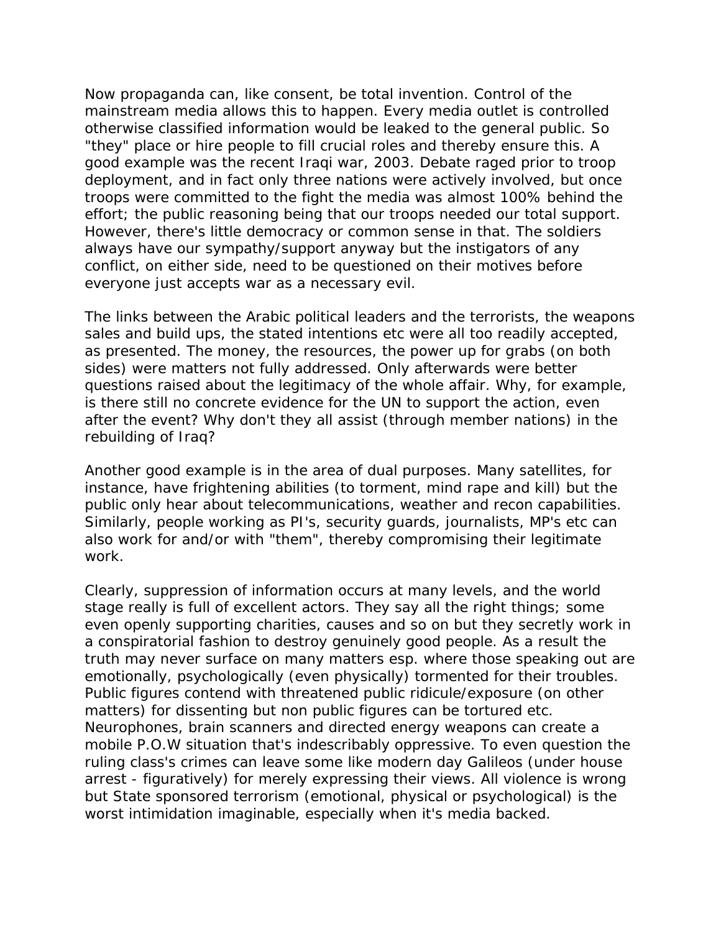Now propaganda can, like consent, be total invention. Control of the mainstream media allows this to happen. Every media outlet is controlled otherwise classified information would be leaked to the general public. So "they" place or hire people to fill crucial roles and thereby ensure this. A good example was the recent Iraqi war, 2003. Debate raged prior to troop deployment, and in fact only three nations were actively involved, but once troops were committed to the fight the media was almost 100% behind the effort; the public reasoning being that our troops needed our total support. However, there's little democracy or common sense in that. The soldiers always have our sympathy/support anyway but the instigators of any conflict, on either side, need to be questioned on their motives before everyone just accepts war as a necessary evil.

The links between the Arabic political leaders and the terrorists, the weapons sales and build ups, the stated intentions etc were all too readily accepted, as presented. The money, the resources, the power up for grabs (on both sides) were matters not fully addressed. Only afterwards were better questions raised about the legitimacy of the whole affair. Why, for example, is there still no concrete evidence for the UN to support the action, even after the event? Why don't they all assist (through member nations) in the rebuilding of Iraq?

Another good example is in the area of dual purposes. Many satellites, for instance, have frightening abilities (to torment, mind rape and kill) but the public only hear about telecommunications, weather and recon capabilities. Similarly, people working as PI's, security guards, journalists, MP's etc can also work for and/or with "them", thereby compromising their legitimate work.

Clearly, suppression of information occurs at many levels, and the world stage really is full of excellent actors. They say all the right things; some even openly supporting charities, causes and so on but they secretly work in a conspiratorial fashion to destroy genuinely good people. As a result the truth may never surface on many matters esp. where those speaking out are emotionally, psychologically (even physically) tormented for their troubles. Public figures contend with threatened public ridicule/exposure (on other matters) for dissenting but non public figures can be tortured etc. Neurophones, brain scanners and directed energy weapons can create a mobile P.O.W situation that's indescribably oppressive. To even question the ruling class's crimes can leave some like modern day Galileos (under house arrest - figuratively) for merely expressing their views. All violence is wrong but State sponsored terrorism (emotional, physical or psychological) is the worst intimidation imaginable, especially when it's media backed.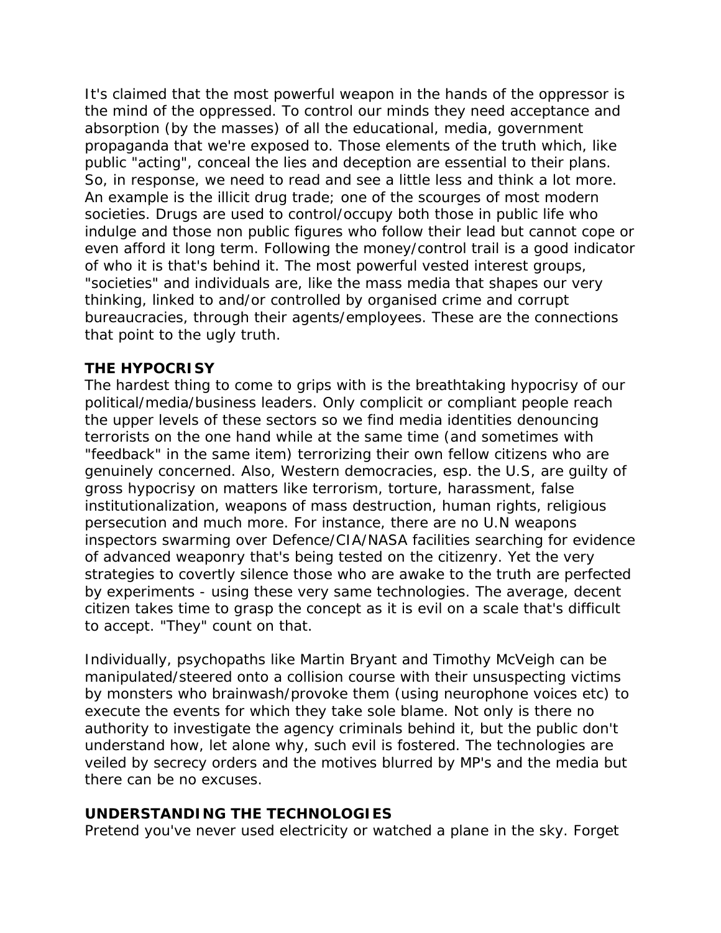It's claimed that the most powerful weapon in the hands of the oppressor is the mind of the oppressed. To control our minds they need acceptance and absorption (by the masses) of all the educational, media, government propaganda that we're exposed to. Those elements of the truth which, like public "acting", conceal the lies and deception are essential to their plans. So, in response, we need to read and see a little less and think a lot more. An example is the illicit drug trade; one of the scourges of most modern societies. Drugs are used to control/occupy both those in public life who indulge and those non public figures who follow their lead but cannot cope or even afford it long term. Following the money/control trail is a good indicator of who it is that's behind it. The most powerful vested interest groups, "societies" and individuals are, like the mass media that shapes our very thinking, linked to and/or controlled by organised crime and corrupt bureaucracies, through their agents/employees. These are the connections that point to the ugly truth.

### **THE HYPOCRISY**

The hardest thing to come to grips with is the breathtaking hypocrisy of our political/media/business leaders. Only complicit or compliant people reach the upper levels of these sectors so we find media identities denouncing terrorists on the one hand while at the same time (and sometimes with "feedback" in the same item) terrorizing their own fellow citizens who are genuinely concerned. Also, Western democracies, esp. the U.S, are guilty of gross hypocrisy on matters like terrorism, torture, harassment, false institutionalization, weapons of mass destruction, human rights, religious persecution and much more. For instance, there are no U.N weapons inspectors swarming over Defence/CIA/NASA facilities searching for evidence of advanced weaponry that's being tested on the citizenry. Yet the very strategies to covertly silence those who are awake to the truth are perfected by experiments - using these very same technologies. The average, decent citizen takes time to grasp the concept as it is evil on a scale that's difficult to accept. "They" count on that.

Individually, psychopaths like Martin Bryant and Timothy McVeigh can be manipulated/steered onto a collision course with their unsuspecting victims by monsters who brainwash/provoke them (using neurophone voices etc) to execute the events for which they take sole blame. Not only is there no authority to investigate the agency criminals behind it, but the public don't understand how, let alone why, such evil is fostered. The technologies are veiled by secrecy orders and the motives blurred by MP's and the media but there can be no excuses.

### **UNDERSTANDING THE TECHNOLOGIES**

Pretend you've never used electricity or watched a plane in the sky. Forget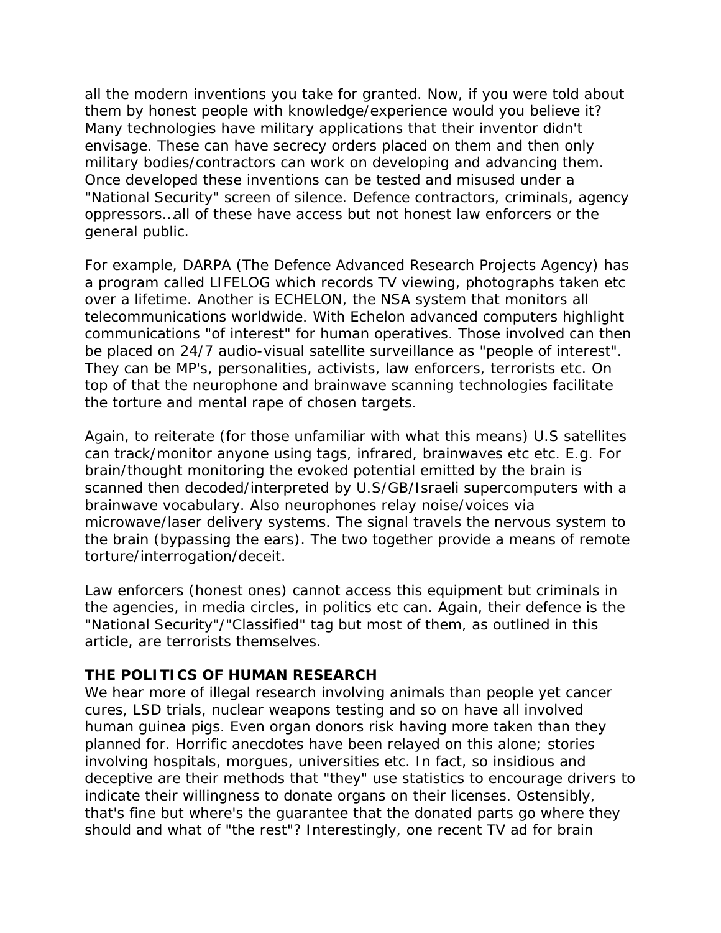all the modern inventions you take for granted. Now, if you were told about them by honest people with knowledge/experience would you believe it? Many technologies have military applications that their inventor didn't envisage. These can have secrecy orders placed on them and then only military bodies/contractors can work on developing and advancing them. Once developed these inventions can be tested and misused under a "National Security" screen of silence. Defence contractors, criminals, agency oppressors…all of these have access but not honest law enforcers or the general public.

For example, DARPA (The Defence Advanced Research Projects Agency) has a program called LIFELOG which records TV viewing, photographs taken etc over a lifetime. Another is ECHELON, the NSA system that monitors all telecommunications worldwide. With Echelon advanced computers highlight communications "of interest" for human operatives. Those involved can then be placed on 24/7 audio-visual satellite surveillance as "people of interest". They can be MP's, personalities, activists, law enforcers, terrorists etc. On top of that the neurophone and brainwave scanning technologies facilitate the torture and mental rape of chosen targets.

Again, to reiterate (for those unfamiliar with what this means) U.S satellites can track/monitor anyone using tags, infrared, brainwaves etc etc. E.g. For brain/thought monitoring the evoked potential emitted by the brain is scanned then decoded/interpreted by U.S/GB/Israeli supercomputers with a brainwave vocabulary. Also neurophones relay noise/voices via microwave/laser delivery systems. The signal travels the nervous system to the brain (bypassing the ears). The two together provide a means of remote torture/interrogation/deceit.

Law enforcers (honest ones) cannot access this equipment but criminals in the agencies, in media circles, in politics etc can. Again, their defence is the "National Security"/"Classified" tag but most of them, as outlined in this article, are terrorists themselves.

### **THE POLITICS OF HUMAN RESEARCH**

We hear more of illegal research involving animals than people yet cancer cures, LSD trials, nuclear weapons testing and so on have all involved human guinea pigs. Even organ donors risk having more taken than they planned for. Horrific anecdotes have been relayed on this alone; stories involving hospitals, morgues, universities etc. In fact, so insidious and deceptive are their methods that "they" use statistics to encourage drivers to indicate their willingness to donate organs on their licenses. Ostensibly, that's fine but where's the guarantee that the donated parts go where they should and what of "the rest"? Interestingly, one recent TV ad for brain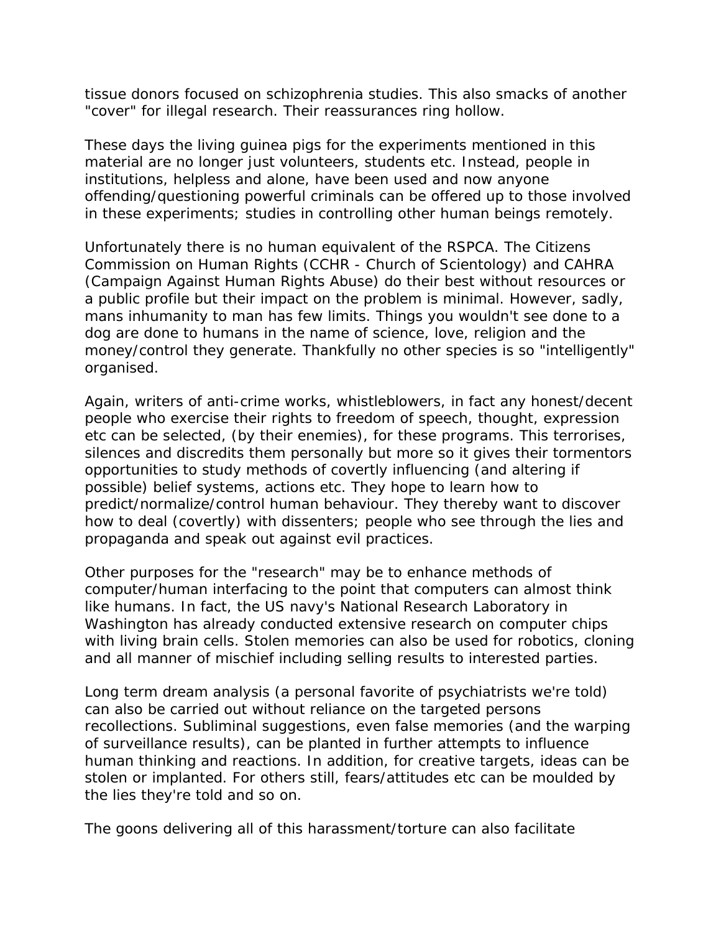tissue donors focused on schizophrenia studies. This also smacks of another "cover" for illegal research. Their reassurances ring hollow.

These days the living guinea pigs for the experiments mentioned in this material are no longer just volunteers, students etc. Instead, people in institutions, helpless and alone, have been used and now anyone offending/questioning powerful criminals can be offered up to those involved in these experiments; studies in controlling other human beings remotely.

Unfortunately there is no human equivalent of the RSPCA. The Citizens Commission on Human Rights (CCHR - Church of Scientology) and CAHRA (Campaign Against Human Rights Abuse) do their best without resources or a public profile but their impact on the problem is minimal. However, sadly, mans inhumanity to man has few limits. Things you wouldn't see done to a dog are done to humans in the name of science, love, religion and the money/control they generate. Thankfully no other species is so "intelligently" organised.

Again, writers of anti-crime works, whistleblowers, in fact any honest/decent people who exercise their rights to freedom of speech, thought, expression etc can be selected, (by their enemies), for these programs. This terrorises, silences and discredits them personally but more so it gives their tormentors opportunities to study methods of covertly influencing (and altering if possible) belief systems, actions etc. They hope to learn how to predict/normalize/control human behaviour. They thereby want to discover how to deal (covertly) with dissenters; people who see through the lies and propaganda and speak out against evil practices.

Other purposes for the "research" may be to enhance methods of computer/human interfacing to the point that computers can almost think like humans. In fact, the US navy's National Research Laboratory in Washington has already conducted extensive research on computer chips with living brain cells. Stolen memories can also be used for robotics, cloning and all manner of mischief including selling results to interested parties.

Long term dream analysis (a personal favorite of psychiatrists we're told) can also be carried out without reliance on the targeted persons recollections. Subliminal suggestions, even false memories (and the warping of surveillance results), can be planted in further attempts to influence human thinking and reactions. In addition, for creative targets, ideas can be stolen or implanted. For others still, fears/attitudes etc can be moulded by the lies they're told and so on.

The goons delivering all of this harassment/torture can also facilitate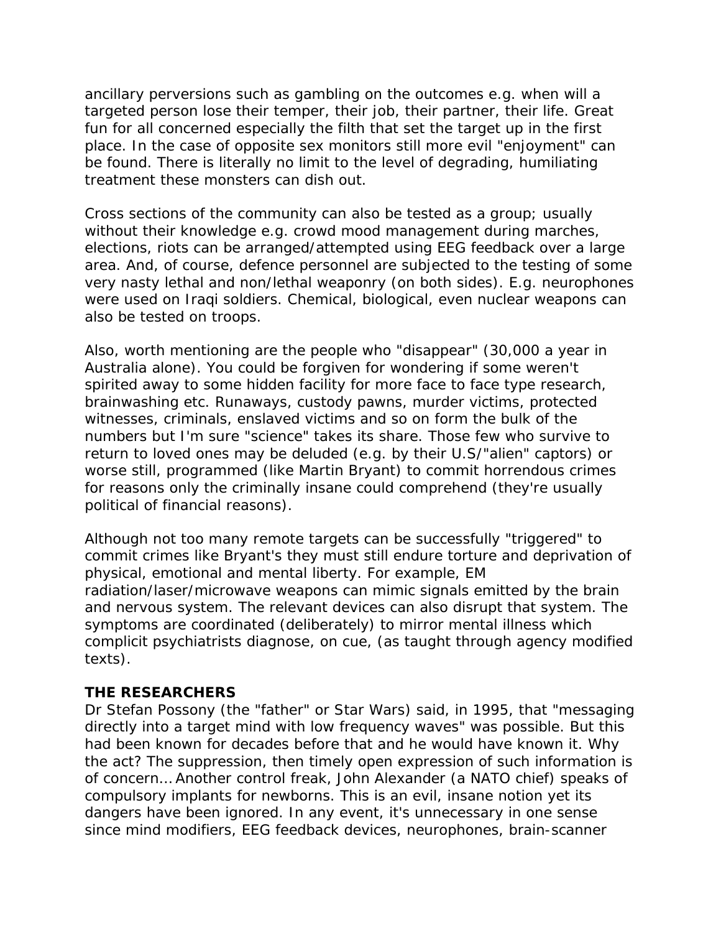ancillary perversions such as gambling on the outcomes e.g. when will a targeted person lose their temper, their job, their partner, their life. Great fun for all concerned especially the filth that set the target up in the first place. In the case of opposite sex monitors still more evil "enjoyment" can be found. There is literally no limit to the level of degrading, humiliating treatment these monsters can dish out.

Cross sections of the community can also be tested as a group; usually without their knowledge e.g. crowd mood management during marches, elections, riots can be arranged/attempted using EEG feedback over a large area. And, of course, defence personnel are subjected to the testing of some very nasty lethal and non/lethal weaponry (on both sides). E.g. neurophones were used on Iraqi soldiers. Chemical, biological, even nuclear weapons can also be tested on troops.

Also, worth mentioning are the people who "disappear" (30,000 a year in Australia alone). You could be forgiven for wondering if some weren't spirited away to some hidden facility for more face to face type research, brainwashing etc. Runaways, custody pawns, murder victims, protected witnesses, criminals, enslaved victims and so on form the bulk of the numbers but I'm sure "science" takes its share. Those few who survive to return to loved ones may be deluded (e.g. by their U.S/"alien" captors) or worse still, programmed (like Martin Bryant) to commit horrendous crimes for reasons only the criminally insane could comprehend (they're usually political of financial reasons).

Although not too many remote targets can be successfully "triggered" to commit crimes like Bryant's they must still endure torture and deprivation of physical, emotional and mental liberty. For example, EM radiation/laser/microwave weapons can mimic signals emitted by the brain and nervous system. The relevant devices can also disrupt that system. The symptoms are coordinated (deliberately) to mirror mental illness which complicit psychiatrists diagnose, on cue, (as taught through agency modified texts).

### **THE RESEARCHERS**

Dr Stefan Possony (the "father" or Star Wars) said, in 1995, that "messaging directly into a target mind with low frequency waves" was possible. But this had been known for decades before that and he would have known it. Why the act? The suppression, then timely open expression of such information is of concern… Another control freak, John Alexander (a NATO chief) speaks of compulsory implants for newborns. This is an evil, insane notion yet its dangers have been ignored. In any event, it's unnecessary in one sense since mind modifiers, EEG feedback devices, neurophones, brain-scanner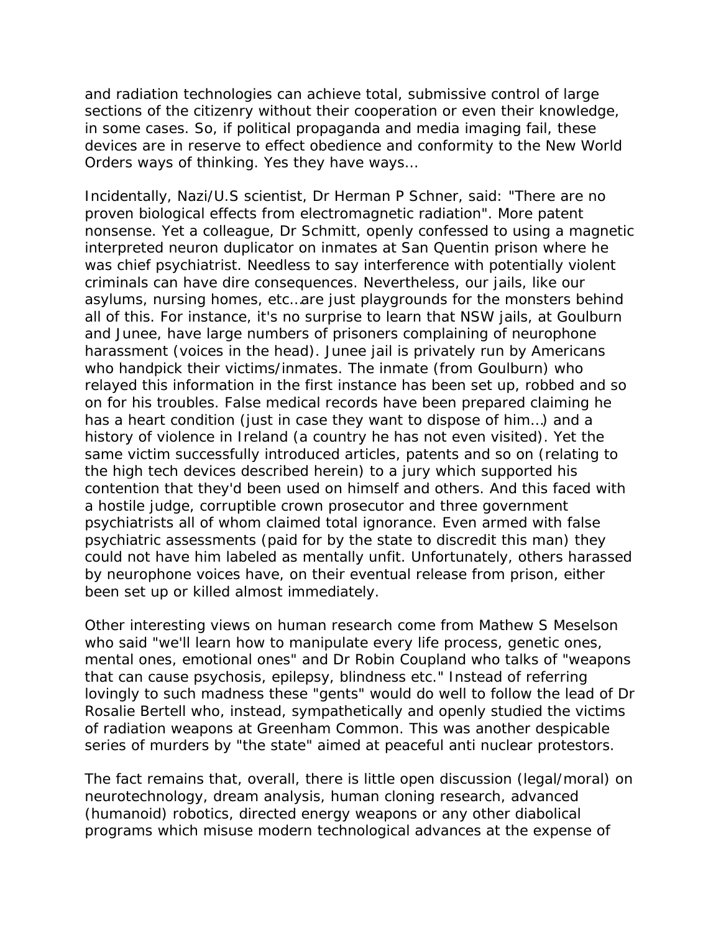and radiation technologies can achieve total, submissive control of large sections of the citizenry without their cooperation or even their knowledge, in some cases. So, if political propaganda and media imaging fail, these devices are in reserve to effect obedience and conformity to the New World Orders ways of thinking. Yes they have ways…

Incidentally, Nazi/U.S scientist, Dr Herman P Schner, said: "There are no proven biological effects from electromagnetic radiation". More patent nonsense. Yet a colleague, Dr Schmitt, openly confessed to using a magnetic interpreted neuron duplicator on inmates at San Quentin prison where he was chief psychiatrist. Needless to say interference with potentially violent criminals can have dire consequences. Nevertheless, our jails, like our asylums, nursing homes, etc…are just playgrounds for the monsters behind all of this. For instance, it's no surprise to learn that NSW jails, at Goulburn and Junee, have large numbers of prisoners complaining of neurophone harassment (voices in the head). Junee jail is privately run by Americans who handpick their victims/inmates. The inmate (from Goulburn) who relayed this information in the first instance has been set up, robbed and so on for his troubles. False medical records have been prepared claiming he has a heart condition (just in case they want to dispose of him…) and a history of violence in Ireland (a country he has not even visited). Yet the same victim successfully introduced articles, patents and so on (relating to the high tech devices described herein) to a jury which supported his contention that they'd been used on himself and others. And this faced with a hostile judge, corruptible crown prosecutor and three government psychiatrists all of whom claimed total ignorance. Even armed with false psychiatric assessments (paid for by the state to discredit this man) they could not have him labeled as mentally unfit. Unfortunately, others harassed by neurophone voices have, on their eventual release from prison, either been set up or killed almost immediately.

Other interesting views on human research come from Mathew S Meselson who said "we'll learn how to manipulate every life process, genetic ones, mental ones, emotional ones" and Dr Robin Coupland who talks of "weapons that can cause psychosis, epilepsy, blindness etc." Instead of referring lovingly to such madness these "gents" would do well to follow the lead of Dr Rosalie Bertell who, instead, sympathetically and openly studied the victims of radiation weapons at Greenham Common. This was another despicable series of murders by "the state" aimed at peaceful anti nuclear protestors.

The fact remains that, overall, there is little open discussion (legal/moral) on neurotechnology, dream analysis, human cloning research, advanced (humanoid) robotics, directed energy weapons or any other diabolical programs which misuse modern technological advances at the expense of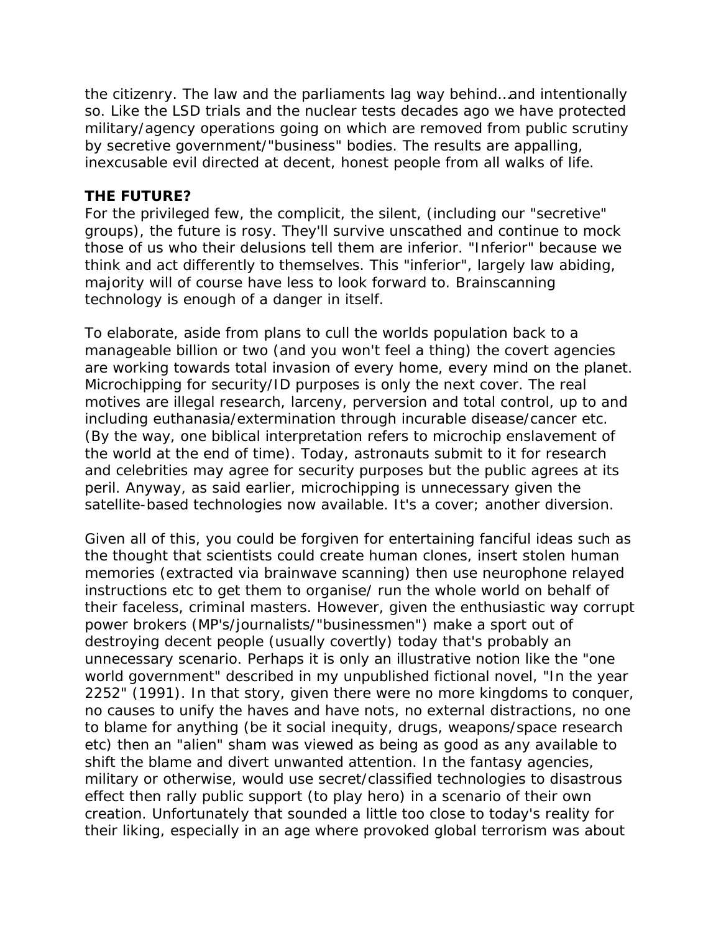the citizenry. The law and the parliaments lag way behind…and intentionally so. Like the LSD trials and the nuclear tests decades ago we have protected military/agency operations going on which are removed from public scrutiny by secretive government/"business" bodies. The results are appalling, inexcusable evil directed at decent, honest people from all walks of life.

### **THE FUTURE?**

For the privileged few, the complicit, the silent, (including our "secretive" groups), the future is rosy. They'll survive unscathed and continue to mock those of us who their delusions tell them are inferior. "Inferior" because we think and act differently to themselves. This "inferior", largely law abiding, majority will of course have less to look forward to. Brainscanning technology is enough of a danger in itself.

To elaborate, aside from plans to cull the worlds population back to a manageable billion or two (and you won't feel a thing) the covert agencies are working towards total invasion of every home, every mind on the planet. Microchipping for security/ID purposes is only the next cover. The real motives are illegal research, larceny, perversion and total control, up to and including euthanasia/extermination through incurable disease/cancer etc. (By the way, one biblical interpretation refers to microchip enslavement of the world at the end of time). Today, astronauts submit to it for research and celebrities may agree for security purposes but the public agrees at its peril. Anyway, as said earlier, microchipping is unnecessary given the satellite-based technologies now available. It's a cover; another diversion.

Given all of this, you could be forgiven for entertaining fanciful ideas such as the thought that scientists could create human clones, insert stolen human memories (extracted via brainwave scanning) then use neurophone relayed instructions etc to get them to organise/ run the whole world on behalf of their faceless, criminal masters. However, given the enthusiastic way corrupt power brokers (MP's/journalists/"businessmen") make a sport out of destroying decent people (usually covertly) today that's probably an unnecessary scenario. Perhaps it is only an illustrative notion like the "one world government" described in my unpublished fictional novel, "In the year 2252" (1991). In that story, given there were no more kingdoms to conquer, no causes to unify the haves and have nots, no external distractions, no one to blame for anything (be it social inequity, drugs, weapons/space research etc) then an "alien" sham was viewed as being as good as any available to shift the blame and divert unwanted attention. In the fantasy agencies, military or otherwise, would use secret/classified technologies to disastrous effect then rally public support (to play hero) in a scenario of their own creation. Unfortunately that sounded a little too close to today's reality for their liking, especially in an age where provoked global terrorism was about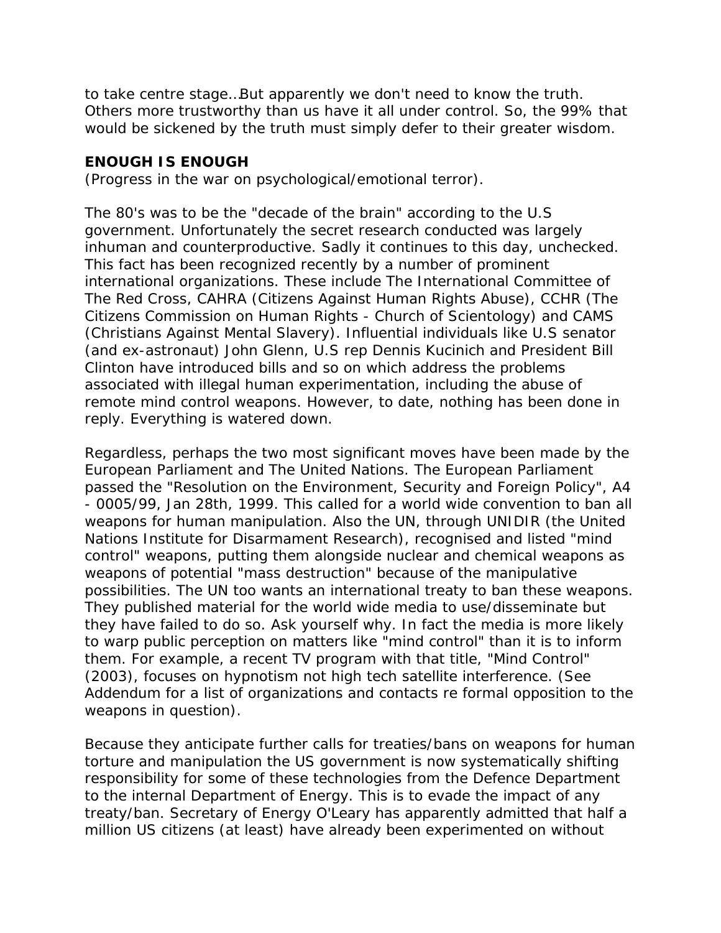to take centre stage…But apparently we don't need to know the truth. Others more trustworthy than us have it all under control. So, the 99% that would be sickened by the truth must simply defer to their greater wisdom.

### **ENOUGH IS ENOUGH**

(Progress in the war on psychological/emotional terror).

The 80's was to be the "decade of the brain" according to the U.S government. Unfortunately the secret research conducted was largely inhuman and counterproductive. Sadly it continues to this day, unchecked. This fact has been recognized recently by a number of prominent international organizations. These include The International Committee of The Red Cross, CAHRA (Citizens Against Human Rights Abuse), CCHR (The Citizens Commission on Human Rights - Church of Scientology) and CAMS (Christians Against Mental Slavery). Influential individuals like U.S senator (and ex-astronaut) John Glenn, U.S rep Dennis Kucinich and President Bill Clinton have introduced bills and so on which address the problems associated with illegal human experimentation, including the abuse of remote mind control weapons. However, to date, nothing has been done in reply. Everything is watered down.

Regardless, perhaps the two most significant moves have been made by the European Parliament and The United Nations. The European Parliament passed the "Resolution on the Environment, Security and Foreign Policy", A4 - 0005/99, Jan 28th, 1999. This called for a world wide convention to ban all weapons for human manipulation. Also the UN, through UNIDIR (the United Nations Institute for Disarmament Research), recognised and listed "mind control" weapons, putting them alongside nuclear and chemical weapons as weapons of potential "mass destruction" because of the manipulative possibilities. The UN too wants an international treaty to ban these weapons. They published material for the world wide media to use/disseminate but they have failed to do so. Ask yourself why. In fact the media is more likely to warp public perception on matters like "mind control" than it is to inform them. For example, a recent TV program with that title, "Mind Control" (2003), focuses on hypnotism not high tech satellite interference. (See Addendum for a list of organizations and contacts re formal opposition to the weapons in question).

Because they anticipate further calls for treaties/bans on weapons for human torture and manipulation the US government is now systematically shifting responsibility for some of these technologies from the Defence Department to the internal Department of Energy. This is to evade the impact of any treaty/ban. Secretary of Energy O'Leary has apparently admitted that half a million US citizens (at least) have already been experimented on without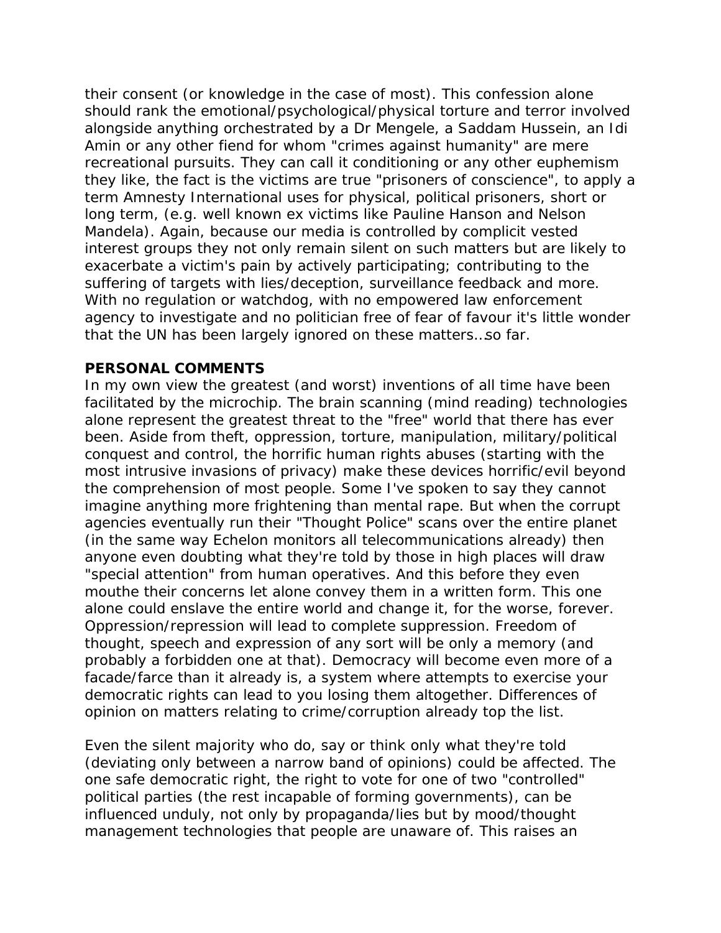their consent (or knowledge in the case of most). This confession alone should rank the emotional/psychological/physical torture and terror involved alongside anything orchestrated by a Dr Mengele, a Saddam Hussein, an Idi Amin or any other fiend for whom "crimes against humanity" are mere recreational pursuits. They can call it conditioning or any other euphemism they like, the fact is the victims are true "prisoners of conscience", to apply a term Amnesty International uses for physical, political prisoners, short or long term, (e.g. well known ex victims like Pauline Hanson and Nelson Mandela). Again, because our media is controlled by complicit vested interest groups they not only remain silent on such matters but are likely to exacerbate a victim's pain by actively participating; contributing to the suffering of targets with lies/deception, surveillance feedback and more. With no regulation or watchdog, with no empowered law enforcement agency to investigate and no politician free of fear of favour it's little wonder that the UN has been largely ignored on these matters…so far.

### **PERSONAL COMMENTS**

In my own view the greatest (and worst) inventions of all time have been facilitated by the microchip. The brain scanning (mind reading) technologies alone represent the greatest threat to the "free" world that there has ever been. Aside from theft, oppression, torture, manipulation, military/political conquest and control, the horrific human rights abuses (starting with the most intrusive invasions of privacy) make these devices horrific/evil beyond the comprehension of most people. Some I've spoken to say they cannot imagine anything more frightening than mental rape. But when the corrupt agencies eventually run their "Thought Police" scans over the entire planet (in the same way Echelon monitors all telecommunications already) then anyone even doubting what they're told by those in high places will draw "special attention" from human operatives. And this before they even mouthe their concerns let alone convey them in a written form. This one alone could enslave the entire world and change it, for the worse, forever. Oppression/repression will lead to complete suppression. Freedom of thought, speech and expression of any sort will be only a memory (and probably a forbidden one at that). Democracy will become even more of a facade/farce than it already is, a system where attempts to exercise your democratic rights can lead to you losing them altogether. Differences of opinion on matters relating to crime/corruption already top the list.

Even the silent majority who do, say or think only what they're told (deviating only between a narrow band of opinions) could be affected. The one safe democratic right, the right to vote for one of two "controlled" political parties (the rest incapable of forming governments), can be influenced unduly, not only by propaganda/lies but by mood/thought management technologies that people are unaware of. This raises an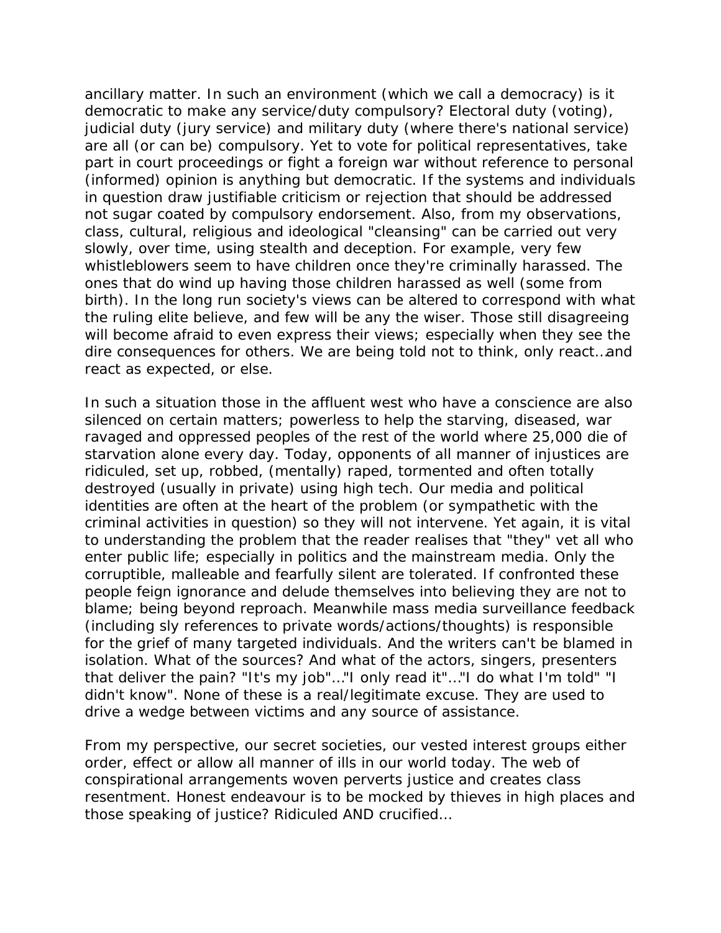ancillary matter. In such an environment (which we call a democracy) is it democratic to make any service/duty compulsory? Electoral duty (voting), judicial duty (jury service) and military duty (where there's national service) are all (or can be) compulsory. Yet to vote for political representatives, take part in court proceedings or fight a foreign war without reference to personal (informed) opinion is anything but democratic. If the systems and individuals in question draw justifiable criticism or rejection that should be addressed not sugar coated by compulsory endorsement. Also, from my observations, class, cultural, religious and ideological "cleansing" can be carried out very slowly, over time, using stealth and deception. For example, very few whistleblowers seem to have children once they're criminally harassed. The ones that do wind up having those children harassed as well (some from birth). In the long run society's views can be altered to correspond with what the ruling elite believe, and few will be any the wiser. Those still disagreeing will become afraid to even express their views; especially when they see the dire consequences for others. We are being told not to think, only react…and react as expected, or else.

In such a situation those in the affluent west who have a conscience are also silenced on certain matters; powerless to help the starving, diseased, war ravaged and oppressed peoples of the rest of the world where 25,000 die of starvation alone every day. Today, opponents of all manner of injustices are ridiculed, set up, robbed, (mentally) raped, tormented and often totally destroyed (usually in private) using high tech. Our media and political identities are often at the heart of the problem (or sympathetic with the criminal activities in question) so they will not intervene. Yet again, it is vital to understanding the problem that the reader realises that "they" vet all who enter public life; especially in politics and the mainstream media. Only the corruptible, malleable and fearfully silent are tolerated. If confronted these people feign ignorance and delude themselves into believing they are not to blame; being beyond reproach. Meanwhile mass media surveillance feedback (including sly references to private words/actions/thoughts) is responsible for the grief of many targeted individuals. And the writers can't be blamed in isolation. What of the sources? And what of the actors, singers, presenters that deliver the pain? "It's my job"…"I only read it"…"I do what I'm told" "I didn't know". None of these is a real/legitimate excuse. They are used to drive a wedge between victims and any source of assistance.

From my perspective, our secret societies, our vested interest groups either order, effect or allow all manner of ills in our world today. The web of conspirational arrangements woven perverts justice and creates class resentment. Honest endeavour is to be mocked by thieves in high places and those speaking of justice? Ridiculed AND crucified…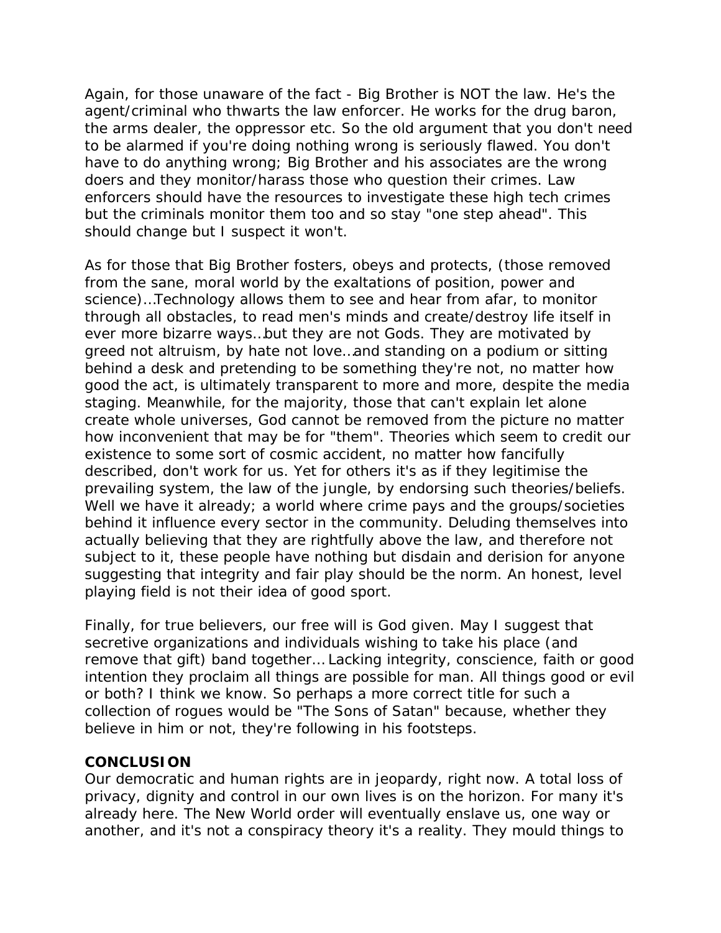Again, for those unaware of the fact - Big Brother is NOT the law. He's the agent/criminal who thwarts the law enforcer. He works for the drug baron, the arms dealer, the oppressor etc. So the old argument that you don't need to be alarmed if you're doing nothing wrong is seriously flawed. You don't have to do anything wrong; Big Brother and his associates are the wrong doers and they monitor/harass those who question their crimes. Law enforcers should have the resources to investigate these high tech crimes but the criminals monitor them too and so stay "one step ahead". This should change but I suspect it won't.

As for those that Big Brother fosters, obeys and protects, (those removed from the sane, moral world by the exaltations of position, power and science)…Technology allows them to see and hear from afar, to monitor through all obstacles, to read men's minds and create/destroy life itself in ever more bizarre ways…but they are not Gods. They are motivated by greed not altruism, by hate not love…and standing on a podium or sitting behind a desk and pretending to be something they're not, no matter how good the act, is ultimately transparent to more and more, despite the media staging. Meanwhile, for the majority, those that can't explain let alone create whole universes, God cannot be removed from the picture no matter how inconvenient that may be for "them". Theories which seem to credit our existence to some sort of cosmic accident, no matter how fancifully described, don't work for us. Yet for others it's as if they legitimise the prevailing system, the law of the jungle, by endorsing such theories/beliefs. Well we have it already; a world where crime pays and the groups/societies behind it influence every sector in the community. Deluding themselves into actually believing that they are rightfully above the law, and therefore not subject to it, these people have nothing but disdain and derision for anyone suggesting that integrity and fair play should be the norm. An honest, level playing field is not their idea of good sport.

Finally, for true believers, our free will is God given. May I suggest that secretive organizations and individuals wishing to take his place (and remove that gift) band together… Lacking integrity, conscience, faith or good intention they proclaim all things are possible for man. All things good or evil or both? I think we know. So perhaps a more correct title for such a collection of rogues would be "The Sons of Satan" because, whether they believe in him or not, they're following in his footsteps.

### **CONCLUSION**

Our democratic and human rights are in jeopardy, right now. A total loss of privacy, dignity and control in our own lives is on the horizon. For many it's already here. The New World order will eventually enslave us, one way or another, and it's not a conspiracy theory it's a reality. They mould things to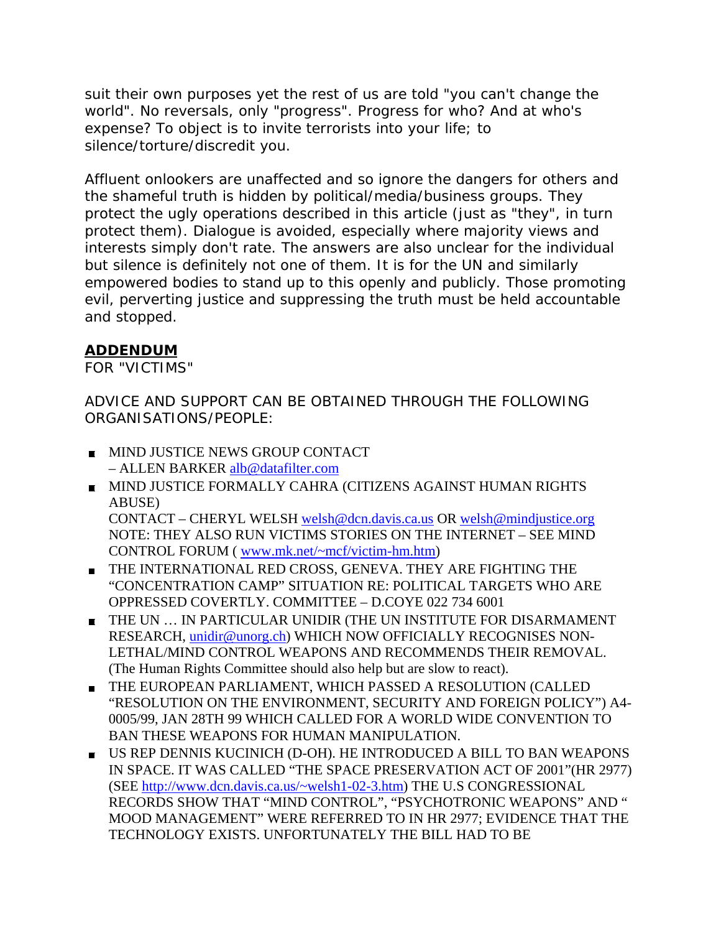suit their own purposes yet the rest of us are told "you can't change the world". No reversals, only "progress". Progress for who? And at who's expense? To object is to invite terrorists into your life; to silence/torture/discredit you.

Affluent onlookers are unaffected and so ignore the dangers for others and the shameful truth is hidden by political/media/business groups. They protect the ugly operations described in this article (just as "they", in turn protect them). Dialogue is avoided, especially where majority views and interests simply don't rate. The answers are also unclear for the individual but silence is definitely not one of them. It is for the UN and similarly empowered bodies to stand up to this openly and publicly. Those promoting evil, perverting justice and suppressing the truth must be held accountable and stopped.

### **ADDENDUM**

FOR "VICTIMS"

ADVICE AND SUPPORT CAN BE OBTAINED THROUGH THE FOLLOWING ORGANISATIONS/PEOPLE:

- **MIND JUSTICE NEWS GROUP CONTACT** – ALLEN BARKER alb@datafilter.com
- **MIND JUSTICE FORMALLY CAHRA (CITIZENS AGAINST HUMAN RIGHTS** ABUSE) CONTACT – CHERYL WELSH welsh@dcn.davis.ca.us OR welsh@mindjustice.org NOTE: THEY ALSO RUN VICTIMS STORIES ON THE INTERNET – SEE MIND CONTROL FORUM ( www.mk.net/~mcf/victim-hm.htm)
- THE INTERNATIONAL RED CROSS, GENEVA. THEY ARE FIGHTING THE "CONCENTRATION CAMP" SITUATION RE: POLITICAL TARGETS WHO ARE OPPRESSED COVERTLY. COMMITTEE – D.COYE 022 734 6001
- THE UN … IN PARTICULAR UNIDIR (THE UN INSTITUTE FOR DISARMAMENT RESEARCH, unidir@unorg.ch) WHICH NOW OFFICIALLY RECOGNISES NON-LETHAL/MIND CONTROL WEAPONS AND RECOMMENDS THEIR REMOVAL. (The Human Rights Committee should also help but are slow to react).
- THE EUROPEAN PARLIAMENT, WHICH PASSED A RESOLUTION (CALLED "RESOLUTION ON THE ENVIRONMENT, SECURITY AND FOREIGN POLICY") A4- 0005/99, JAN 28TH 99 WHICH CALLED FOR A WORLD WIDE CONVENTION TO BAN THESE WEAPONS FOR HUMAN MANIPULATION.
- US REP DENNIS KUCINICH (D-OH). HE INTRODUCED A BILL TO BAN WEAPONS IN SPACE. IT WAS CALLED "THE SPACE PRESERVATION ACT OF 2001"(HR 2977) (SEE http://www.dcn.davis.ca.us/~welsh1-02-3.htm) THE U.S CONGRESSIONAL RECORDS SHOW THAT "MIND CONTROL", "PSYCHOTRONIC WEAPONS" AND " MOOD MANAGEMENT" WERE REFERRED TO IN HR 2977; EVIDENCE THAT THE TECHNOLOGY EXISTS. UNFORTUNATELY THE BILL HAD TO BE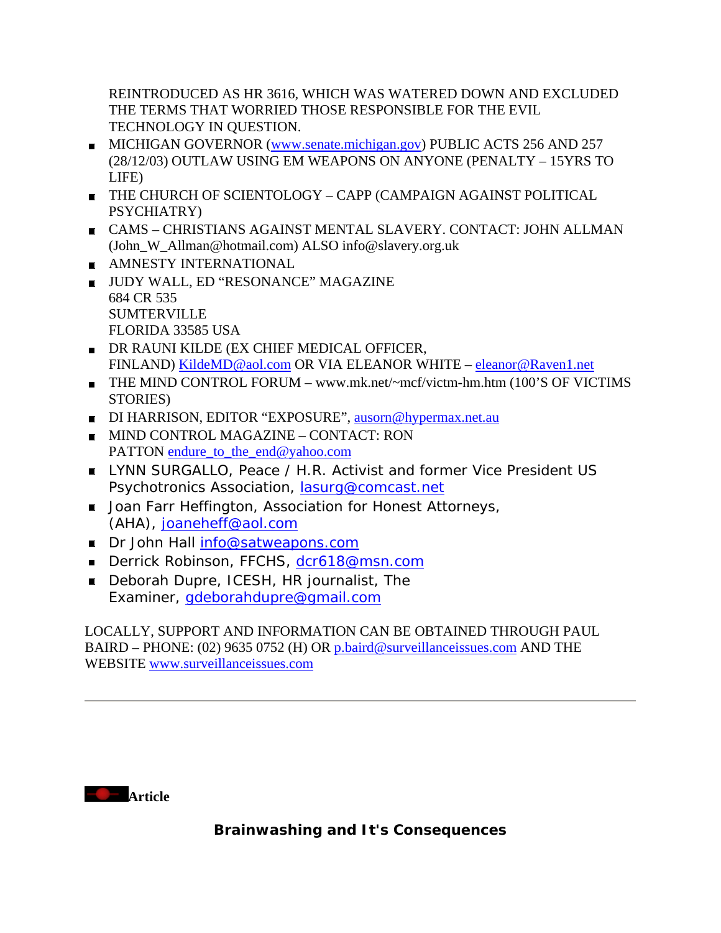REINTRODUCED AS HR 3616, WHICH WAS WATERED DOWN AND EXCLUDED THE TERMS THAT WORRIED THOSE RESPONSIBLE FOR THE EVIL TECHNOLOGY IN QUESTION.

- MICHIGAN GOVERNOR (www.senate.michigan.gov) PUBLIC ACTS 256 AND 257 (28/12/03) OUTLAW USING EM WEAPONS ON ANYONE (PENALTY – 15YRS TO LIFE)
- THE CHURCH OF SCIENTOLOGY CAPP (CAMPAIGN AGAINST POLITICAL PSYCHIATRY)
- CAMS CHRISTIANS AGAINST MENTAL SLAVERY. CONTACT: JOHN ALLMAN (John\_W\_Allman@hotmail.com) ALSO info@slavery.org.uk
- AMNESTY INTERNATIONAL
- UUDY WALL, ED "RESONANCE" MAGAZINE 684 CR 535 **SUMTERVILLE** FLORIDA 33585 USA
- DR RAUNI KILDE (EX CHIEF MEDICAL OFFICER, FINLAND) KildeMD@aol.com OR VIA ELEANOR WHITE – eleanor@Raven1.net
- THE MIND CONTROL FORUM www.mk.net/~mcf/victm-hm.htm (100'S OF VICTIMS STORIES)
- DI HARRISON, EDITOR "EXPOSURE", ausorn@hypermax.net.au
- **MIND CONTROL MAGAZINE CONTACT: RON** PATTON endure\_to\_the\_end@yahoo.com
- **EXTERNALLY AND SURGALLO, Peace / H.R. Activist and former Vice President US** Psychotronics Association, lasurg@comcast.net
- **Joan Farr Heffington, Association for Honest Attorneys,** (AHA), joaneheff@aol.com
- Dr John Hall info@satweapons.com
- Derrick Robinson, FFCHS, dcr618@msn.com
- Deborah Dupre, ICESH, HR journalist, The Examiner, gdeborahdupre@gmail.com

### LOCALLY, SUPPORT AND INFORMATION CAN BE OBTAINED THROUGH PAUL BAIRD – PHONE: (02) 9635 0752 (H) OR p.baird@surveillanceissues.com AND THE WEBSITE www.surveillanceissues.com

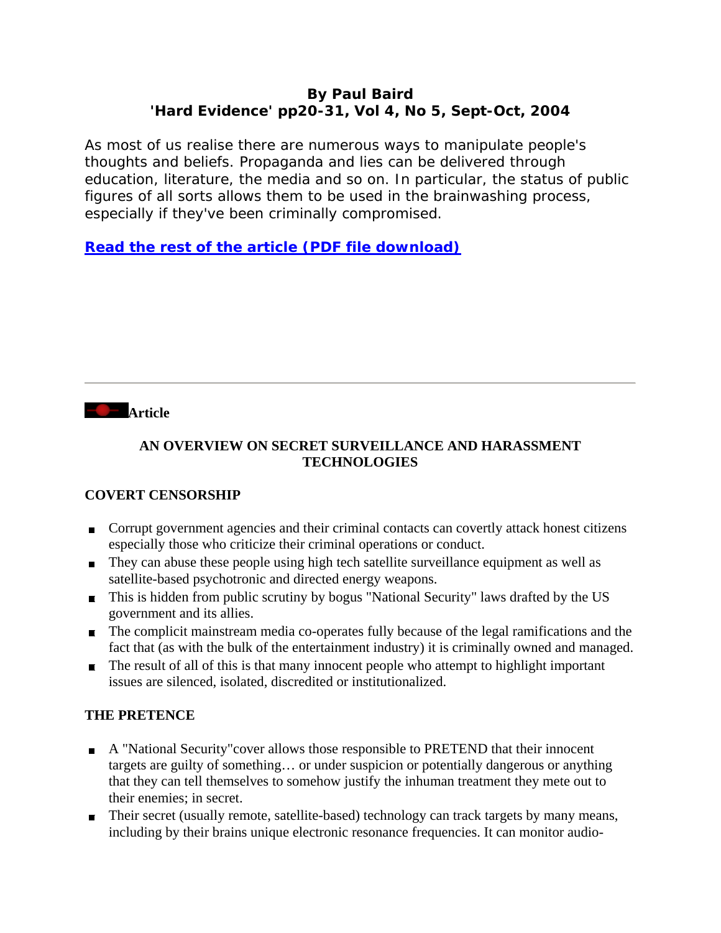### **By Paul Baird 'Hard Evidence' pp20-31, Vol 4, No 5, Sept-Oct, 2004**

As most of us realise there are numerous ways to manipulate people's thoughts and beliefs. Propaganda and lies can be delivered through education, literature, the media and so on. In particular, the status of public figures of all sorts allows them to be used in the brainwashing process, especially if they've been criminally compromised.

**Read the rest of the article (PDF file download)**



### **AN OVERVIEW ON SECRET SURVEILLANCE AND HARASSMENT TECHNOLOGIES**

### **COVERT CENSORSHIP**

- **Corrupt government agencies and their criminal contacts can covertly attack honest citizens** especially those who criticize their criminal operations or conduct.
- They can abuse these people using high tech satellite surveillance equipment as well as satellite-based psychotronic and directed energy weapons.
- This is hidden from public scrutiny by bogus "National Security" laws drafted by the US government and its allies.
- The complicit mainstream media co-operates fully because of the legal ramifications and the fact that (as with the bulk of the entertainment industry) it is criminally owned and managed.
- $\blacksquare$  The result of all of this is that many innocent people who attempt to highlight important issues are silenced, isolated, discredited or institutionalized.

### **THE PRETENCE**

- A "National Security"cover allows those responsible to PRETEND that their innocent targets are guilty of something… or under suspicion or potentially dangerous or anything that they can tell themselves to somehow justify the inhuman treatment they mete out to their enemies; in secret.
- Their secret (usually remote, satellite-based) technology can track targets by many means, including by their brains unique electronic resonance frequencies. It can monitor audio-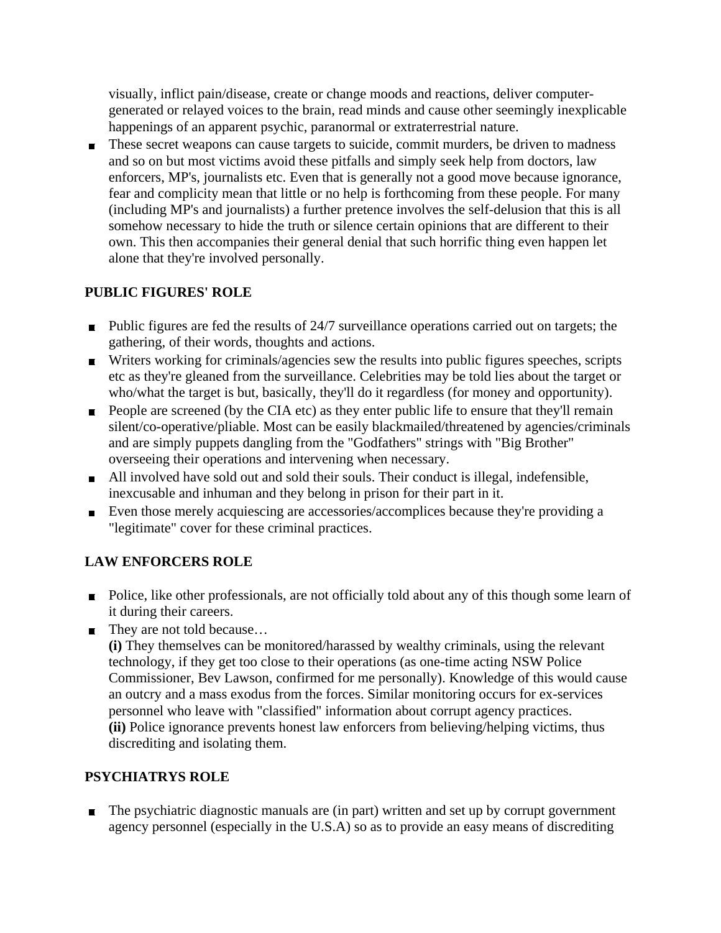visually, inflict pain/disease, create or change moods and reactions, deliver computergenerated or relayed voices to the brain, read minds and cause other seemingly inexplicable happenings of an apparent psychic, paranormal or extraterrestrial nature.

These secret weapons can cause targets to suicide, commit murders, be driven to madness and so on but most victims avoid these pitfalls and simply seek help from doctors, law enforcers, MP's, journalists etc. Even that is generally not a good move because ignorance, fear and complicity mean that little or no help is forthcoming from these people. For many (including MP's and journalists) a further pretence involves the self-delusion that this is all somehow necessary to hide the truth or silence certain opinions that are different to their own. This then accompanies their general denial that such horrific thing even happen let alone that they're involved personally.

### **PUBLIC FIGURES' ROLE**

- $\blacksquare$  Public figures are fed the results of 24/7 surveillance operations carried out on targets; the gathering, of their words, thoughts and actions.
- **Writers working for criminals/agencies sew the results into public figures speeches, scripts** etc as they're gleaned from the surveillance. Celebrities may be told lies about the target or who/what the target is but, basically, they'll do it regardless (for money and opportunity).
- **People are screened (by the CIA etc) as they enter public life to ensure that they'll remain** silent/co-operative/pliable. Most can be easily blackmailed/threatened by agencies/criminals and are simply puppets dangling from the "Godfathers" strings with "Big Brother" overseeing their operations and intervening when necessary.
- All involved have sold out and sold their souls. Their conduct is illegal, indefensible, inexcusable and inhuman and they belong in prison for their part in it.
- Even those merely acquiescing are accessories/accomplices because they're providing a "legitimate" cover for these criminal practices.

### **LAW ENFORCERS ROLE**

- Police, like other professionals, are not officially told about any of this though some learn of it during their careers.
- They are not told because...

**(i)** They themselves can be monitored/harassed by wealthy criminals, using the relevant technology, if they get too close to their operations (as one-time acting NSW Police Commissioner, Bev Lawson, confirmed for me personally). Knowledge of this would cause an outcry and a mass exodus from the forces. Similar monitoring occurs for ex-services personnel who leave with "classified" information about corrupt agency practices. **(ii)** Police ignorance prevents honest law enforcers from believing/helping victims, thus discrediting and isolating them.

### **PSYCHIATRYS ROLE**

 $\blacksquare$  The psychiatric diagnostic manuals are (in part) written and set up by corrupt government agency personnel (especially in the U.S.A) so as to provide an easy means of discrediting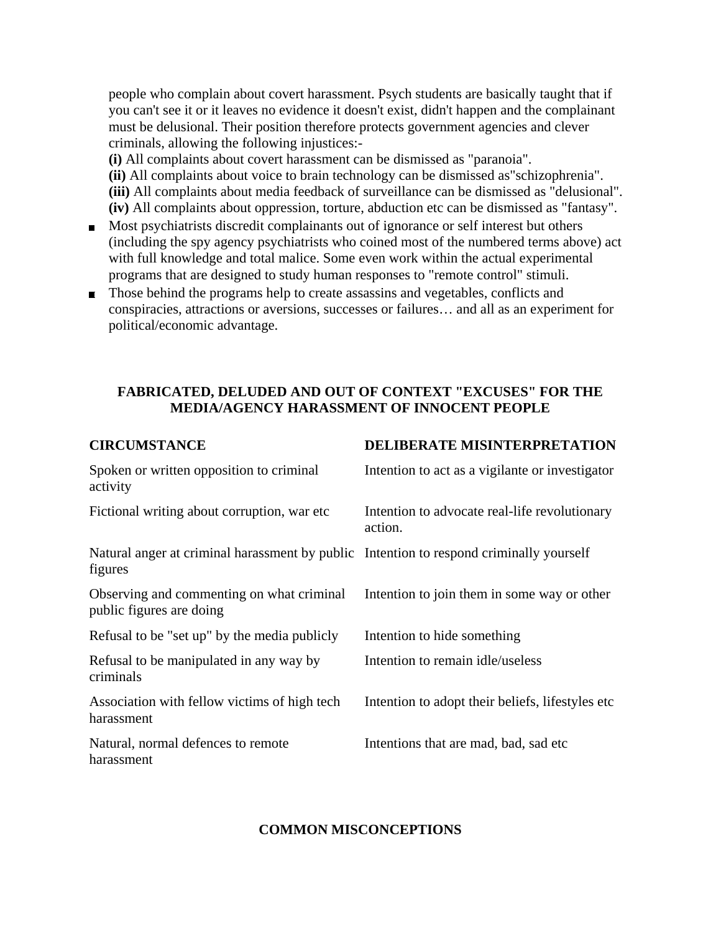people who complain about covert harassment. Psych students are basically taught that if you can't see it or it leaves no evidence it doesn't exist, didn't happen and the complainant must be delusional. Their position therefore protects government agencies and clever criminals, allowing the following injustices:-

**(i)** All complaints about covert harassment can be dismissed as "paranoia". **(ii)** All complaints about voice to brain technology can be dismissed as"schizophrenia". **(iii)** All complaints about media feedback of surveillance can be dismissed as "delusional".

- **(iv)** All complaints about oppression, torture, abduction etc can be dismissed as "fantasy".
- Most psychiatrists discredit complainants out of ignorance or self interest but others (including the spy agency psychiatrists who coined most of the numbered terms above) act with full knowledge and total malice. Some even work within the actual experimental programs that are designed to study human responses to "remote control" stimuli.
- Those behind the programs help to create assassins and vegetables, conflicts and conspiracies, attractions or aversions, successes or failures… and all as an experiment for political/economic advantage.

### **FABRICATED, DELUDED AND OUT OF CONTEXT "EXCUSES" FOR THE MEDIA/AGENCY HARASSMENT OF INNOCENT PEOPLE**

| <b>CIRCUMSTANCE</b>                                                                                | DELIBERATE MISINTERPRETATION                             |
|----------------------------------------------------------------------------------------------------|----------------------------------------------------------|
| Spoken or written opposition to criminal<br>activity                                               | Intention to act as a vigilante or investigator          |
| Fictional writing about corruption, war etc.                                                       | Intention to advocate real-life revolutionary<br>action. |
| Natural anger at criminal harassment by public Intention to respond criminally yourself<br>figures |                                                          |
| Observing and commenting on what criminal<br>public figures are doing                              | Intention to join them in some way or other              |
| Refusal to be "set up" by the media publicly                                                       | Intention to hide something                              |
| Refusal to be manipulated in any way by<br>criminals                                               | Intention to remain idle/useless                         |
| Association with fellow victims of high tech<br>harassment                                         | Intention to adopt their beliefs, lifestyles etc.        |
| Natural, normal defences to remote<br>harassment                                                   | Intentions that are mad, bad, sad etc.                   |

#### **COMMON MISCONCEPTIONS**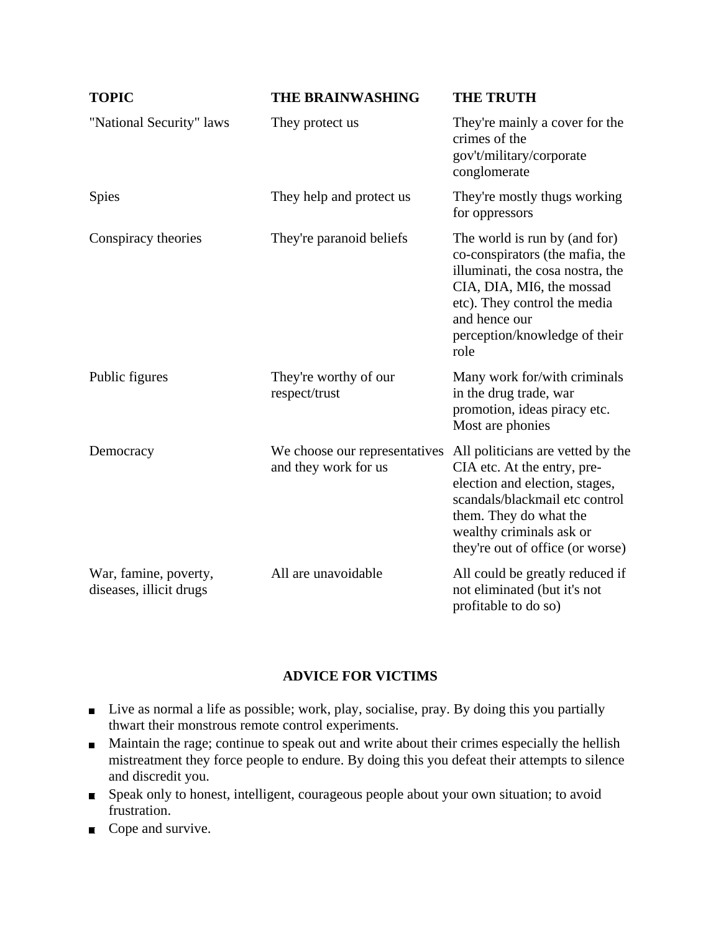| <b>TOPIC</b>                                     | <b>THE BRAINWASHING</b>                               | <b>THE TRUTH</b>                                                                                                                                                                                                               |
|--------------------------------------------------|-------------------------------------------------------|--------------------------------------------------------------------------------------------------------------------------------------------------------------------------------------------------------------------------------|
| "National Security" laws                         | They protect us                                       | They're mainly a cover for the<br>crimes of the<br>gov't/military/corporate<br>conglomerate                                                                                                                                    |
| Spies                                            | They help and protect us                              | They're mostly thugs working<br>for oppressors                                                                                                                                                                                 |
| Conspiracy theories                              | They're paranoid beliefs                              | The world is run by (and for)<br>co-conspirators (the mafia, the<br>illuminati, the cosa nostra, the<br>CIA, DIA, MI6, the mossad<br>etc). They control the media<br>and hence our<br>perception/knowledge of their<br>role    |
| Public figures                                   | They're worthy of our<br>respect/trust                | Many work for/with criminals<br>in the drug trade, war<br>promotion, ideas piracy etc.<br>Most are phonies                                                                                                                     |
| Democracy                                        | We choose our representatives<br>and they work for us | All politicians are vetted by the<br>CIA etc. At the entry, pre-<br>election and election, stages,<br>scandals/blackmail etc control<br>them. They do what the<br>wealthy criminals ask or<br>they're out of office (or worse) |
| War, famine, poverty,<br>diseases, illicit drugs | All are unavoidable                                   | All could be greatly reduced if<br>not eliminated (but it's not<br>profitable to do so)                                                                                                                                        |

### **ADVICE FOR VICTIMS**

- Live as normal a life as possible; work, play, socialise, pray. By doing this you partially thwart their monstrous remote control experiments.
- **Maintain the rage; continue to speak out and write about their crimes especially the hellish** mistreatment they force people to endure. By doing this you defeat their attempts to silence and discredit you.
- Speak only to honest, intelligent, courageous people about your own situation; to avoid frustration.
- Cope and survive.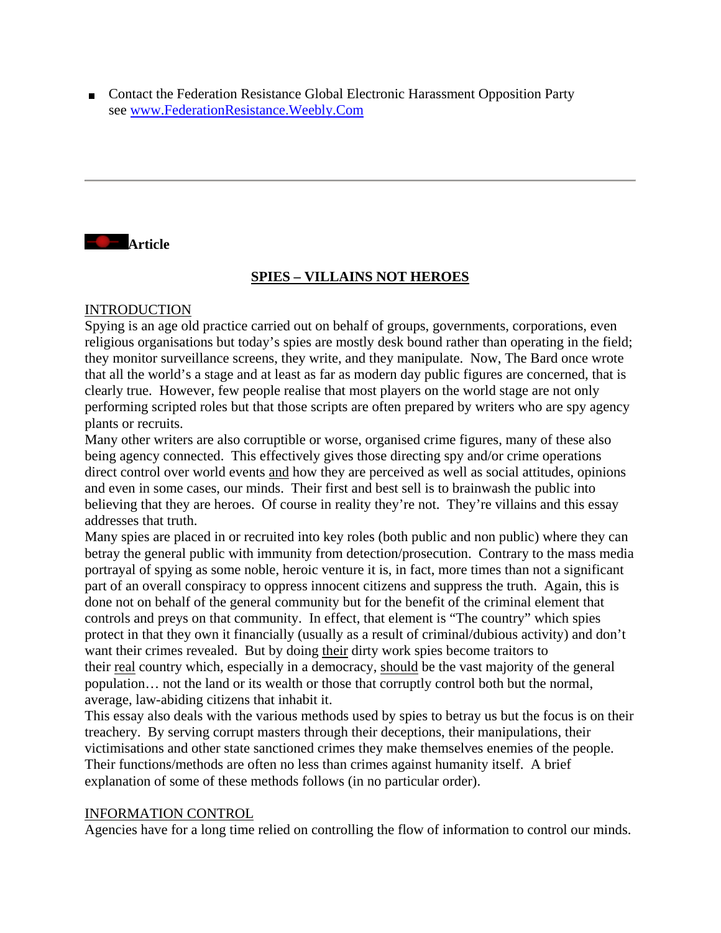■ Contact the Federation Resistance Global Electronic Harassment Opposition Party see www.FederationResistance.Weebly.Com



### **SPIES – VILLAINS NOT HEROES**

#### INTRODUCTION

Spying is an age old practice carried out on behalf of groups, governments, corporations, even religious organisations but today's spies are mostly desk bound rather than operating in the field; they monitor surveillance screens, they write, and they manipulate. Now, The Bard once wrote that all the world's a stage and at least as far as modern day public figures are concerned, that is clearly true. However, few people realise that most players on the world stage are not only performing scripted roles but that those scripts are often prepared by writers who are spy agency plants or recruits.

Many other writers are also corruptible or worse, organised crime figures, many of these also being agency connected. This effectively gives those directing spy and/or crime operations direct control over world events and how they are perceived as well as social attitudes, opinions and even in some cases, our minds. Their first and best sell is to brainwash the public into believing that they are heroes. Of course in reality they're not. They're villains and this essay addresses that truth.

Many spies are placed in or recruited into key roles (both public and non public) where they can betray the general public with immunity from detection/prosecution. Contrary to the mass media portrayal of spying as some noble, heroic venture it is, in fact, more times than not a significant part of an overall conspiracy to oppress innocent citizens and suppress the truth. Again, this is done not on behalf of the general community but for the benefit of the criminal element that controls and preys on that community. In effect, that element is "The country" which spies protect in that they own it financially (usually as a result of criminal/dubious activity) and don't want their crimes revealed. But by doing their dirty work spies become traitors to their real country which, especially in a democracy, should be the vast majority of the general population… not the land or its wealth or those that corruptly control both but the normal, average, law-abiding citizens that inhabit it.

This essay also deals with the various methods used by spies to betray us but the focus is on their treachery. By serving corrupt masters through their deceptions, their manipulations, their victimisations and other state sanctioned crimes they make themselves enemies of the people. Their functions/methods are often no less than crimes against humanity itself. A brief explanation of some of these methods follows (in no particular order).

#### INFORMATION CONTROL

Agencies have for a long time relied on controlling the flow of information to control our minds.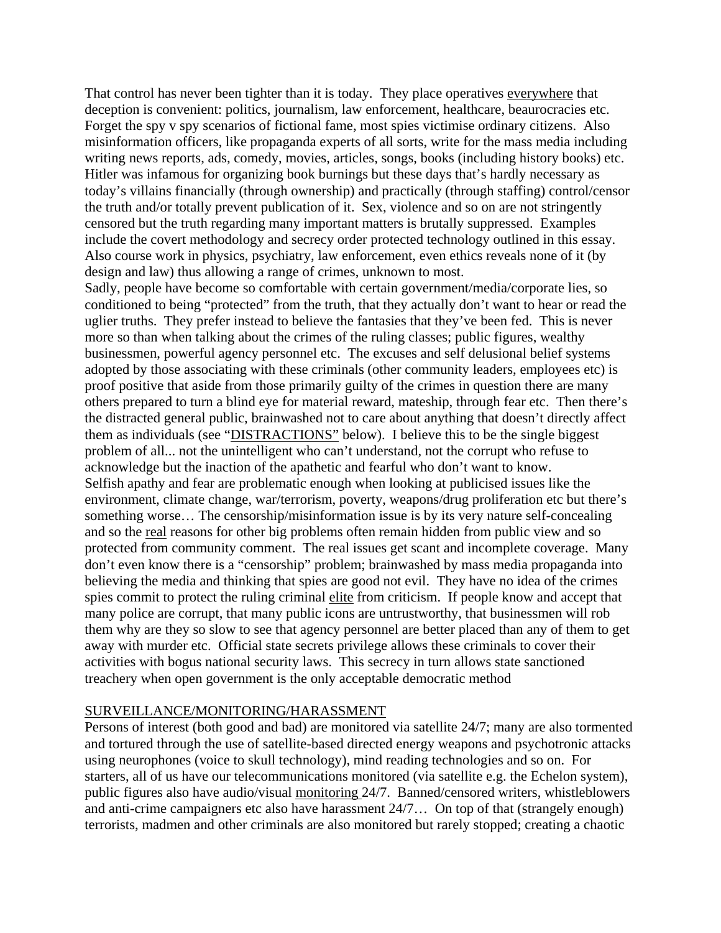That control has never been tighter than it is today. They place operatives everywhere that deception is convenient: politics, journalism, law enforcement, healthcare, beaurocracies etc. Forget the spy v spy scenarios of fictional fame, most spies victimise ordinary citizens. Also misinformation officers, like propaganda experts of all sorts, write for the mass media including writing news reports, ads, comedy, movies, articles, songs, books (including history books) etc. Hitler was infamous for organizing book burnings but these days that's hardly necessary as today's villains financially (through ownership) and practically (through staffing) control/censor the truth and/or totally prevent publication of it. Sex, violence and so on are not stringently censored but the truth regarding many important matters is brutally suppressed. Examples include the covert methodology and secrecy order protected technology outlined in this essay. Also course work in physics, psychiatry, law enforcement, even ethics reveals none of it (by design and law) thus allowing a range of crimes, unknown to most.

Sadly, people have become so comfortable with certain government/media/corporate lies, so conditioned to being "protected" from the truth, that they actually don't want to hear or read the uglier truths. They prefer instead to believe the fantasies that they've been fed. This is never more so than when talking about the crimes of the ruling classes; public figures, wealthy businessmen, powerful agency personnel etc. The excuses and self delusional belief systems adopted by those associating with these criminals (other community leaders, employees etc) is proof positive that aside from those primarily guilty of the crimes in question there are many others prepared to turn a blind eye for material reward, mateship, through fear etc. Then there's the distracted general public, brainwashed not to care about anything that doesn't directly affect them as individuals (see "DISTRACTIONS" below). I believe this to be the single biggest problem of all... not the unintelligent who can't understand, not the corrupt who refuse to acknowledge but the inaction of the apathetic and fearful who don't want to know. Selfish apathy and fear are problematic enough when looking at publicised issues like the environment, climate change, war/terrorism, poverty, weapons/drug proliferation etc but there's something worse… The censorship/misinformation issue is by its very nature self-concealing and so the real reasons for other big problems often remain hidden from public view and so protected from community comment. The real issues get scant and incomplete coverage. Many don't even know there is a "censorship" problem; brainwashed by mass media propaganda into believing the media and thinking that spies are good not evil. They have no idea of the crimes spies commit to protect the ruling criminal elite from criticism. If people know and accept that many police are corrupt, that many public icons are untrustworthy, that businessmen will rob them why are they so slow to see that agency personnel are better placed than any of them to get away with murder etc. Official state secrets privilege allows these criminals to cover their activities with bogus national security laws. This secrecy in turn allows state sanctioned treachery when open government is the only acceptable democratic method

#### SURVEILLANCE/MONITORING/HARASSMENT

Persons of interest (both good and bad) are monitored via satellite 24/7; many are also tormented and tortured through the use of satellite-based directed energy weapons and psychotronic attacks using neurophones (voice to skull technology), mind reading technologies and so on. For starters, all of us have our telecommunications monitored (via satellite e.g. the Echelon system), public figures also have audio/visual monitoring 24/7. Banned/censored writers, whistleblowers and anti-crime campaigners etc also have harassment 24/7… On top of that (strangely enough) terrorists, madmen and other criminals are also monitored but rarely stopped; creating a chaotic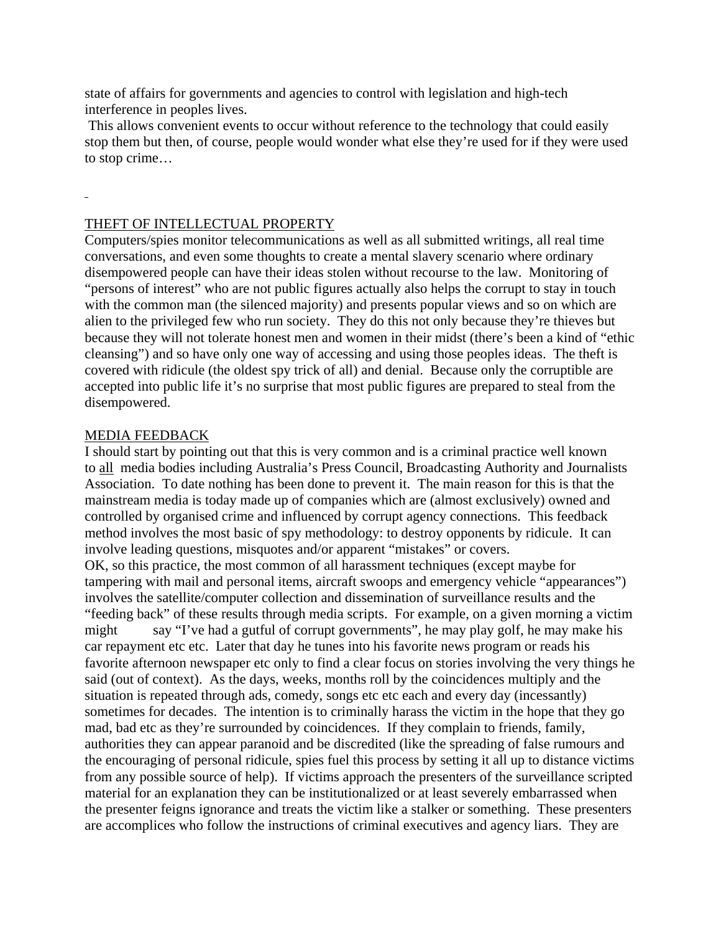state of affairs for governments and agencies to control with legislation and high-tech interference in peoples lives.

 This allows convenient events to occur without reference to the technology that could easily stop them but then, of course, people would wonder what else they're used for if they were used to stop crime…

### THEFT OF INTELLECTUAL PROPERTY

Computers/spies monitor telecommunications as well as all submitted writings, all real time conversations, and even some thoughts to create a mental slavery scenario where ordinary disempowered people can have their ideas stolen without recourse to the law. Monitoring of "persons of interest" who are not public figures actually also helps the corrupt to stay in touch with the common man (the silenced majority) and presents popular views and so on which are alien to the privileged few who run society. They do this not only because they're thieves but because they will not tolerate honest men and women in their midst (there's been a kind of "ethic cleansing") and so have only one way of accessing and using those peoples ideas. The theft is covered with ridicule (the oldest spy trick of all) and denial. Because only the corruptible are accepted into public life it's no surprise that most public figures are prepared to steal from the disempowered.

#### MEDIA FEEDBACK

I should start by pointing out that this is very common and is a criminal practice well known to all media bodies including Australia's Press Council, Broadcasting Authority and Journalists Association. To date nothing has been done to prevent it. The main reason for this is that the mainstream media is today made up of companies which are (almost exclusively) owned and controlled by organised crime and influenced by corrupt agency connections. This feedback method involves the most basic of spy methodology: to destroy opponents by ridicule. It can involve leading questions, misquotes and/or apparent "mistakes" or covers. OK, so this practice, the most common of all harassment techniques (except maybe for tampering with mail and personal items, aircraft swoops and emergency vehicle "appearances") involves the satellite/computer collection and dissemination of surveillance results and the "feeding back" of these results through media scripts. For example, on a given morning a victim might say "I've had a gutful of corrupt governments", he may play golf, he may make his car repayment etc etc. Later that day he tunes into his favorite news program or reads his favorite afternoon newspaper etc only to find a clear focus on stories involving the very things he said (out of context). As the days, weeks, months roll by the coincidences multiply and the situation is repeated through ads, comedy, songs etc etc each and every day (incessantly) sometimes for decades. The intention is to criminally harass the victim in the hope that they go mad, bad etc as they're surrounded by coincidences. If they complain to friends, family, authorities they can appear paranoid and be discredited (like the spreading of false rumours and the encouraging of personal ridicule, spies fuel this process by setting it all up to distance victims from any possible source of help). If victims approach the presenters of the surveillance scripted material for an explanation they can be institutionalized or at least severely embarrassed when the presenter feigns ignorance and treats the victim like a stalker or something. These presenters are accomplices who follow the instructions of criminal executives and agency liars. They are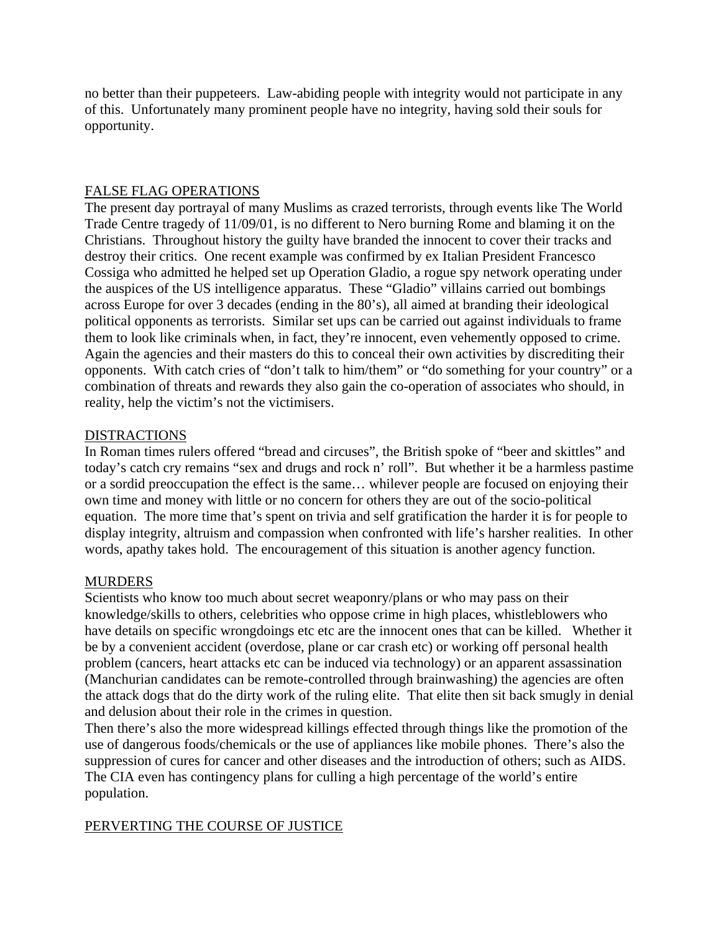no better than their puppeteers. Law-abiding people with integrity would not participate in any of this. Unfortunately many prominent people have no integrity, having sold their souls for opportunity.

#### FALSE FLAG OPERATIONS

The present day portrayal of many Muslims as crazed terrorists, through events like The World Trade Centre tragedy of 11/09/01, is no different to Nero burning Rome and blaming it on the Christians. Throughout history the guilty have branded the innocent to cover their tracks and destroy their critics. One recent example was confirmed by ex Italian President Francesco Cossiga who admitted he helped set up Operation Gladio, a rogue spy network operating under the auspices of the US intelligence apparatus. These "Gladio" villains carried out bombings across Europe for over 3 decades (ending in the 80's), all aimed at branding their ideological political opponents as terrorists. Similar set ups can be carried out against individuals to frame them to look like criminals when, in fact, they're innocent, even vehemently opposed to crime. Again the agencies and their masters do this to conceal their own activities by discrediting their opponents. With catch cries of "don't talk to him/them" or "do something for your country" or a combination of threats and rewards they also gain the co-operation of associates who should, in reality, help the victim's not the victimisers.

#### DISTRACTIONS

In Roman times rulers offered "bread and circuses", the British spoke of "beer and skittles" and today's catch cry remains "sex and drugs and rock n' roll". But whether it be a harmless pastime or a sordid preoccupation the effect is the same… whilever people are focused on enjoying their own time and money with little or no concern for others they are out of the socio-political equation. The more time that's spent on trivia and self gratification the harder it is for people to display integrity, altruism and compassion when confronted with life's harsher realities. In other words, apathy takes hold. The encouragement of this situation is another agency function.

#### **MURDERS**

Scientists who know too much about secret weaponry/plans or who may pass on their knowledge/skills to others, celebrities who oppose crime in high places, whistleblowers who have details on specific wrongdoings etc etc are the innocent ones that can be killed. Whether it be by a convenient accident (overdose, plane or car crash etc) or working off personal health problem (cancers, heart attacks etc can be induced via technology) or an apparent assassination (Manchurian candidates can be remote-controlled through brainwashing) the agencies are often the attack dogs that do the dirty work of the ruling elite. That elite then sit back smugly in denial and delusion about their role in the crimes in question.

Then there's also the more widespread killings effected through things like the promotion of the use of dangerous foods/chemicals or the use of appliances like mobile phones. There's also the suppression of cures for cancer and other diseases and the introduction of others; such as AIDS. The CIA even has contingency plans for culling a high percentage of the world's entire population.

### PERVERTING THE COURSE OF JUSTICE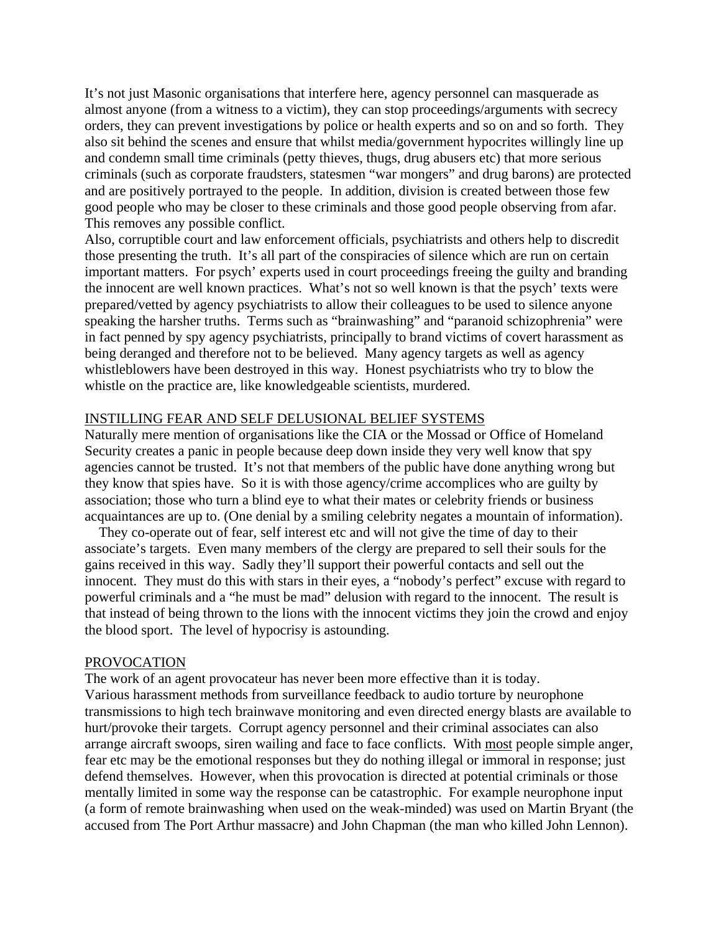It's not just Masonic organisations that interfere here, agency personnel can masquerade as almost anyone (from a witness to a victim), they can stop proceedings/arguments with secrecy orders, they can prevent investigations by police or health experts and so on and so forth. They also sit behind the scenes and ensure that whilst media/government hypocrites willingly line up and condemn small time criminals (petty thieves, thugs, drug abusers etc) that more serious criminals (such as corporate fraudsters, statesmen "war mongers" and drug barons) are protected and are positively portrayed to the people. In addition, division is created between those few good people who may be closer to these criminals and those good people observing from afar. This removes any possible conflict.

Also, corruptible court and law enforcement officials, psychiatrists and others help to discredit those presenting the truth. It's all part of the conspiracies of silence which are run on certain important matters. For psych' experts used in court proceedings freeing the guilty and branding the innocent are well known practices. What's not so well known is that the psych' texts were prepared/vetted by agency psychiatrists to allow their colleagues to be used to silence anyone speaking the harsher truths. Terms such as "brainwashing" and "paranoid schizophrenia" were in fact penned by spy agency psychiatrists, principally to brand victims of covert harassment as being deranged and therefore not to be believed. Many agency targets as well as agency whistleblowers have been destroyed in this way. Honest psychiatrists who try to blow the whistle on the practice are, like knowledgeable scientists, murdered.

#### INSTILLING FEAR AND SELF DELUSIONAL BELIEF SYSTEMS

Naturally mere mention of organisations like the CIA or the Mossad or Office of Homeland Security creates a panic in people because deep down inside they very well know that spy agencies cannot be trusted. It's not that members of the public have done anything wrong but they know that spies have. So it is with those agency/crime accomplices who are guilty by association; those who turn a blind eye to what their mates or celebrity friends or business acquaintances are up to. (One denial by a smiling celebrity negates a mountain of information).

 They co-operate out of fear, self interest etc and will not give the time of day to their associate's targets. Even many members of the clergy are prepared to sell their souls for the gains received in this way. Sadly they'll support their powerful contacts and sell out the innocent. They must do this with stars in their eyes, a "nobody's perfect" excuse with regard to powerful criminals and a "he must be mad" delusion with regard to the innocent. The result is that instead of being thrown to the lions with the innocent victims they join the crowd and enjoy the blood sport. The level of hypocrisy is astounding.

#### PROVOCATION

The work of an agent provocateur has never been more effective than it is today. Various harassment methods from surveillance feedback to audio torture by neurophone transmissions to high tech brainwave monitoring and even directed energy blasts are available to hurt/provoke their targets. Corrupt agency personnel and their criminal associates can also arrange aircraft swoops, siren wailing and face to face conflicts. With most people simple anger, fear etc may be the emotional responses but they do nothing illegal or immoral in response; just defend themselves. However, when this provocation is directed at potential criminals or those mentally limited in some way the response can be catastrophic. For example neurophone input (a form of remote brainwashing when used on the weak-minded) was used on Martin Bryant (the accused from The Port Arthur massacre) and John Chapman (the man who killed John Lennon).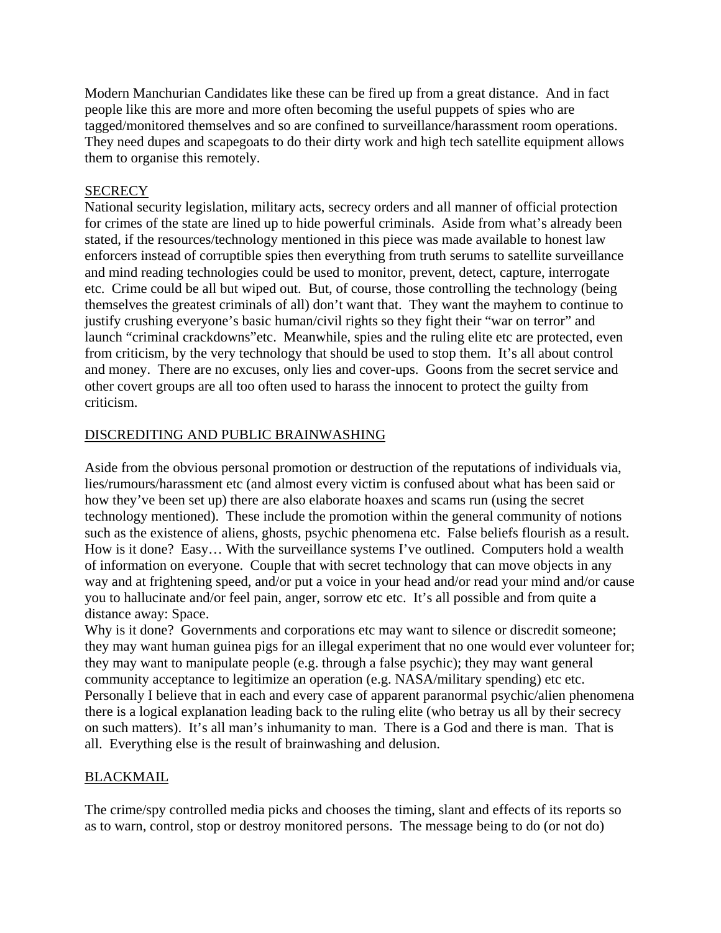Modern Manchurian Candidates like these can be fired up from a great distance. And in fact people like this are more and more often becoming the useful puppets of spies who are tagged/monitored themselves and so are confined to surveillance/harassment room operations. They need dupes and scapegoats to do their dirty work and high tech satellite equipment allows them to organise this remotely.

#### **SECRECY**

National security legislation, military acts, secrecy orders and all manner of official protection for crimes of the state are lined up to hide powerful criminals. Aside from what's already been stated, if the resources/technology mentioned in this piece was made available to honest law enforcers instead of corruptible spies then everything from truth serums to satellite surveillance and mind reading technologies could be used to monitor, prevent, detect, capture, interrogate etc. Crime could be all but wiped out. But, of course, those controlling the technology (being themselves the greatest criminals of all) don't want that. They want the mayhem to continue to justify crushing everyone's basic human/civil rights so they fight their "war on terror" and launch "criminal crackdowns"etc. Meanwhile, spies and the ruling elite etc are protected, even from criticism, by the very technology that should be used to stop them. It's all about control and money. There are no excuses, only lies and cover-ups. Goons from the secret service and other covert groups are all too often used to harass the innocent to protect the guilty from criticism.

#### DISCREDITING AND PUBLIC BRAINWASHING

Aside from the obvious personal promotion or destruction of the reputations of individuals via, lies/rumours/harassment etc (and almost every victim is confused about what has been said or how they've been set up) there are also elaborate hoaxes and scams run (using the secret technology mentioned). These include the promotion within the general community of notions such as the existence of aliens, ghosts, psychic phenomena etc. False beliefs flourish as a result. How is it done? Easy… With the surveillance systems I've outlined. Computers hold a wealth of information on everyone. Couple that with secret technology that can move objects in any way and at frightening speed, and/or put a voice in your head and/or read your mind and/or cause you to hallucinate and/or feel pain, anger, sorrow etc etc. It's all possible and from quite a distance away: Space.

Why is it done? Governments and corporations etc may want to silence or discredit someone; they may want human guinea pigs for an illegal experiment that no one would ever volunteer for; they may want to manipulate people (e.g. through a false psychic); they may want general community acceptance to legitimize an operation (e.g. NASA/military spending) etc etc. Personally I believe that in each and every case of apparent paranormal psychic/alien phenomena there is a logical explanation leading back to the ruling elite (who betray us all by their secrecy on such matters). It's all man's inhumanity to man. There is a God and there is man. That is all. Everything else is the result of brainwashing and delusion.

#### BLACKMAIL

The crime/spy controlled media picks and chooses the timing, slant and effects of its reports so as to warn, control, stop or destroy monitored persons. The message being to do (or not do)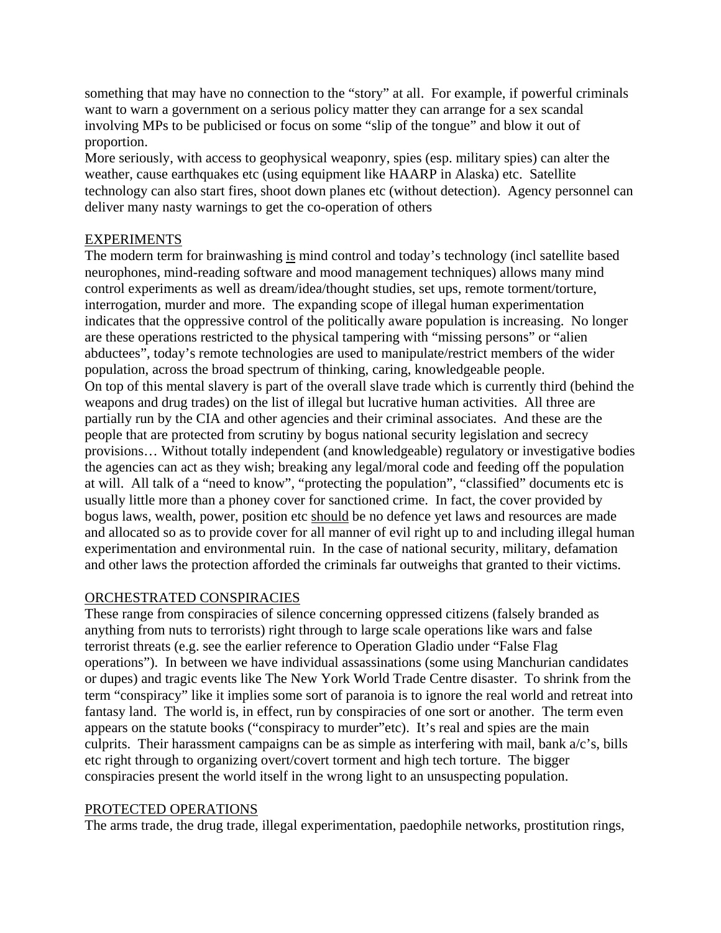something that may have no connection to the "story" at all. For example, if powerful criminals want to warn a government on a serious policy matter they can arrange for a sex scandal involving MPs to be publicised or focus on some "slip of the tongue" and blow it out of proportion.

More seriously, with access to geophysical weaponry, spies (esp. military spies) can alter the weather, cause earthquakes etc (using equipment like HAARP in Alaska) etc. Satellite technology can also start fires, shoot down planes etc (without detection). Agency personnel can deliver many nasty warnings to get the co-operation of others

#### **EXPERIMENTS**

The modern term for brainwashing is mind control and today's technology (incl satellite based neurophones, mind-reading software and mood management techniques) allows many mind control experiments as well as dream/idea/thought studies, set ups, remote torment/torture, interrogation, murder and more. The expanding scope of illegal human experimentation indicates that the oppressive control of the politically aware population is increasing. No longer are these operations restricted to the physical tampering with "missing persons" or "alien abductees", today's remote technologies are used to manipulate/restrict members of the wider population, across the broad spectrum of thinking, caring, knowledgeable people. On top of this mental slavery is part of the overall slave trade which is currently third (behind the weapons and drug trades) on the list of illegal but lucrative human activities. All three are partially run by the CIA and other agencies and their criminal associates. And these are the people that are protected from scrutiny by bogus national security legislation and secrecy provisions… Without totally independent (and knowledgeable) regulatory or investigative bodies the agencies can act as they wish; breaking any legal/moral code and feeding off the population at will. All talk of a "need to know", "protecting the population", "classified" documents etc is usually little more than a phoney cover for sanctioned crime. In fact, the cover provided by bogus laws, wealth, power, position etc should be no defence yet laws and resources are made and allocated so as to provide cover for all manner of evil right up to and including illegal human experimentation and environmental ruin. In the case of national security, military, defamation and other laws the protection afforded the criminals far outweighs that granted to their victims.

### ORCHESTRATED CONSPIRACIES

These range from conspiracies of silence concerning oppressed citizens (falsely branded as anything from nuts to terrorists) right through to large scale operations like wars and false terrorist threats (e.g. see the earlier reference to Operation Gladio under "False Flag operations"). In between we have individual assassinations (some using Manchurian candidates or dupes) and tragic events like The New York World Trade Centre disaster. To shrink from the term "conspiracy" like it implies some sort of paranoia is to ignore the real world and retreat into fantasy land. The world is, in effect, run by conspiracies of one sort or another. The term even appears on the statute books ("conspiracy to murder"etc). It's real and spies are the main culprits. Their harassment campaigns can be as simple as interfering with mail, bank a/c's, bills etc right through to organizing overt/covert torment and high tech torture. The bigger conspiracies present the world itself in the wrong light to an unsuspecting population.

#### PROTECTED OPERATIONS

The arms trade, the drug trade, illegal experimentation, paedophile networks, prostitution rings,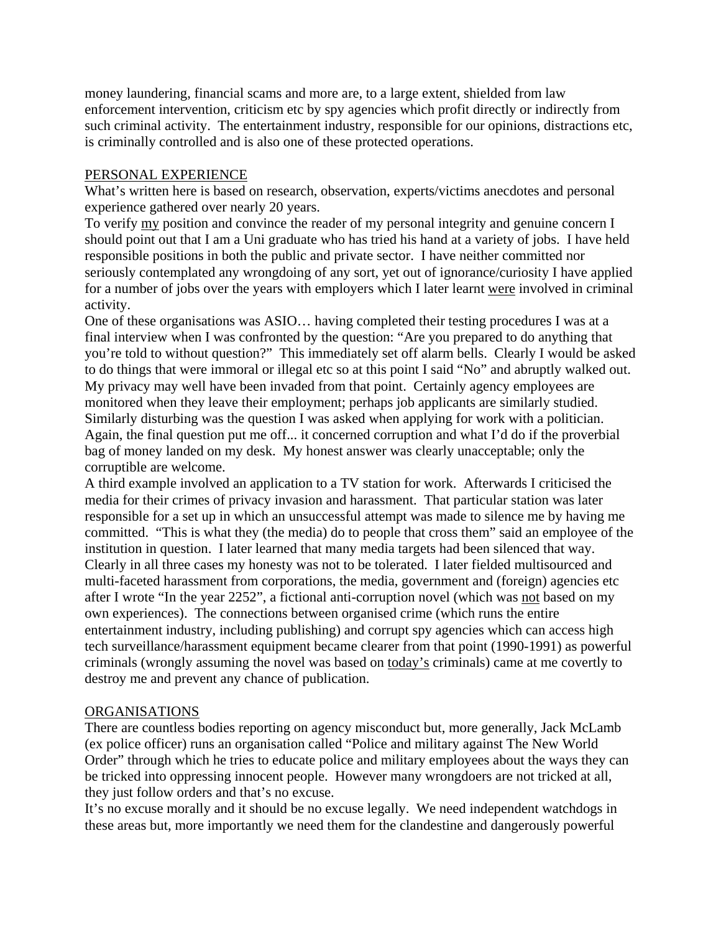money laundering, financial scams and more are, to a large extent, shielded from law enforcement intervention, criticism etc by spy agencies which profit directly or indirectly from such criminal activity. The entertainment industry, responsible for our opinions, distractions etc, is criminally controlled and is also one of these protected operations.

#### PERSONAL EXPERIENCE

What's written here is based on research, observation, experts/victims anecdotes and personal experience gathered over nearly 20 years.

To verify my position and convince the reader of my personal integrity and genuine concern I should point out that I am a Uni graduate who has tried his hand at a variety of jobs. I have held responsible positions in both the public and private sector. I have neither committed nor seriously contemplated any wrongdoing of any sort, yet out of ignorance/curiosity I have applied for a number of jobs over the years with employers which I later learnt were involved in criminal activity.

One of these organisations was ASIO… having completed their testing procedures I was at a final interview when I was confronted by the question: "Are you prepared to do anything that you're told to without question?" This immediately set off alarm bells. Clearly I would be asked to do things that were immoral or illegal etc so at this point I said "No" and abruptly walked out. My privacy may well have been invaded from that point. Certainly agency employees are monitored when they leave their employment; perhaps job applicants are similarly studied. Similarly disturbing was the question I was asked when applying for work with a politician. Again, the final question put me off... it concerned corruption and what I'd do if the proverbial bag of money landed on my desk. My honest answer was clearly unacceptable; only the corruptible are welcome.

A third example involved an application to a TV station for work. Afterwards I criticised the media for their crimes of privacy invasion and harassment. That particular station was later responsible for a set up in which an unsuccessful attempt was made to silence me by having me committed. "This is what they (the media) do to people that cross them" said an employee of the institution in question. I later learned that many media targets had been silenced that way. Clearly in all three cases my honesty was not to be tolerated. I later fielded multisourced and multi-faceted harassment from corporations, the media, government and (foreign) agencies etc after I wrote "In the year 2252", a fictional anti-corruption novel (which was not based on my own experiences). The connections between organised crime (which runs the entire entertainment industry, including publishing) and corrupt spy agencies which can access high tech surveillance/harassment equipment became clearer from that point (1990-1991) as powerful criminals (wrongly assuming the novel was based on today's criminals) came at me covertly to destroy me and prevent any chance of publication.

### ORGANISATIONS

There are countless bodies reporting on agency misconduct but, more generally, Jack McLamb (ex police officer) runs an organisation called "Police and military against The New World Order" through which he tries to educate police and military employees about the ways they can be tricked into oppressing innocent people. However many wrongdoers are not tricked at all, they just follow orders and that's no excuse.

It's no excuse morally and it should be no excuse legally. We need independent watchdogs in these areas but, more importantly we need them for the clandestine and dangerously powerful